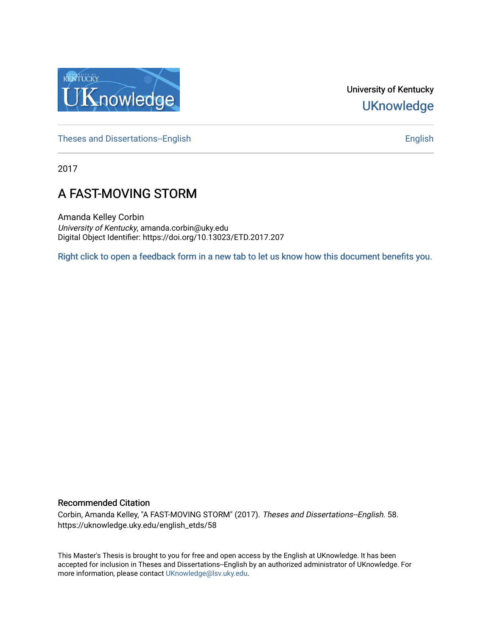

University of Kentucky **UKnowledge** 

[Theses and Dissertations--English](https://uknowledge.uky.edu/english_etds) [English](https://uknowledge.uky.edu/english) English English English

2017

# A FAST-MOVING STORM

Amanda Kelley Corbin University of Kentucky, amanda.corbin@uky.edu Digital Object Identifier: https://doi.org/10.13023/ETD.2017.207

[Right click to open a feedback form in a new tab to let us know how this document benefits you.](https://uky.az1.qualtrics.com/jfe/form/SV_9mq8fx2GnONRfz7)

#### Recommended Citation

Corbin, Amanda Kelley, "A FAST-MOVING STORM" (2017). Theses and Dissertations--English. 58. https://uknowledge.uky.edu/english\_etds/58

This Master's Thesis is brought to you for free and open access by the English at UKnowledge. It has been accepted for inclusion in Theses and Dissertations--English by an authorized administrator of UKnowledge. For more information, please contact [UKnowledge@lsv.uky.edu](mailto:UKnowledge@lsv.uky.edu).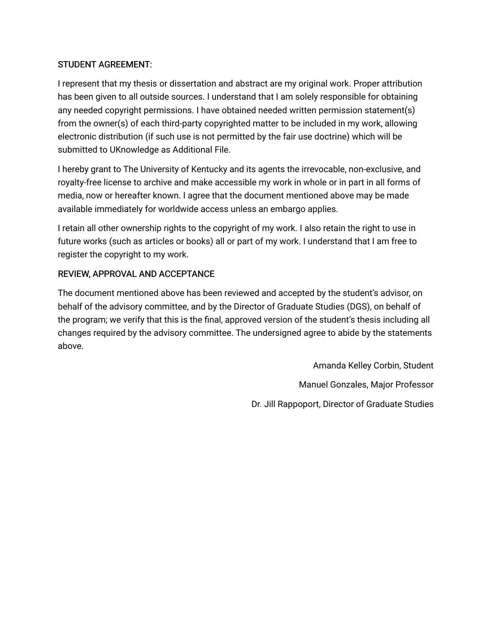## STUDENT AGREEMENT:

I represent that my thesis or dissertation and abstract are my original work. Proper attribution has been given to all outside sources. I understand that I am solely responsible for obtaining any needed copyright permissions. I have obtained needed written permission statement(s) from the owner(s) of each third-party copyrighted matter to be included in my work, allowing electronic distribution (if such use is not permitted by the fair use doctrine) which will be submitted to UKnowledge as Additional File.

I hereby grant to The University of Kentucky and its agents the irrevocable, non-exclusive, and royalty-free license to archive and make accessible my work in whole or in part in all forms of media, now or hereafter known. I agree that the document mentioned above may be made available immediately for worldwide access unless an embargo applies.

I retain all other ownership rights to the copyright of my work. I also retain the right to use in future works (such as articles or books) all or part of my work. I understand that I am free to register the copyright to my work.

# REVIEW, APPROVAL AND ACCEPTANCE

The document mentioned above has been reviewed and accepted by the student's advisor, on behalf of the advisory committee, and by the Director of Graduate Studies (DGS), on behalf of the program; we verify that this is the final, approved version of the student's thesis including all changes required by the advisory committee. The undersigned agree to abide by the statements above.

> Amanda Kelley Corbin, Student Manuel Gonzales, Major Professor Dr. Jill Rappoport, Director of Graduate Studies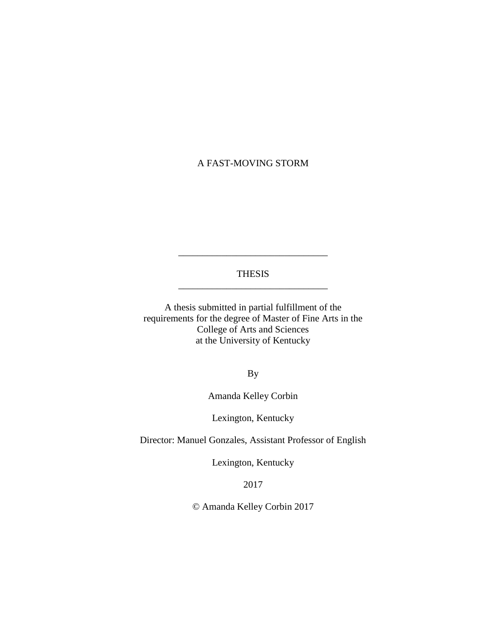## A FAST-MOVING STORM

### THESIS \_\_\_\_\_\_\_\_\_\_\_\_\_\_\_\_\_\_\_\_\_\_\_\_\_\_\_\_\_\_\_

\_\_\_\_\_\_\_\_\_\_\_\_\_\_\_\_\_\_\_\_\_\_\_\_\_\_\_\_\_\_\_

A thesis submitted in partial fulfillment of the requirements for the degree of Master of Fine Arts in the College of Arts and Sciences at the University of Kentucky

By

Amanda Kelley Corbin

Lexington, Kentucky

Director: Manuel Gonzales, Assistant Professor of English

Lexington, Kentucky

2017

© Amanda Kelley Corbin 2017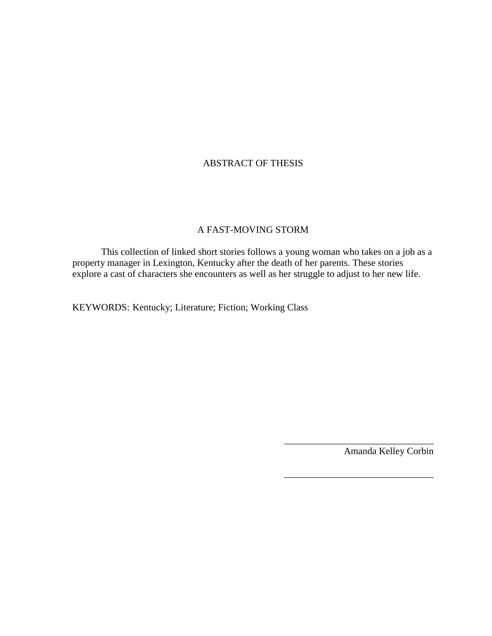## ABSTRACT OF THESIS

#### A FAST-MOVING STORM

This collection of linked short stories follows a young woman who takes on a job as a property manager in Lexington, Kentucky after the death of her parents. These stories explore a cast of characters she encounters as well as her struggle to adjust to her new life.

KEYWORDS: Kentucky; Literature; Fiction; Working Class

Amanda Kelley Corbin

\_\_\_\_\_\_\_\_\_\_\_\_\_\_\_\_\_\_\_\_\_\_\_\_\_\_\_\_\_\_\_

\_\_\_\_\_\_\_\_\_\_\_\_\_\_\_\_\_\_\_\_\_\_\_\_\_\_\_\_\_\_\_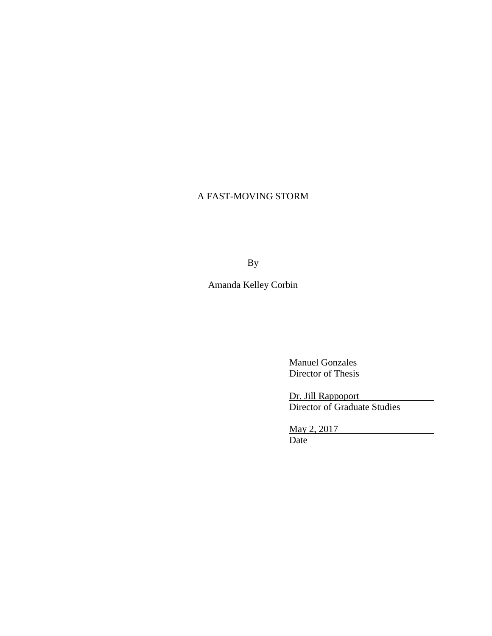# A FAST-MOVING STORM

By

Amanda Kelley Corbin

Manuel Gonzales Director of Thesis

Dr. Jill Rappoport Director of Graduate Studies

May 2, 2017 Date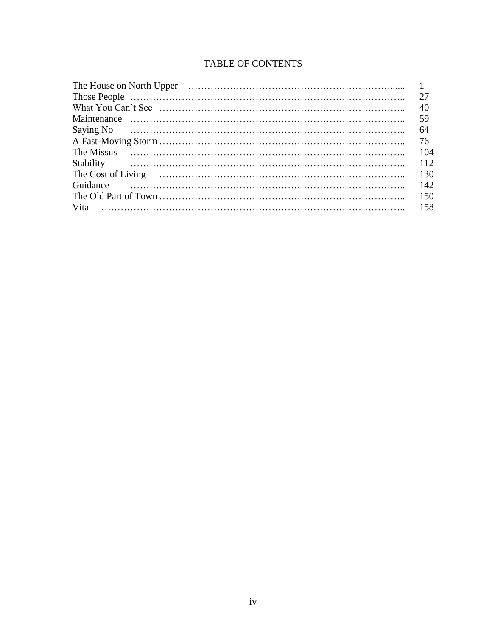# TABLE OF CONTENTS

|           | 27  |
|-----------|-----|
|           | 40  |
|           | 59  |
|           | -64 |
|           | 76  |
|           | 104 |
| Stability |     |
|           | 130 |
| Guidance  | 142 |
|           | 150 |
|           | 158 |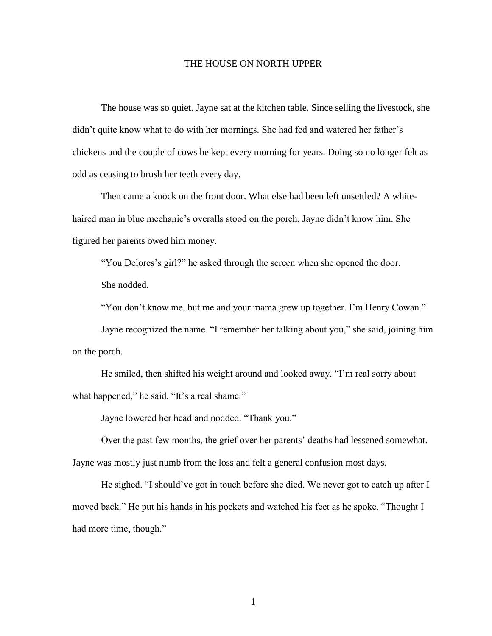#### THE HOUSE ON NORTH UPPER

The house was so quiet. Jayne sat at the kitchen table. Since selling the livestock, she didn't quite know what to do with her mornings. She had fed and watered her father's chickens and the couple of cows he kept every morning for years. Doing so no longer felt as odd as ceasing to brush her teeth every day.

Then came a knock on the front door. What else had been left unsettled? A whitehaired man in blue mechanic's overalls stood on the porch. Jayne didn't know him. She figured her parents owed him money.

"You Delores's girl?" he asked through the screen when she opened the door. She nodded.

"You don't know me, but me and your mama grew up together. I'm Henry Cowan."

Jayne recognized the name. "I remember her talking about you," she said, joining him on the porch.

He smiled, then shifted his weight around and looked away. "I'm real sorry about what happened," he said. "It's a real shame."

Jayne lowered her head and nodded. "Thank you."

Over the past few months, the grief over her parents' deaths had lessened somewhat. Jayne was mostly just numb from the loss and felt a general confusion most days.

He sighed. "I should've got in touch before she died. We never got to catch up after I moved back." He put his hands in his pockets and watched his feet as he spoke. "Thought I had more time, though."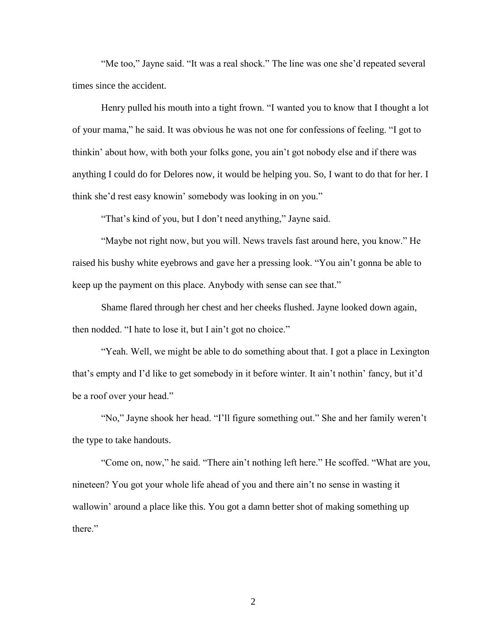"Me too," Jayne said. "It was a real shock." The line was one she'd repeated several times since the accident.

Henry pulled his mouth into a tight frown. "I wanted you to know that I thought a lot of your mama," he said. It was obvious he was not one for confessions of feeling. "I got to thinkin' about how, with both your folks gone, you ain't got nobody else and if there was anything I could do for Delores now, it would be helping you. So, I want to do that for her. I think she'd rest easy knowin' somebody was looking in on you."

"That's kind of you, but I don't need anything," Jayne said.

"Maybe not right now, but you will. News travels fast around here, you know." He raised his bushy white eyebrows and gave her a pressing look. "You ain't gonna be able to keep up the payment on this place. Anybody with sense can see that."

Shame flared through her chest and her cheeks flushed. Jayne looked down again, then nodded. "I hate to lose it, but I ain't got no choice."

"Yeah. Well, we might be able to do something about that. I got a place in Lexington that's empty and I'd like to get somebody in it before winter. It ain't nothin' fancy, but it'd be a roof over your head."

"No," Jayne shook her head. "I'll figure something out." She and her family weren't the type to take handouts.

"Come on, now," he said. "There ain't nothing left here." He scoffed. "What are you, nineteen? You got your whole life ahead of you and there ain't no sense in wasting it wallowin' around a place like this. You got a damn better shot of making something up there."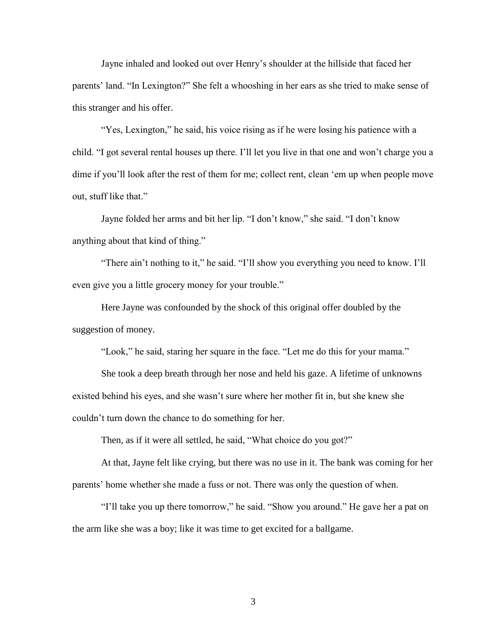Jayne inhaled and looked out over Henry's shoulder at the hillside that faced her parents' land. "In Lexington?" She felt a whooshing in her ears as she tried to make sense of this stranger and his offer.

"Yes, Lexington," he said, his voice rising as if he were losing his patience with a child. "I got several rental houses up there. I'll let you live in that one and won't charge you a dime if you'll look after the rest of them for me; collect rent, clean 'em up when people move out, stuff like that."

Jayne folded her arms and bit her lip. "I don't know," she said. "I don't know anything about that kind of thing."

"There ain't nothing to it," he said. "I'll show you everything you need to know. I'll even give you a little grocery money for your trouble."

Here Jayne was confounded by the shock of this original offer doubled by the suggestion of money.

"Look," he said, staring her square in the face. "Let me do this for your mama."

She took a deep breath through her nose and held his gaze. A lifetime of unknowns existed behind his eyes, and she wasn't sure where her mother fit in, but she knew she couldn't turn down the chance to do something for her.

Then, as if it were all settled, he said, "What choice do you got?"

At that, Jayne felt like crying, but there was no use in it. The bank was coming for her parents' home whether she made a fuss or not. There was only the question of when.

"I'll take you up there tomorrow," he said. "Show you around." He gave her a pat on the arm like she was a boy; like it was time to get excited for a ballgame.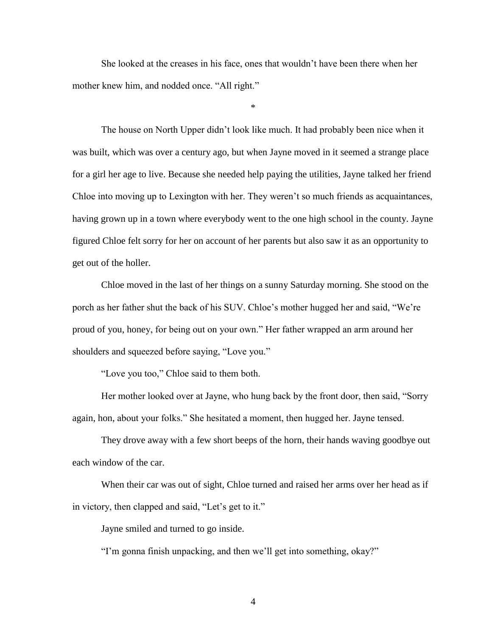She looked at the creases in his face, ones that wouldn't have been there when her mother knew him, and nodded once. "All right."

\*

The house on North Upper didn't look like much. It had probably been nice when it was built, which was over a century ago, but when Jayne moved in it seemed a strange place for a girl her age to live. Because she needed help paying the utilities, Jayne talked her friend Chloe into moving up to Lexington with her. They weren't so much friends as acquaintances, having grown up in a town where everybody went to the one high school in the county. Jayne figured Chloe felt sorry for her on account of her parents but also saw it as an opportunity to get out of the holler.

Chloe moved in the last of her things on a sunny Saturday morning. She stood on the porch as her father shut the back of his SUV. Chloe's mother hugged her and said, "We're proud of you, honey, for being out on your own." Her father wrapped an arm around her shoulders and squeezed before saying, "Love you."

"Love you too," Chloe said to them both.

Her mother looked over at Jayne, who hung back by the front door, then said, "Sorry again, hon, about your folks." She hesitated a moment, then hugged her. Jayne tensed.

They drove away with a few short beeps of the horn, their hands waving goodbye out each window of the car.

When their car was out of sight, Chloe turned and raised her arms over her head as if in victory, then clapped and said, "Let's get to it."

Jayne smiled and turned to go inside.

"I'm gonna finish unpacking, and then we'll get into something, okay?"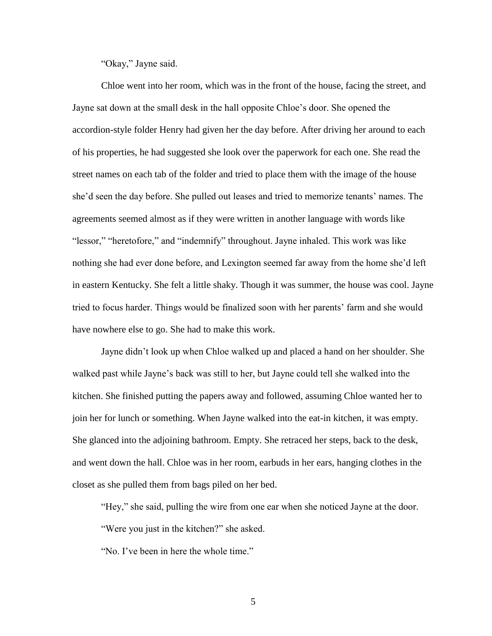"Okay," Jayne said.

Chloe went into her room, which was in the front of the house, facing the street, and Jayne sat down at the small desk in the hall opposite Chloe's door. She opened the accordion-style folder Henry had given her the day before. After driving her around to each of his properties, he had suggested she look over the paperwork for each one. She read the street names on each tab of the folder and tried to place them with the image of the house she'd seen the day before. She pulled out leases and tried to memorize tenants' names. The agreements seemed almost as if they were written in another language with words like "lessor," "heretofore," and "indemnify" throughout. Jayne inhaled. This work was like nothing she had ever done before, and Lexington seemed far away from the home she'd left in eastern Kentucky. She felt a little shaky. Though it was summer, the house was cool. Jayne tried to focus harder. Things would be finalized soon with her parents' farm and she would have nowhere else to go. She had to make this work.

Jayne didn't look up when Chloe walked up and placed a hand on her shoulder. She walked past while Jayne's back was still to her, but Jayne could tell she walked into the kitchen. She finished putting the papers away and followed, assuming Chloe wanted her to join her for lunch or something. When Jayne walked into the eat-in kitchen, it was empty. She glanced into the adjoining bathroom. Empty. She retraced her steps, back to the desk, and went down the hall. Chloe was in her room, earbuds in her ears, hanging clothes in the closet as she pulled them from bags piled on her bed.

"Hey," she said, pulling the wire from one ear when she noticed Jayne at the door.

"Were you just in the kitchen?" she asked.

"No. I've been in here the whole time."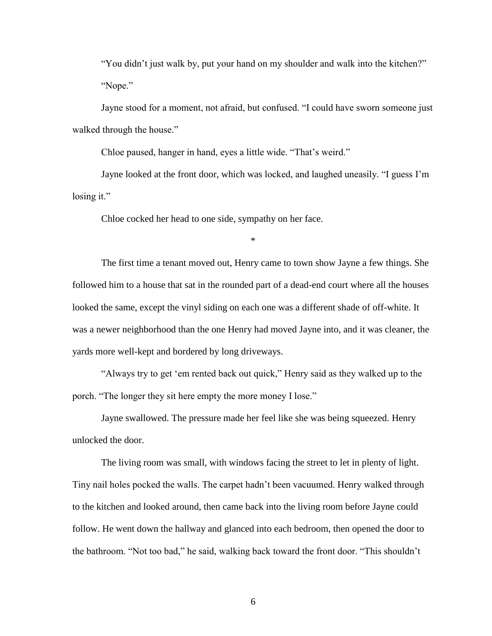"You didn't just walk by, put your hand on my shoulder and walk into the kitchen?" "Nope."

Jayne stood for a moment, not afraid, but confused. "I could have sworn someone just walked through the house."

Chloe paused, hanger in hand, eyes a little wide. "That's weird."

Jayne looked at the front door, which was locked, and laughed uneasily. "I guess I'm losing it."

Chloe cocked her head to one side, sympathy on her face.

\*

The first time a tenant moved out, Henry came to town show Jayne a few things. She followed him to a house that sat in the rounded part of a dead-end court where all the houses looked the same, except the vinyl siding on each one was a different shade of off-white. It was a newer neighborhood than the one Henry had moved Jayne into, and it was cleaner, the yards more well-kept and bordered by long driveways.

"Always try to get 'em rented back out quick," Henry said as they walked up to the porch. "The longer they sit here empty the more money I lose."

Jayne swallowed. The pressure made her feel like she was being squeezed. Henry unlocked the door.

The living room was small, with windows facing the street to let in plenty of light. Tiny nail holes pocked the walls. The carpet hadn't been vacuumed. Henry walked through to the kitchen and looked around, then came back into the living room before Jayne could follow. He went down the hallway and glanced into each bedroom, then opened the door to the bathroom. "Not too bad," he said, walking back toward the front door. "This shouldn't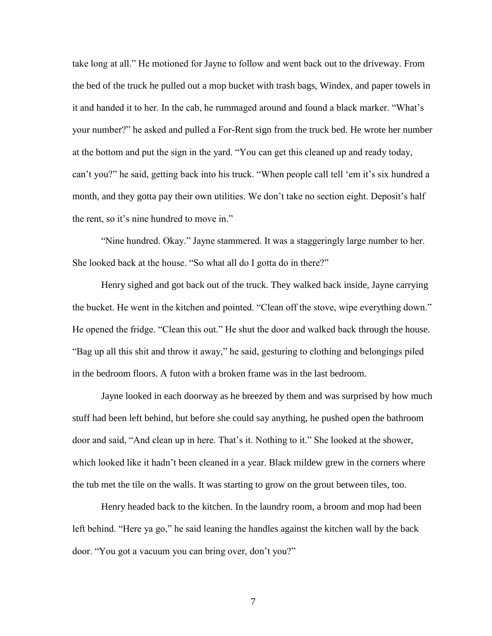take long at all." He motioned for Jayne to follow and went back out to the driveway. From the bed of the truck he pulled out a mop bucket with trash bags, Windex, and paper towels in it and handed it to her. In the cab, he rummaged around and found a black marker. "What's your number?" he asked and pulled a For-Rent sign from the truck bed. He wrote her number at the bottom and put the sign in the yard. "You can get this cleaned up and ready today, can't you?" he said, getting back into his truck. "When people call tell 'em it's six hundred a month, and they gotta pay their own utilities. We don't take no section eight. Deposit's half the rent, so it's nine hundred to move in."

"Nine hundred. Okay." Jayne stammered. It was a staggeringly large number to her. She looked back at the house. "So what all do I gotta do in there?"

Henry sighed and got back out of the truck. They walked back inside, Jayne carrying the bucket. He went in the kitchen and pointed. "Clean off the stove, wipe everything down." He opened the fridge. "Clean this out." He shut the door and walked back through the house. "Bag up all this shit and throw it away," he said, gesturing to clothing and belongings piled in the bedroom floors. A futon with a broken frame was in the last bedroom.

Jayne looked in each doorway as he breezed by them and was surprised by how much stuff had been left behind, but before she could say anything, he pushed open the bathroom door and said, "And clean up in here. That's it. Nothing to it." She looked at the shower, which looked like it hadn't been cleaned in a year. Black mildew grew in the corners where the tub met the tile on the walls. It was starting to grow on the grout between tiles, too.

Henry headed back to the kitchen. In the laundry room, a broom and mop had been left behind. "Here ya go," he said leaning the handles against the kitchen wall by the back door. "You got a vacuum you can bring over, don't you?"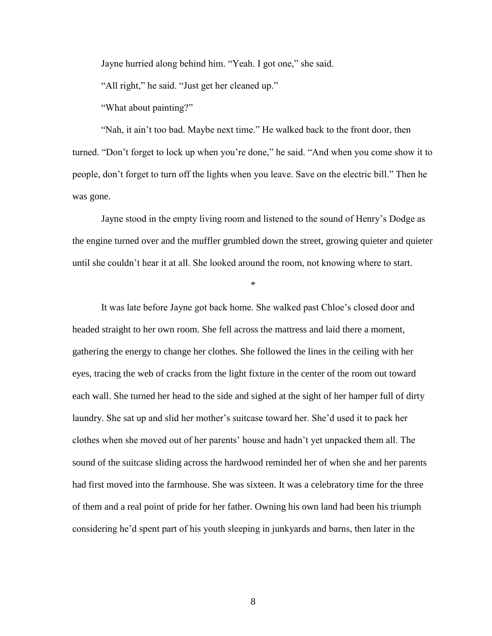Jayne hurried along behind him. "Yeah. I got one," she said.

"All right," he said. "Just get her cleaned up."

"What about painting?"

"Nah, it ain't too bad. Maybe next time." He walked back to the front door, then turned. "Don't forget to lock up when you're done," he said. "And when you come show it to people, don't forget to turn off the lights when you leave. Save on the electric bill." Then he was gone.

Jayne stood in the empty living room and listened to the sound of Henry's Dodge as the engine turned over and the muffler grumbled down the street, growing quieter and quieter until she couldn't hear it at all. She looked around the room, not knowing where to start.

\*

It was late before Jayne got back home. She walked past Chloe's closed door and headed straight to her own room. She fell across the mattress and laid there a moment, gathering the energy to change her clothes. She followed the lines in the ceiling with her eyes, tracing the web of cracks from the light fixture in the center of the room out toward each wall. She turned her head to the side and sighed at the sight of her hamper full of dirty laundry. She sat up and slid her mother's suitcase toward her. She'd used it to pack her clothes when she moved out of her parents' house and hadn't yet unpacked them all. The sound of the suitcase sliding across the hardwood reminded her of when she and her parents had first moved into the farmhouse. She was sixteen. It was a celebratory time for the three of them and a real point of pride for her father. Owning his own land had been his triumph considering he'd spent part of his youth sleeping in junkyards and barns, then later in the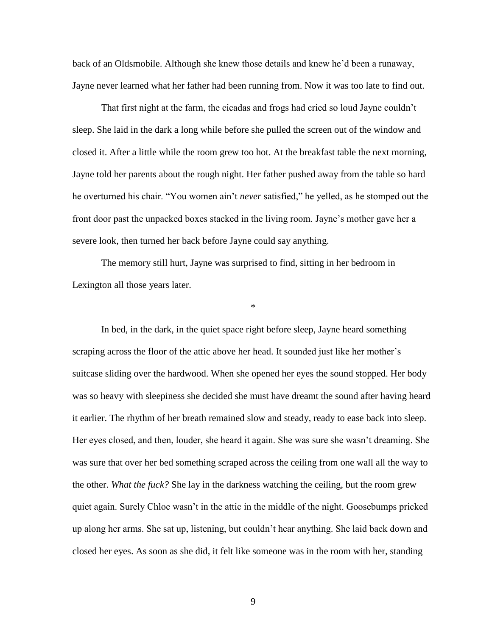back of an Oldsmobile. Although she knew those details and knew he'd been a runaway, Jayne never learned what her father had been running from. Now it was too late to find out.

That first night at the farm, the cicadas and frogs had cried so loud Jayne couldn't sleep. She laid in the dark a long while before she pulled the screen out of the window and closed it. After a little while the room grew too hot. At the breakfast table the next morning, Jayne told her parents about the rough night. Her father pushed away from the table so hard he overturned his chair. "You women ain't *never* satisfied," he yelled, as he stomped out the front door past the unpacked boxes stacked in the living room. Jayne's mother gave her a severe look, then turned her back before Jayne could say anything.

The memory still hurt, Jayne was surprised to find, sitting in her bedroom in Lexington all those years later.

\*

In bed, in the dark, in the quiet space right before sleep, Jayne heard something scraping across the floor of the attic above her head. It sounded just like her mother's suitcase sliding over the hardwood. When she opened her eyes the sound stopped. Her body was so heavy with sleepiness she decided she must have dreamt the sound after having heard it earlier. The rhythm of her breath remained slow and steady, ready to ease back into sleep. Her eyes closed, and then, louder, she heard it again. She was sure she wasn't dreaming. She was sure that over her bed something scraped across the ceiling from one wall all the way to the other. *What the fuck?* She lay in the darkness watching the ceiling, but the room grew quiet again. Surely Chloe wasn't in the attic in the middle of the night. Goosebumps pricked up along her arms. She sat up, listening, but couldn't hear anything. She laid back down and closed her eyes. As soon as she did, it felt like someone was in the room with her, standing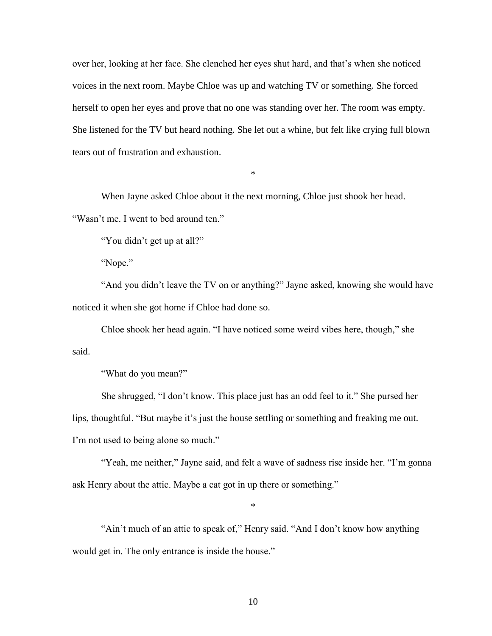over her, looking at her face. She clenched her eyes shut hard, and that's when she noticed voices in the next room. Maybe Chloe was up and watching TV or something. She forced herself to open her eyes and prove that no one was standing over her. The room was empty. She listened for the TV but heard nothing. She let out a whine, but felt like crying full blown tears out of frustration and exhaustion.

\*

When Jayne asked Chloe about it the next morning, Chloe just shook her head. "Wasn't me. I went to bed around ten."

"You didn't get up at all?"

"Nope."

"And you didn't leave the TV on or anything?" Jayne asked, knowing she would have noticed it when she got home if Chloe had done so.

Chloe shook her head again. "I have noticed some weird vibes here, though," she said.

"What do you mean?"

She shrugged, "I don't know. This place just has an odd feel to it." She pursed her lips, thoughtful. "But maybe it's just the house settling or something and freaking me out. I'm not used to being alone so much."

"Yeah, me neither," Jayne said, and felt a wave of sadness rise inside her. "I'm gonna ask Henry about the attic. Maybe a cat got in up there or something."

\*

"Ain't much of an attic to speak of," Henry said. "And I don't know how anything would get in. The only entrance is inside the house."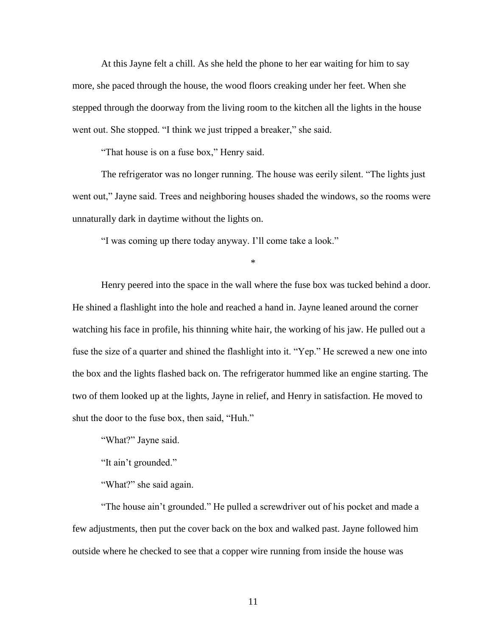At this Jayne felt a chill. As she held the phone to her ear waiting for him to say more, she paced through the house, the wood floors creaking under her feet. When she stepped through the doorway from the living room to the kitchen all the lights in the house went out. She stopped. "I think we just tripped a breaker," she said.

"That house is on a fuse box," Henry said.

The refrigerator was no longer running. The house was eerily silent. "The lights just went out," Jayne said. Trees and neighboring houses shaded the windows, so the rooms were unnaturally dark in daytime without the lights on.

"I was coming up there today anyway. I'll come take a look."

\*

Henry peered into the space in the wall where the fuse box was tucked behind a door. He shined a flashlight into the hole and reached a hand in. Jayne leaned around the corner watching his face in profile, his thinning white hair, the working of his jaw. He pulled out a fuse the size of a quarter and shined the flashlight into it. "Yep." He screwed a new one into the box and the lights flashed back on. The refrigerator hummed like an engine starting. The two of them looked up at the lights, Jayne in relief, and Henry in satisfaction. He moved to shut the door to the fuse box, then said, "Huh."

"What?" Jayne said.

"It ain't grounded."

"What?" she said again.

"The house ain't grounded." He pulled a screwdriver out of his pocket and made a few adjustments, then put the cover back on the box and walked past. Jayne followed him outside where he checked to see that a copper wire running from inside the house was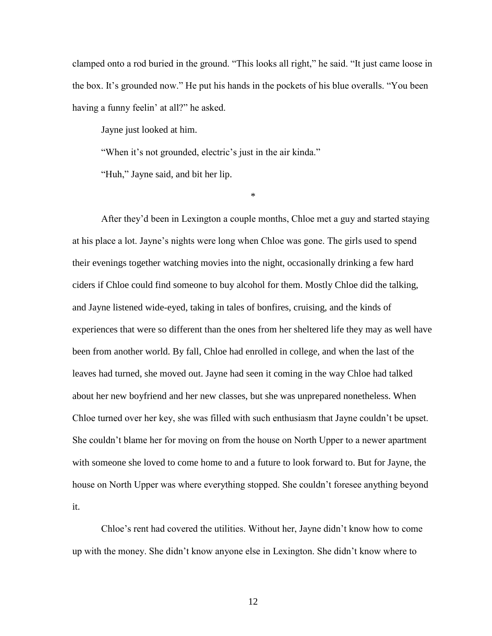clamped onto a rod buried in the ground. "This looks all right," he said. "It just came loose in the box. It's grounded now." He put his hands in the pockets of his blue overalls. "You been having a funny feelin' at all?" he asked.

Jayne just looked at him.

"When it's not grounded, electric's just in the air kinda."

"Huh," Jayne said, and bit her lip.

\*

After they'd been in Lexington a couple months, Chloe met a guy and started staying at his place a lot. Jayne's nights were long when Chloe was gone. The girls used to spend their evenings together watching movies into the night, occasionally drinking a few hard ciders if Chloe could find someone to buy alcohol for them. Mostly Chloe did the talking, and Jayne listened wide-eyed, taking in tales of bonfires, cruising, and the kinds of experiences that were so different than the ones from her sheltered life they may as well have been from another world. By fall, Chloe had enrolled in college, and when the last of the leaves had turned, she moved out. Jayne had seen it coming in the way Chloe had talked about her new boyfriend and her new classes, but she was unprepared nonetheless. When Chloe turned over her key, she was filled with such enthusiasm that Jayne couldn't be upset. She couldn't blame her for moving on from the house on North Upper to a newer apartment with someone she loved to come home to and a future to look forward to. But for Jayne, the house on North Upper was where everything stopped. She couldn't foresee anything beyond it.

Chloe's rent had covered the utilities. Without her, Jayne didn't know how to come up with the money. She didn't know anyone else in Lexington. She didn't know where to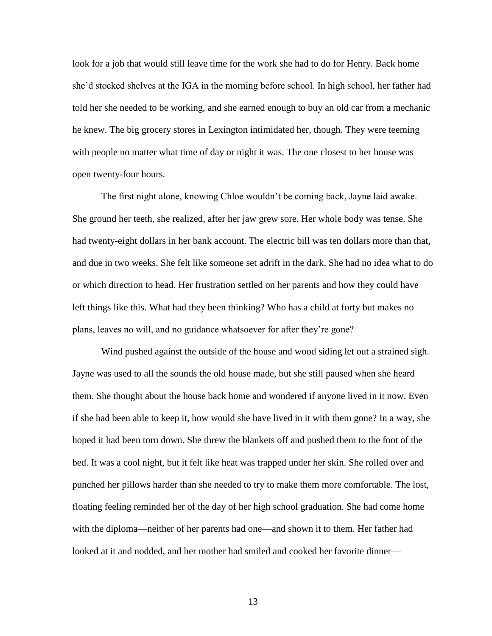look for a job that would still leave time for the work she had to do for Henry. Back home she'd stocked shelves at the IGA in the morning before school. In high school, her father had told her she needed to be working, and she earned enough to buy an old car from a mechanic he knew. The big grocery stores in Lexington intimidated her, though. They were teeming with people no matter what time of day or night it was. The one closest to her house was open twenty-four hours.

The first night alone, knowing Chloe wouldn't be coming back, Jayne laid awake. She ground her teeth, she realized, after her jaw grew sore. Her whole body was tense. She had twenty-eight dollars in her bank account. The electric bill was ten dollars more than that, and due in two weeks. She felt like someone set adrift in the dark. She had no idea what to do or which direction to head. Her frustration settled on her parents and how they could have left things like this. What had they been thinking? Who has a child at forty but makes no plans, leaves no will, and no guidance whatsoever for after they're gone?

Wind pushed against the outside of the house and wood siding let out a strained sigh. Jayne was used to all the sounds the old house made, but she still paused when she heard them. She thought about the house back home and wondered if anyone lived in it now. Even if she had been able to keep it, how would she have lived in it with them gone? In a way, she hoped it had been torn down. She threw the blankets off and pushed them to the foot of the bed. It was a cool night, but it felt like heat was trapped under her skin. She rolled over and punched her pillows harder than she needed to try to make them more comfortable. The lost, floating feeling reminded her of the day of her high school graduation. She had come home with the diploma—neither of her parents had one—and shown it to them. Her father had looked at it and nodded, and her mother had smiled and cooked her favorite dinner—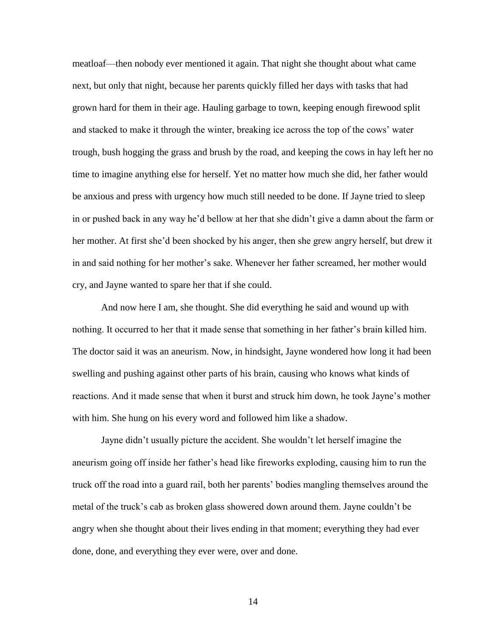meatloaf—then nobody ever mentioned it again. That night she thought about what came next, but only that night, because her parents quickly filled her days with tasks that had grown hard for them in their age. Hauling garbage to town, keeping enough firewood split and stacked to make it through the winter, breaking ice across the top of the cows' water trough, bush hogging the grass and brush by the road, and keeping the cows in hay left her no time to imagine anything else for herself. Yet no matter how much she did, her father would be anxious and press with urgency how much still needed to be done. If Jayne tried to sleep in or pushed back in any way he'd bellow at her that she didn't give a damn about the farm or her mother. At first she'd been shocked by his anger, then she grew angry herself, but drew it in and said nothing for her mother's sake. Whenever her father screamed, her mother would cry, and Jayne wanted to spare her that if she could.

And now here I am, she thought. She did everything he said and wound up with nothing. It occurred to her that it made sense that something in her father's brain killed him. The doctor said it was an aneurism. Now, in hindsight, Jayne wondered how long it had been swelling and pushing against other parts of his brain, causing who knows what kinds of reactions. And it made sense that when it burst and struck him down, he took Jayne's mother with him. She hung on his every word and followed him like a shadow.

Jayne didn't usually picture the accident. She wouldn't let herself imagine the aneurism going off inside her father's head like fireworks exploding, causing him to run the truck off the road into a guard rail, both her parents' bodies mangling themselves around the metal of the truck's cab as broken glass showered down around them. Jayne couldn't be angry when she thought about their lives ending in that moment; everything they had ever done, done, and everything they ever were, over and done.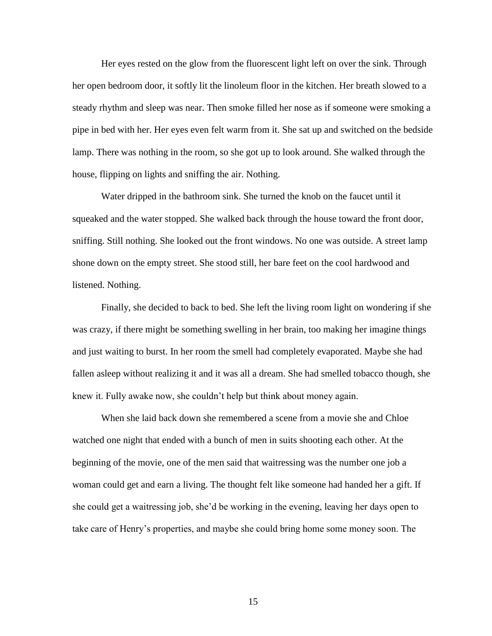Her eyes rested on the glow from the fluorescent light left on over the sink. Through her open bedroom door, it softly lit the linoleum floor in the kitchen. Her breath slowed to a steady rhythm and sleep was near. Then smoke filled her nose as if someone were smoking a pipe in bed with her. Her eyes even felt warm from it. She sat up and switched on the bedside lamp. There was nothing in the room, so she got up to look around. She walked through the house, flipping on lights and sniffing the air. Nothing.

Water dripped in the bathroom sink. She turned the knob on the faucet until it squeaked and the water stopped. She walked back through the house toward the front door, sniffing. Still nothing. She looked out the front windows. No one was outside. A street lamp shone down on the empty street. She stood still, her bare feet on the cool hardwood and listened. Nothing.

Finally, she decided to back to bed. She left the living room light on wondering if she was crazy, if there might be something swelling in her brain, too making her imagine things and just waiting to burst. In her room the smell had completely evaporated. Maybe she had fallen asleep without realizing it and it was all a dream. She had smelled tobacco though, she knew it. Fully awake now, she couldn't help but think about money again.

When she laid back down she remembered a scene from a movie she and Chloe watched one night that ended with a bunch of men in suits shooting each other. At the beginning of the movie, one of the men said that waitressing was the number one job a woman could get and earn a living. The thought felt like someone had handed her a gift. If she could get a waitressing job, she'd be working in the evening, leaving her days open to take care of Henry's properties, and maybe she could bring home some money soon. The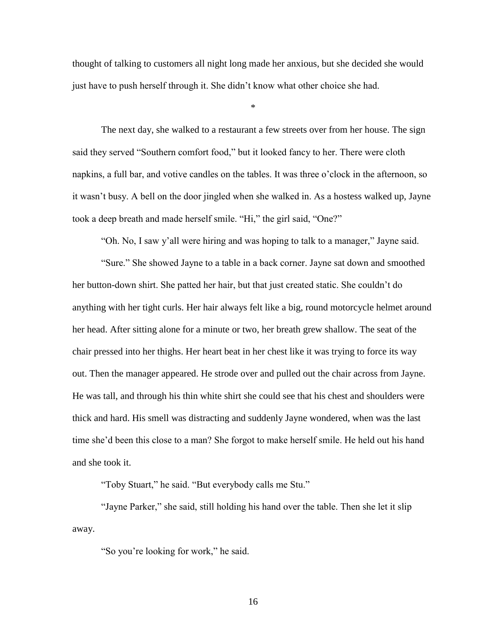thought of talking to customers all night long made her anxious, but she decided she would just have to push herself through it. She didn't know what other choice she had.

\*

The next day, she walked to a restaurant a few streets over from her house. The sign said they served "Southern comfort food," but it looked fancy to her. There were cloth napkins, a full bar, and votive candles on the tables. It was three o'clock in the afternoon, so it wasn't busy. A bell on the door jingled when she walked in. As a hostess walked up, Jayne took a deep breath and made herself smile. "Hi," the girl said, "One?"

"Oh. No, I saw y'all were hiring and was hoping to talk to a manager," Jayne said.

"Sure." She showed Jayne to a table in a back corner. Jayne sat down and smoothed her button-down shirt. She patted her hair, but that just created static. She couldn't do anything with her tight curls. Her hair always felt like a big, round motorcycle helmet around her head. After sitting alone for a minute or two, her breath grew shallow. The seat of the chair pressed into her thighs. Her heart beat in her chest like it was trying to force its way out. Then the manager appeared. He strode over and pulled out the chair across from Jayne. He was tall, and through his thin white shirt she could see that his chest and shoulders were thick and hard. His smell was distracting and suddenly Jayne wondered, when was the last time she'd been this close to a man? She forgot to make herself smile. He held out his hand and she took it.

"Toby Stuart," he said. "But everybody calls me Stu."

"Jayne Parker," she said, still holding his hand over the table. Then she let it slip away.

"So you're looking for work," he said.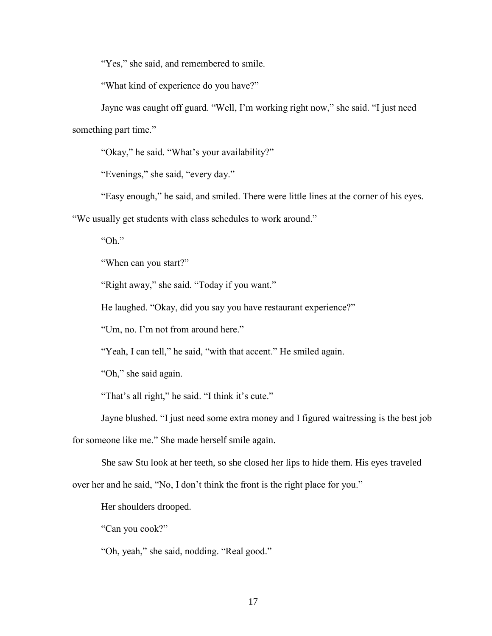"Yes," she said, and remembered to smile.

"What kind of experience do you have?"

Jayne was caught off guard. "Well, I'm working right now," she said. "I just need something part time."

"Okay," he said. "What's your availability?"

"Evenings," she said, "every day."

"Easy enough," he said, and smiled. There were little lines at the corner of his eyes.

"We usually get students with class schedules to work around."

"Oh."

"When can you start?"

"Right away," she said. "Today if you want."

He laughed. "Okay, did you say you have restaurant experience?"

"Um, no. I'm not from around here."

"Yeah, I can tell," he said, "with that accent." He smiled again.

"Oh," she said again.

"That's all right," he said. "I think it's cute."

Jayne blushed. "I just need some extra money and I figured waitressing is the best job

for someone like me." She made herself smile again.

She saw Stu look at her teeth, so she closed her lips to hide them. His eyes traveled

over her and he said, "No, I don't think the front is the right place for you."

Her shoulders drooped.

"Can you cook?"

"Oh, yeah," she said, nodding. "Real good."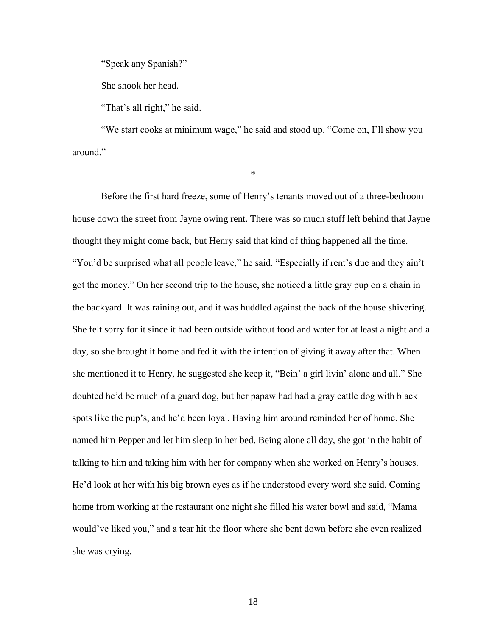"Speak any Spanish?"

She shook her head.

"That's all right," he said.

"We start cooks at minimum wage," he said and stood up. "Come on, I'll show you around."

\*

Before the first hard freeze, some of Henry's tenants moved out of a three-bedroom house down the street from Jayne owing rent. There was so much stuff left behind that Jayne thought they might come back, but Henry said that kind of thing happened all the time. "You'd be surprised what all people leave," he said. "Especially if rent's due and they ain't got the money." On her second trip to the house, she noticed a little gray pup on a chain in the backyard. It was raining out, and it was huddled against the back of the house shivering. She felt sorry for it since it had been outside without food and water for at least a night and a day, so she brought it home and fed it with the intention of giving it away after that. When she mentioned it to Henry, he suggested she keep it, "Bein' a girl livin' alone and all." She doubted he'd be much of a guard dog, but her papaw had had a gray cattle dog with black spots like the pup's, and he'd been loyal. Having him around reminded her of home. She named him Pepper and let him sleep in her bed. Being alone all day, she got in the habit of talking to him and taking him with her for company when she worked on Henry's houses. He'd look at her with his big brown eyes as if he understood every word she said. Coming home from working at the restaurant one night she filled his water bowl and said, "Mama would've liked you," and a tear hit the floor where she bent down before she even realized she was crying.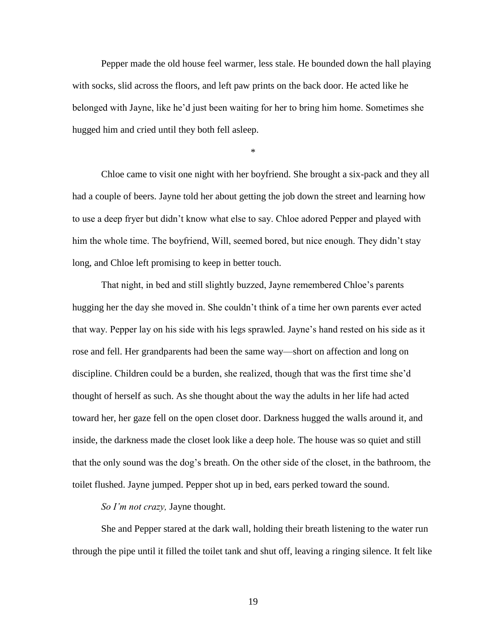Pepper made the old house feel warmer, less stale. He bounded down the hall playing with socks, slid across the floors, and left paw prints on the back door. He acted like he belonged with Jayne, like he'd just been waiting for her to bring him home. Sometimes she hugged him and cried until they both fell asleep.

\*

Chloe came to visit one night with her boyfriend. She brought a six-pack and they all had a couple of beers. Jayne told her about getting the job down the street and learning how to use a deep fryer but didn't know what else to say. Chloe adored Pepper and played with him the whole time. The boyfriend, Will, seemed bored, but nice enough. They didn't stay long, and Chloe left promising to keep in better touch.

That night, in bed and still slightly buzzed, Jayne remembered Chloe's parents hugging her the day she moved in. She couldn't think of a time her own parents ever acted that way. Pepper lay on his side with his legs sprawled. Jayne's hand rested on his side as it rose and fell. Her grandparents had been the same way—short on affection and long on discipline. Children could be a burden, she realized, though that was the first time she'd thought of herself as such. As she thought about the way the adults in her life had acted toward her, her gaze fell on the open closet door. Darkness hugged the walls around it, and inside, the darkness made the closet look like a deep hole. The house was so quiet and still that the only sound was the dog's breath. On the other side of the closet, in the bathroom, the toilet flushed. Jayne jumped. Pepper shot up in bed, ears perked toward the sound.

*So I'm not crazy,* Jayne thought.

She and Pepper stared at the dark wall, holding their breath listening to the water run through the pipe until it filled the toilet tank and shut off, leaving a ringing silence. It felt like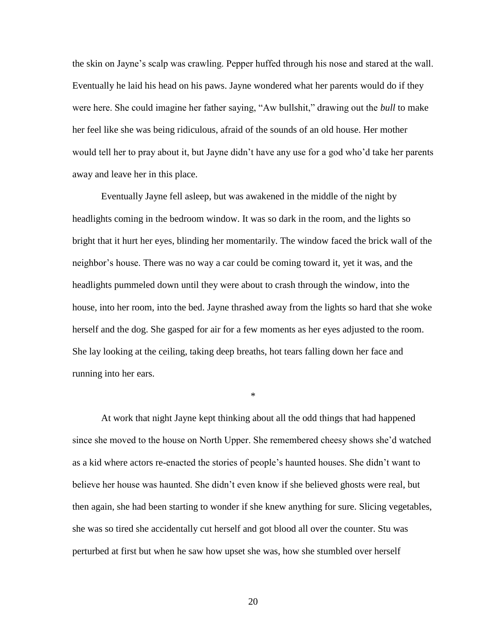the skin on Jayne's scalp was crawling. Pepper huffed through his nose and stared at the wall. Eventually he laid his head on his paws. Jayne wondered what her parents would do if they were here. She could imagine her father saying, "Aw bullshit," drawing out the *bull* to make her feel like she was being ridiculous, afraid of the sounds of an old house. Her mother would tell her to pray about it, but Jayne didn't have any use for a god who'd take her parents away and leave her in this place.

Eventually Jayne fell asleep, but was awakened in the middle of the night by headlights coming in the bedroom window. It was so dark in the room, and the lights so bright that it hurt her eyes, blinding her momentarily. The window faced the brick wall of the neighbor's house. There was no way a car could be coming toward it, yet it was, and the headlights pummeled down until they were about to crash through the window, into the house, into her room, into the bed. Jayne thrashed away from the lights so hard that she woke herself and the dog. She gasped for air for a few moments as her eyes adjusted to the room. She lay looking at the ceiling, taking deep breaths, hot tears falling down her face and running into her ears.

\*

At work that night Jayne kept thinking about all the odd things that had happened since she moved to the house on North Upper. She remembered cheesy shows she'd watched as a kid where actors re-enacted the stories of people's haunted houses. She didn't want to believe her house was haunted. She didn't even know if she believed ghosts were real, but then again, she had been starting to wonder if she knew anything for sure. Slicing vegetables, she was so tired she accidentally cut herself and got blood all over the counter. Stu was perturbed at first but when he saw how upset she was, how she stumbled over herself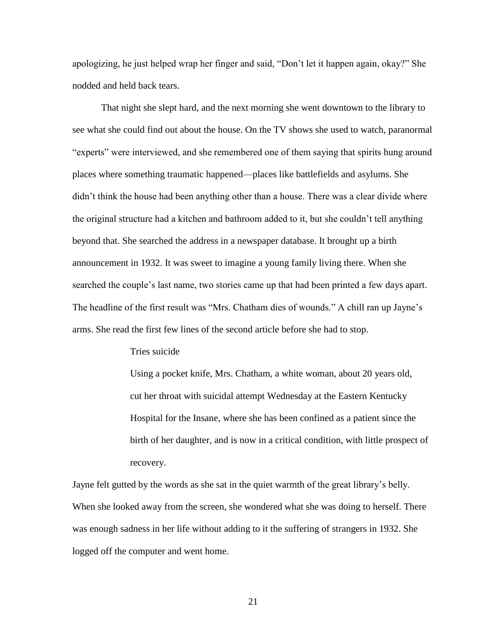apologizing, he just helped wrap her finger and said, "Don't let it happen again, okay?" She nodded and held back tears.

That night she slept hard, and the next morning she went downtown to the library to see what she could find out about the house. On the TV shows she used to watch, paranormal "experts" were interviewed, and she remembered one of them saying that spirits hung around places where something traumatic happened—places like battlefields and asylums. She didn't think the house had been anything other than a house. There was a clear divide where the original structure had a kitchen and bathroom added to it, but she couldn't tell anything beyond that. She searched the address in a newspaper database. It brought up a birth announcement in 1932. It was sweet to imagine a young family living there. When she searched the couple's last name, two stories came up that had been printed a few days apart. The headline of the first result was "Mrs. Chatham dies of wounds." A chill ran up Jayne's arms. She read the first few lines of the second article before she had to stop.

#### Tries suicide

Using a pocket knife, Mrs. Chatham, a white woman, about 20 years old, cut her throat with suicidal attempt Wednesday at the Eastern Kentucky Hospital for the Insane, where she has been confined as a patient since the birth of her daughter, and is now in a critical condition, with little prospect of recovery.

Jayne felt gutted by the words as she sat in the quiet warmth of the great library's belly. When she looked away from the screen, she wondered what she was doing to herself. There was enough sadness in her life without adding to it the suffering of strangers in 1932. She logged off the computer and went home.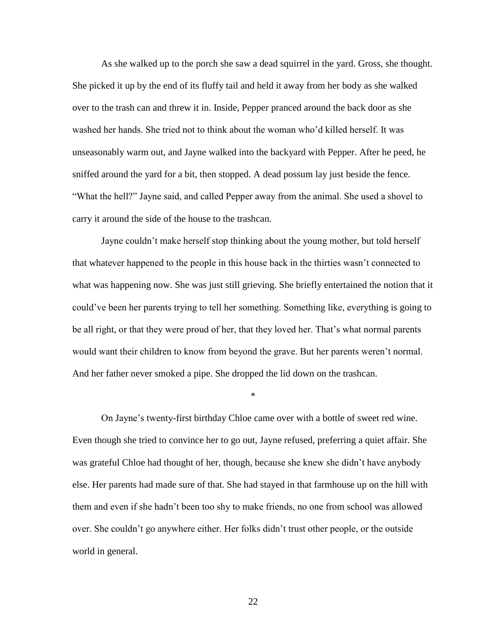As she walked up to the porch she saw a dead squirrel in the yard. Gross, she thought. She picked it up by the end of its fluffy tail and held it away from her body as she walked over to the trash can and threw it in. Inside, Pepper pranced around the back door as she washed her hands. She tried not to think about the woman who'd killed herself. It was unseasonably warm out, and Jayne walked into the backyard with Pepper. After he peed, he sniffed around the yard for a bit, then stopped. A dead possum lay just beside the fence. "What the hell?" Jayne said, and called Pepper away from the animal. She used a shovel to carry it around the side of the house to the trashcan.

Jayne couldn't make herself stop thinking about the young mother, but told herself that whatever happened to the people in this house back in the thirties wasn't connected to what was happening now. She was just still grieving. She briefly entertained the notion that it could've been her parents trying to tell her something. Something like, everything is going to be all right, or that they were proud of her, that they loved her. That's what normal parents would want their children to know from beyond the grave. But her parents weren't normal. And her father never smoked a pipe. She dropped the lid down on the trashcan.

\*

On Jayne's twenty-first birthday Chloe came over with a bottle of sweet red wine. Even though she tried to convince her to go out, Jayne refused, preferring a quiet affair. She was grateful Chloe had thought of her, though, because she knew she didn't have anybody else. Her parents had made sure of that. She had stayed in that farmhouse up on the hill with them and even if she hadn't been too shy to make friends, no one from school was allowed over. She couldn't go anywhere either. Her folks didn't trust other people, or the outside world in general.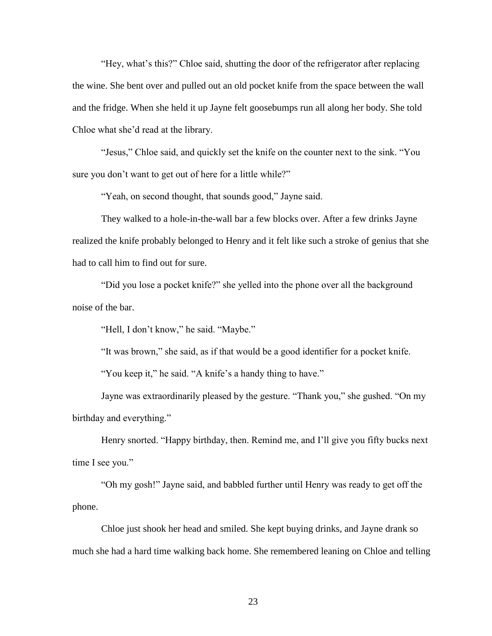"Hey, what's this?" Chloe said, shutting the door of the refrigerator after replacing the wine. She bent over and pulled out an old pocket knife from the space between the wall and the fridge. When she held it up Jayne felt goosebumps run all along her body. She told Chloe what she'd read at the library.

"Jesus," Chloe said, and quickly set the knife on the counter next to the sink. "You sure you don't want to get out of here for a little while?"

"Yeah, on second thought, that sounds good," Jayne said.

They walked to a hole-in-the-wall bar a few blocks over. After a few drinks Jayne realized the knife probably belonged to Henry and it felt like such a stroke of genius that she had to call him to find out for sure.

"Did you lose a pocket knife?" she yelled into the phone over all the background noise of the bar.

"Hell, I don't know," he said. "Maybe."

"It was brown," she said, as if that would be a good identifier for a pocket knife.

"You keep it," he said. "A knife's a handy thing to have."

Jayne was extraordinarily pleased by the gesture. "Thank you," she gushed. "On my birthday and everything."

Henry snorted. "Happy birthday, then. Remind me, and I'll give you fifty bucks next time I see you."

"Oh my gosh!" Jayne said, and babbled further until Henry was ready to get off the phone.

Chloe just shook her head and smiled. She kept buying drinks, and Jayne drank so much she had a hard time walking back home. She remembered leaning on Chloe and telling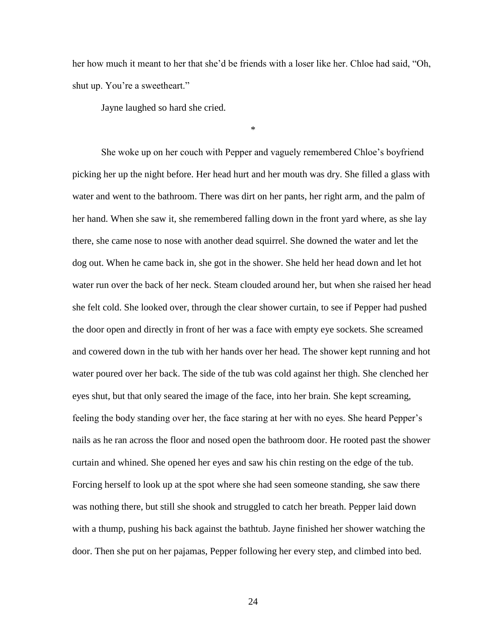her how much it meant to her that she'd be friends with a loser like her. Chloe had said, "Oh, shut up. You're a sweetheart."

\*

Jayne laughed so hard she cried.

She woke up on her couch with Pepper and vaguely remembered Chloe's boyfriend picking her up the night before. Her head hurt and her mouth was dry. She filled a glass with water and went to the bathroom. There was dirt on her pants, her right arm, and the palm of her hand. When she saw it, she remembered falling down in the front yard where, as she lay there, she came nose to nose with another dead squirrel. She downed the water and let the dog out. When he came back in, she got in the shower. She held her head down and let hot water run over the back of her neck. Steam clouded around her, but when she raised her head she felt cold. She looked over, through the clear shower curtain, to see if Pepper had pushed the door open and directly in front of her was a face with empty eye sockets. She screamed and cowered down in the tub with her hands over her head. The shower kept running and hot water poured over her back. The side of the tub was cold against her thigh. She clenched her eyes shut, but that only seared the image of the face, into her brain. She kept screaming, feeling the body standing over her, the face staring at her with no eyes. She heard Pepper's nails as he ran across the floor and nosed open the bathroom door. He rooted past the shower curtain and whined. She opened her eyes and saw his chin resting on the edge of the tub. Forcing herself to look up at the spot where she had seen someone standing, she saw there was nothing there, but still she shook and struggled to catch her breath. Pepper laid down with a thump, pushing his back against the bathtub. Jayne finished her shower watching the door. Then she put on her pajamas, Pepper following her every step, and climbed into bed.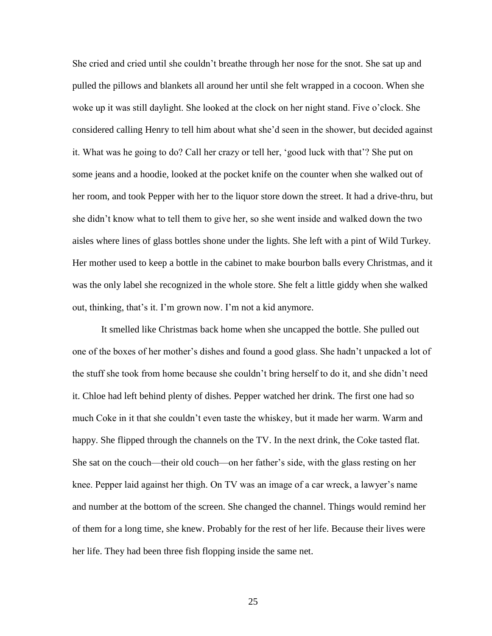She cried and cried until she couldn't breathe through her nose for the snot. She sat up and pulled the pillows and blankets all around her until she felt wrapped in a cocoon. When she woke up it was still daylight. She looked at the clock on her night stand. Five o'clock. She considered calling Henry to tell him about what she'd seen in the shower, but decided against it. What was he going to do? Call her crazy or tell her, 'good luck with that'? She put on some jeans and a hoodie, looked at the pocket knife on the counter when she walked out of her room, and took Pepper with her to the liquor store down the street. It had a drive-thru, but she didn't know what to tell them to give her, so she went inside and walked down the two aisles where lines of glass bottles shone under the lights. She left with a pint of Wild Turkey. Her mother used to keep a bottle in the cabinet to make bourbon balls every Christmas, and it was the only label she recognized in the whole store. She felt a little giddy when she walked out, thinking, that's it. I'm grown now. I'm not a kid anymore.

It smelled like Christmas back home when she uncapped the bottle. She pulled out one of the boxes of her mother's dishes and found a good glass. She hadn't unpacked a lot of the stuff she took from home because she couldn't bring herself to do it, and she didn't need it. Chloe had left behind plenty of dishes. Pepper watched her drink. The first one had so much Coke in it that she couldn't even taste the whiskey, but it made her warm. Warm and happy. She flipped through the channels on the TV. In the next drink, the Coke tasted flat. She sat on the couch—their old couch—on her father's side, with the glass resting on her knee. Pepper laid against her thigh. On TV was an image of a car wreck, a lawyer's name and number at the bottom of the screen. She changed the channel. Things would remind her of them for a long time, she knew. Probably for the rest of her life. Because their lives were her life. They had been three fish flopping inside the same net.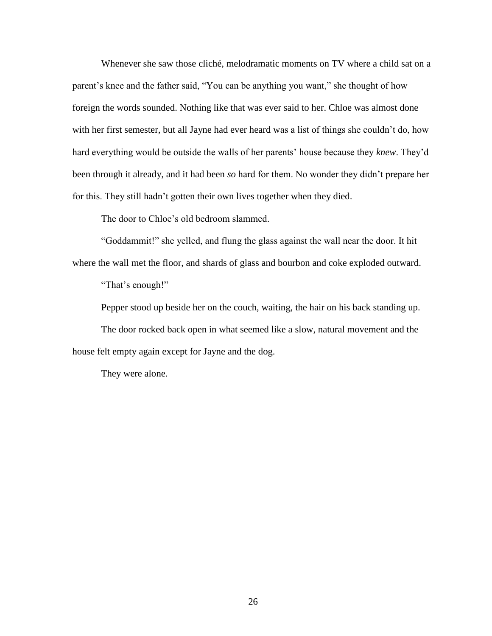Whenever she saw those cliché, melodramatic moments on TV where a child sat on a parent's knee and the father said, "You can be anything you want," she thought of how foreign the words sounded. Nothing like that was ever said to her. Chloe was almost done with her first semester, but all Jayne had ever heard was a list of things she couldn't do, how hard everything would be outside the walls of her parents' house because they *knew*. They'd been through it already, and it had been *so* hard for them. No wonder they didn't prepare her for this. They still hadn't gotten their own lives together when they died.

The door to Chloe's old bedroom slammed.

"Goddammit!" she yelled, and flung the glass against the wall near the door. It hit where the wall met the floor, and shards of glass and bourbon and coke exploded outward.

"That's enough!"

Pepper stood up beside her on the couch, waiting, the hair on his back standing up.

The door rocked back open in what seemed like a slow, natural movement and the house felt empty again except for Jayne and the dog.

They were alone.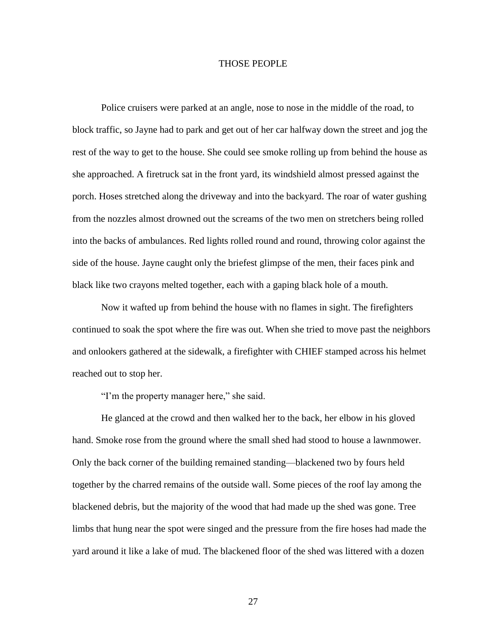#### THOSE PEOPLE

Police cruisers were parked at an angle, nose to nose in the middle of the road, to block traffic, so Jayne had to park and get out of her car halfway down the street and jog the rest of the way to get to the house. She could see smoke rolling up from behind the house as she approached. A firetruck sat in the front yard, its windshield almost pressed against the porch. Hoses stretched along the driveway and into the backyard. The roar of water gushing from the nozzles almost drowned out the screams of the two men on stretchers being rolled into the backs of ambulances. Red lights rolled round and round, throwing color against the side of the house. Jayne caught only the briefest glimpse of the men, their faces pink and black like two crayons melted together, each with a gaping black hole of a mouth.

Now it wafted up from behind the house with no flames in sight. The firefighters continued to soak the spot where the fire was out. When she tried to move past the neighbors and onlookers gathered at the sidewalk, a firefighter with CHIEF stamped across his helmet reached out to stop her.

"I'm the property manager here," she said.

He glanced at the crowd and then walked her to the back, her elbow in his gloved hand. Smoke rose from the ground where the small shed had stood to house a lawnmower. Only the back corner of the building remained standing—blackened two by fours held together by the charred remains of the outside wall. Some pieces of the roof lay among the blackened debris, but the majority of the wood that had made up the shed was gone. Tree limbs that hung near the spot were singed and the pressure from the fire hoses had made the yard around it like a lake of mud. The blackened floor of the shed was littered with a dozen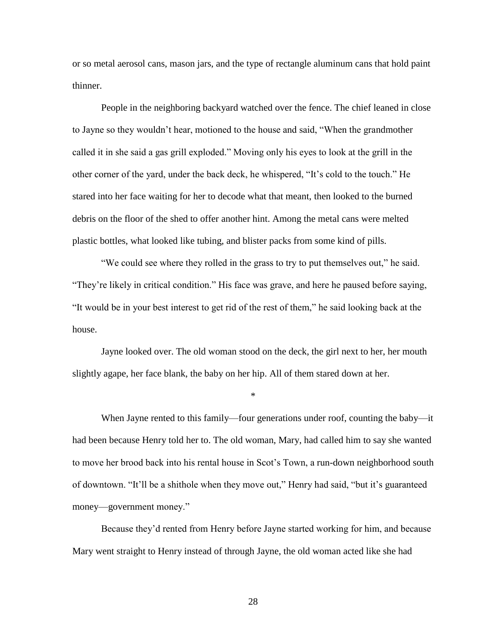or so metal aerosol cans, mason jars, and the type of rectangle aluminum cans that hold paint thinner.

People in the neighboring backyard watched over the fence. The chief leaned in close to Jayne so they wouldn't hear, motioned to the house and said, "When the grandmother called it in she said a gas grill exploded." Moving only his eyes to look at the grill in the other corner of the yard, under the back deck, he whispered, "It's cold to the touch." He stared into her face waiting for her to decode what that meant, then looked to the burned debris on the floor of the shed to offer another hint. Among the metal cans were melted plastic bottles, what looked like tubing, and blister packs from some kind of pills.

"We could see where they rolled in the grass to try to put themselves out," he said. "They're likely in critical condition." His face was grave, and here he paused before saying, "It would be in your best interest to get rid of the rest of them," he said looking back at the house.

Jayne looked over. The old woman stood on the deck, the girl next to her, her mouth slightly agape, her face blank, the baby on her hip. All of them stared down at her.

\*

When Jayne rented to this family—four generations under roof, counting the baby—it had been because Henry told her to. The old woman, Mary, had called him to say she wanted to move her brood back into his rental house in Scot's Town, a run-down neighborhood south of downtown. "It'll be a shithole when they move out," Henry had said, "but it's guaranteed money—government money."

Because they'd rented from Henry before Jayne started working for him, and because Mary went straight to Henry instead of through Jayne, the old woman acted like she had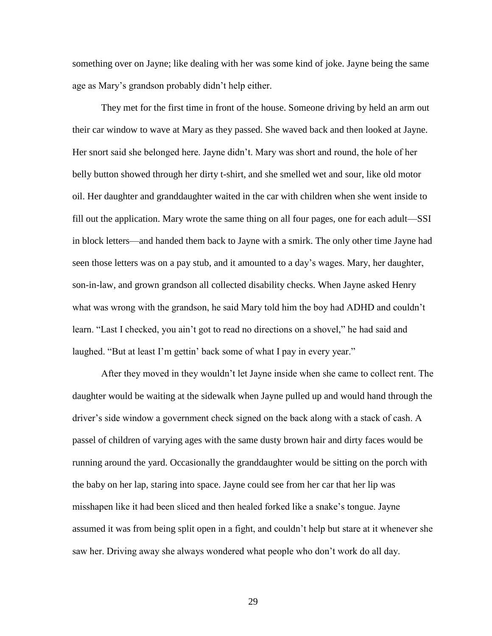something over on Jayne; like dealing with her was some kind of joke. Jayne being the same age as Mary's grandson probably didn't help either.

They met for the first time in front of the house. Someone driving by held an arm out their car window to wave at Mary as they passed. She waved back and then looked at Jayne. Her snort said she belonged here. Jayne didn't. Mary was short and round, the hole of her belly button showed through her dirty t-shirt, and she smelled wet and sour, like old motor oil. Her daughter and granddaughter waited in the car with children when she went inside to fill out the application. Mary wrote the same thing on all four pages, one for each adult—SSI in block letters—and handed them back to Jayne with a smirk. The only other time Jayne had seen those letters was on a pay stub, and it amounted to a day's wages. Mary, her daughter, son-in-law, and grown grandson all collected disability checks. When Jayne asked Henry what was wrong with the grandson, he said Mary told him the boy had ADHD and couldn't learn. "Last I checked, you ain't got to read no directions on a shovel," he had said and laughed. "But at least I'm gettin' back some of what I pay in every year."

After they moved in they wouldn't let Jayne inside when she came to collect rent. The daughter would be waiting at the sidewalk when Jayne pulled up and would hand through the driver's side window a government check signed on the back along with a stack of cash. A passel of children of varying ages with the same dusty brown hair and dirty faces would be running around the yard. Occasionally the granddaughter would be sitting on the porch with the baby on her lap, staring into space. Jayne could see from her car that her lip was misshapen like it had been sliced and then healed forked like a snake's tongue. Jayne assumed it was from being split open in a fight, and couldn't help but stare at it whenever she saw her. Driving away she always wondered what people who don't work do all day.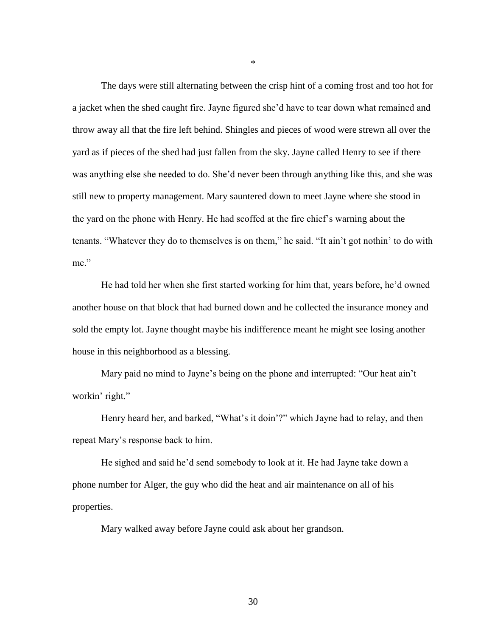The days were still alternating between the crisp hint of a coming frost and too hot for a jacket when the shed caught fire. Jayne figured she'd have to tear down what remained and throw away all that the fire left behind. Shingles and pieces of wood were strewn all over the yard as if pieces of the shed had just fallen from the sky. Jayne called Henry to see if there was anything else she needed to do. She'd never been through anything like this, and she was still new to property management. Mary sauntered down to meet Jayne where she stood in the yard on the phone with Henry. He had scoffed at the fire chief's warning about the tenants. "Whatever they do to themselves is on them," he said. "It ain't got nothin' to do with me"

He had told her when she first started working for him that, years before, he'd owned another house on that block that had burned down and he collected the insurance money and sold the empty lot. Jayne thought maybe his indifference meant he might see losing another house in this neighborhood as a blessing.

Mary paid no mind to Jayne's being on the phone and interrupted: "Our heat ain't workin' right."

Henry heard her, and barked, "What's it doin'?" which Jayne had to relay, and then repeat Mary's response back to him.

He sighed and said he'd send somebody to look at it. He had Jayne take down a phone number for Alger, the guy who did the heat and air maintenance on all of his properties.

Mary walked away before Jayne could ask about her grandson.

\*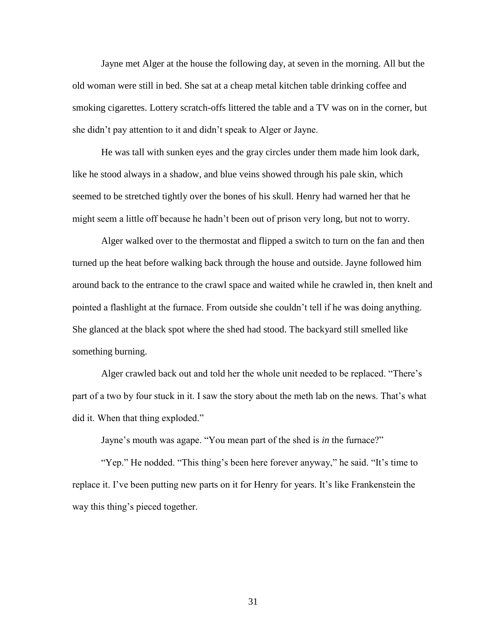Jayne met Alger at the house the following day, at seven in the morning. All but the old woman were still in bed. She sat at a cheap metal kitchen table drinking coffee and smoking cigarettes. Lottery scratch-offs littered the table and a TV was on in the corner, but she didn't pay attention to it and didn't speak to Alger or Jayne.

He was tall with sunken eyes and the gray circles under them made him look dark, like he stood always in a shadow, and blue veins showed through his pale skin, which seemed to be stretched tightly over the bones of his skull. Henry had warned her that he might seem a little off because he hadn't been out of prison very long, but not to worry.

Alger walked over to the thermostat and flipped a switch to turn on the fan and then turned up the heat before walking back through the house and outside. Jayne followed him around back to the entrance to the crawl space and waited while he crawled in, then knelt and pointed a flashlight at the furnace. From outside she couldn't tell if he was doing anything. She glanced at the black spot where the shed had stood. The backyard still smelled like something burning.

Alger crawled back out and told her the whole unit needed to be replaced. "There's part of a two by four stuck in it. I saw the story about the meth lab on the news. That's what did it. When that thing exploded."

Jayne's mouth was agape. "You mean part of the shed is *in* the furnace?"

"Yep." He nodded. "This thing's been here forever anyway," he said. "It's time to replace it. I've been putting new parts on it for Henry for years. It's like Frankenstein the way this thing's pieced together.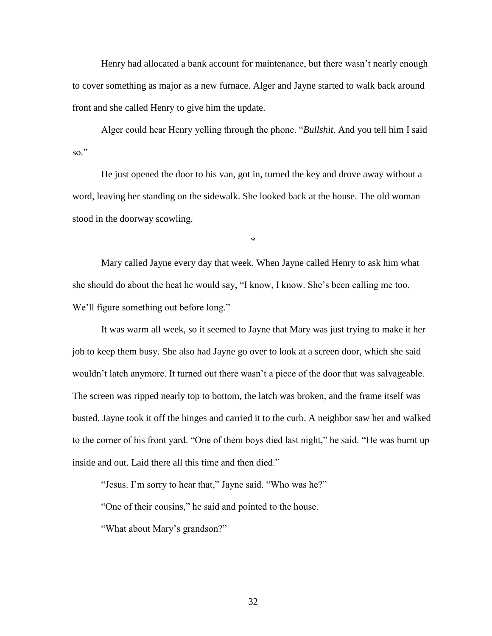Henry had allocated a bank account for maintenance, but there wasn't nearly enough to cover something as major as a new furnace. Alger and Jayne started to walk back around front and she called Henry to give him the update.

Alger could hear Henry yelling through the phone. "*Bullshit*. And you tell him I said so."

He just opened the door to his van, got in, turned the key and drove away without a word, leaving her standing on the sidewalk. She looked back at the house. The old woman stood in the doorway scowling.

\*

Mary called Jayne every day that week. When Jayne called Henry to ask him what she should do about the heat he would say, "I know, I know. She's been calling me too. We'll figure something out before long."

It was warm all week, so it seemed to Jayne that Mary was just trying to make it her job to keep them busy. She also had Jayne go over to look at a screen door, which she said wouldn't latch anymore. It turned out there wasn't a piece of the door that was salvageable. The screen was ripped nearly top to bottom, the latch was broken, and the frame itself was busted. Jayne took it off the hinges and carried it to the curb. A neighbor saw her and walked to the corner of his front yard. "One of them boys died last night," he said. "He was burnt up inside and out. Laid there all this time and then died."

"Jesus. I'm sorry to hear that," Jayne said. "Who was he?"

"One of their cousins," he said and pointed to the house.

"What about Mary's grandson?"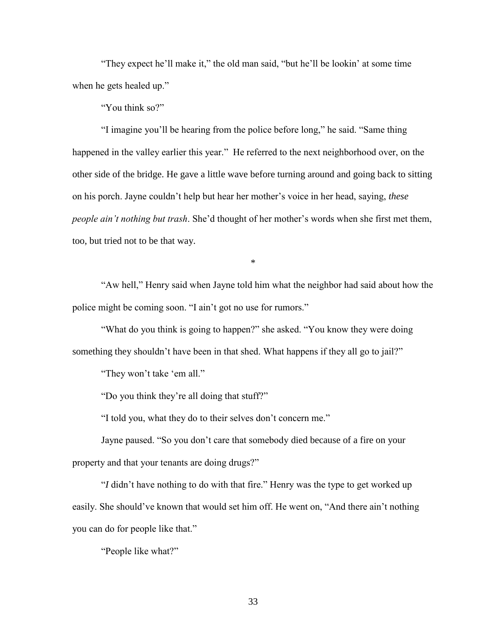"They expect he'll make it," the old man said, "but he'll be lookin' at some time when he gets healed up."

"You think so?"

"I imagine you'll be hearing from the police before long," he said. "Same thing happened in the valley earlier this year." He referred to the next neighborhood over, on the other side of the bridge. He gave a little wave before turning around and going back to sitting on his porch. Jayne couldn't help but hear her mother's voice in her head, saying, *these people ain't nothing but trash*. She'd thought of her mother's words when she first met them, too, but tried not to be that way.

\*

"Aw hell," Henry said when Jayne told him what the neighbor had said about how the police might be coming soon. "I ain't got no use for rumors."

"What do you think is going to happen?" she asked. "You know they were doing something they shouldn't have been in that shed. What happens if they all go to jail?"

"They won't take 'em all."

"Do you think they're all doing that stuff?"

"I told you, what they do to their selves don't concern me."

Jayne paused. "So you don't care that somebody died because of a fire on your property and that your tenants are doing drugs?"

"*I* didn't have nothing to do with that fire." Henry was the type to get worked up easily. She should've known that would set him off. He went on, "And there ain't nothing you can do for people like that."

"People like what?"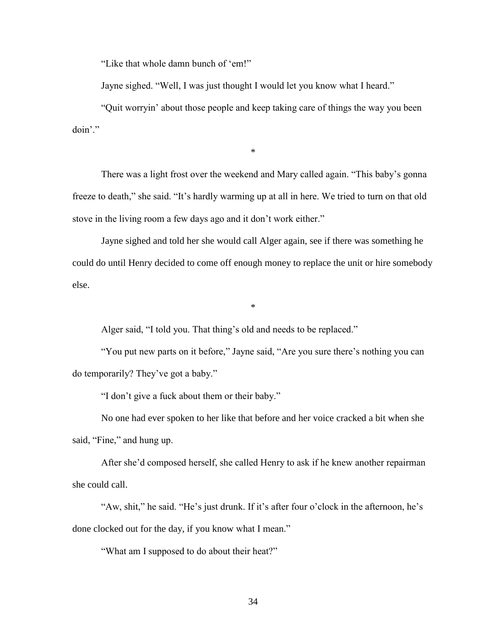"Like that whole damn bunch of 'em!"

Jayne sighed. "Well, I was just thought I would let you know what I heard."

"Quit worryin' about those people and keep taking care of things the way you been doin'."

\*

There was a light frost over the weekend and Mary called again. "This baby's gonna freeze to death," she said. "It's hardly warming up at all in here. We tried to turn on that old stove in the living room a few days ago and it don't work either."

Jayne sighed and told her she would call Alger again, see if there was something he could do until Henry decided to come off enough money to replace the unit or hire somebody else.

\*

Alger said, "I told you. That thing's old and needs to be replaced."

"You put new parts on it before," Jayne said, "Are you sure there's nothing you can do temporarily? They've got a baby."

"I don't give a fuck about them or their baby."

No one had ever spoken to her like that before and her voice cracked a bit when she said, "Fine," and hung up.

After she'd composed herself, she called Henry to ask if he knew another repairman she could call.

"Aw, shit," he said. "He's just drunk. If it's after four o'clock in the afternoon, he's done clocked out for the day, if you know what I mean."

"What am I supposed to do about their heat?"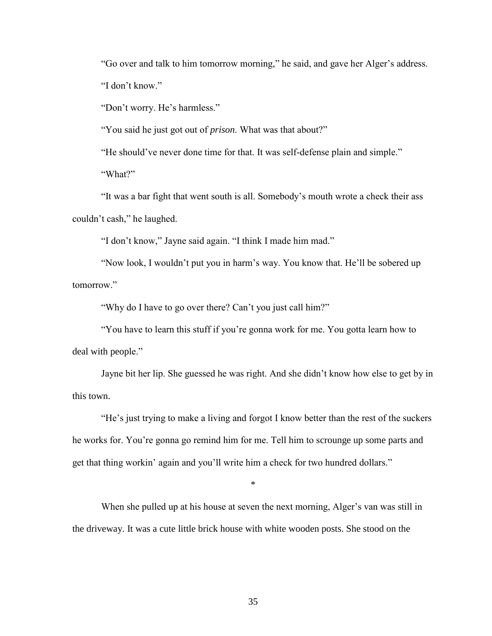"Go over and talk to him tomorrow morning," he said, and gave her Alger's address. "I don't know."

"Don't worry. He's harmless."

"You said he just got out of *prison*. What was that about?"

"He should've never done time for that. It was self-defense plain and simple." "What?"

"It was a bar fight that went south is all. Somebody's mouth wrote a check their ass couldn't cash," he laughed.

"I don't know," Jayne said again. "I think I made him mad."

"Now look, I wouldn't put you in harm's way. You know that. He'll be sobered up tomorrow."

"Why do I have to go over there? Can't you just call him?"

"You have to learn this stuff if you're gonna work for me. You gotta learn how to deal with people."

Jayne bit her lip. She guessed he was right. And she didn't know how else to get by in this town.

"He's just trying to make a living and forgot I know better than the rest of the suckers he works for. You're gonna go remind him for me. Tell him to scrounge up some parts and get that thing workin' again and you'll write him a check for two hundred dollars."

\*

When she pulled up at his house at seven the next morning, Alger's van was still in the driveway. It was a cute little brick house with white wooden posts. She stood on the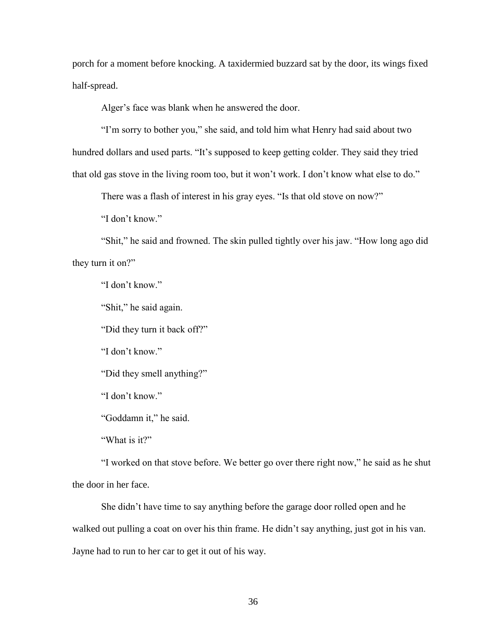porch for a moment before knocking. A taxidermied buzzard sat by the door, its wings fixed half-spread.

Alger's face was blank when he answered the door.

"I'm sorry to bother you," she said, and told him what Henry had said about two hundred dollars and used parts. "It's supposed to keep getting colder. They said they tried that old gas stove in the living room too, but it won't work. I don't know what else to do."

There was a flash of interest in his gray eyes. "Is that old stove on now?"

"I don't know"

"Shit," he said and frowned. The skin pulled tightly over his jaw. "How long ago did they turn it on?"

"I don't know."

"Shit," he said again.

"Did they turn it back off?"

"I don't know."

"Did they smell anything?"

"I don't know."

"Goddamn it," he said.

"What is it?"

"I worked on that stove before. We better go over there right now," he said as he shut the door in her face.

She didn't have time to say anything before the garage door rolled open and he walked out pulling a coat on over his thin frame. He didn't say anything, just got in his van. Jayne had to run to her car to get it out of his way.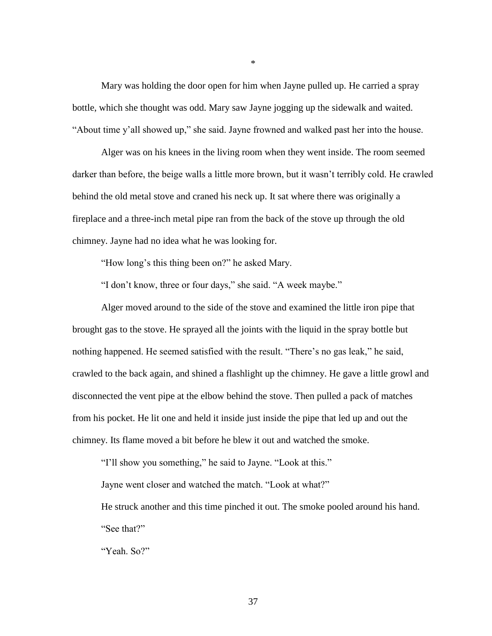Mary was holding the door open for him when Jayne pulled up. He carried a spray bottle, which she thought was odd. Mary saw Jayne jogging up the sidewalk and waited. "About time y'all showed up," she said. Jayne frowned and walked past her into the house.

Alger was on his knees in the living room when they went inside. The room seemed darker than before, the beige walls a little more brown, but it wasn't terribly cold. He crawled behind the old metal stove and craned his neck up. It sat where there was originally a fireplace and a three-inch metal pipe ran from the back of the stove up through the old chimney. Jayne had no idea what he was looking for.

"How long's this thing been on?" he asked Mary.

"I don't know, three or four days," she said. "A week maybe."

Alger moved around to the side of the stove and examined the little iron pipe that brought gas to the stove. He sprayed all the joints with the liquid in the spray bottle but nothing happened. He seemed satisfied with the result. "There's no gas leak," he said, crawled to the back again, and shined a flashlight up the chimney. He gave a little growl and disconnected the vent pipe at the elbow behind the stove. Then pulled a pack of matches from his pocket. He lit one and held it inside just inside the pipe that led up and out the chimney. Its flame moved a bit before he blew it out and watched the smoke.

"I'll show you something," he said to Jayne. "Look at this."

Jayne went closer and watched the match. "Look at what?"

He struck another and this time pinched it out. The smoke pooled around his hand. "See that?"

"Yeah. So?"

\*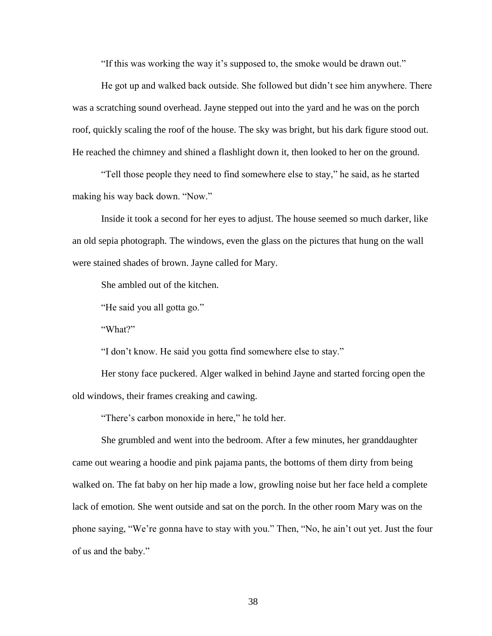"If this was working the way it's supposed to, the smoke would be drawn out."

He got up and walked back outside. She followed but didn't see him anywhere. There was a scratching sound overhead. Jayne stepped out into the yard and he was on the porch roof, quickly scaling the roof of the house. The sky was bright, but his dark figure stood out. He reached the chimney and shined a flashlight down it, then looked to her on the ground.

"Tell those people they need to find somewhere else to stay," he said, as he started making his way back down. "Now."

Inside it took a second for her eyes to adjust. The house seemed so much darker, like an old sepia photograph. The windows, even the glass on the pictures that hung on the wall were stained shades of brown. Jayne called for Mary.

She ambled out of the kitchen.

"He said you all gotta go."

"What?"

"I don't know. He said you gotta find somewhere else to stay."

Her stony face puckered. Alger walked in behind Jayne and started forcing open the old windows, their frames creaking and cawing.

"There's carbon monoxide in here," he told her.

She grumbled and went into the bedroom. After a few minutes, her granddaughter came out wearing a hoodie and pink pajama pants, the bottoms of them dirty from being walked on. The fat baby on her hip made a low, growling noise but her face held a complete lack of emotion. She went outside and sat on the porch. In the other room Mary was on the phone saying, "We're gonna have to stay with you." Then, "No, he ain't out yet. Just the four of us and the baby."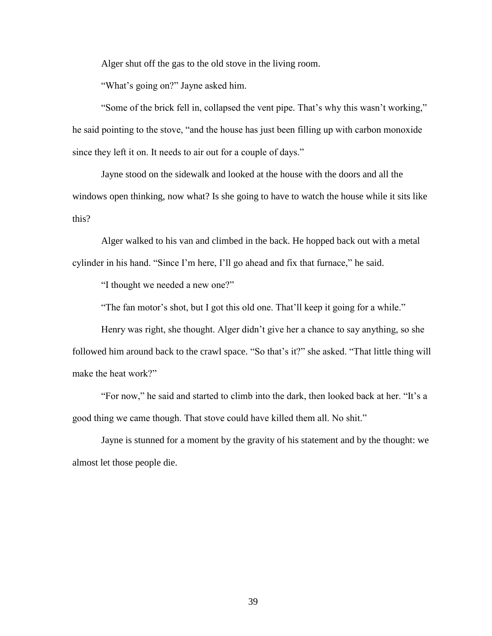Alger shut off the gas to the old stove in the living room.

"What's going on?" Jayne asked him.

"Some of the brick fell in, collapsed the vent pipe. That's why this wasn't working," he said pointing to the stove, "and the house has just been filling up with carbon monoxide since they left it on. It needs to air out for a couple of days."

Jayne stood on the sidewalk and looked at the house with the doors and all the windows open thinking, now what? Is she going to have to watch the house while it sits like this?

Alger walked to his van and climbed in the back. He hopped back out with a metal cylinder in his hand. "Since I'm here, I'll go ahead and fix that furnace," he said.

"I thought we needed a new one?"

"The fan motor's shot, but I got this old one. That'll keep it going for a while."

Henry was right, she thought. Alger didn't give her a chance to say anything, so she followed him around back to the crawl space. "So that's it?" she asked. "That little thing will make the heat work?"

"For now," he said and started to climb into the dark, then looked back at her. "It's a good thing we came though. That stove could have killed them all. No shit."

Jayne is stunned for a moment by the gravity of his statement and by the thought: we almost let those people die.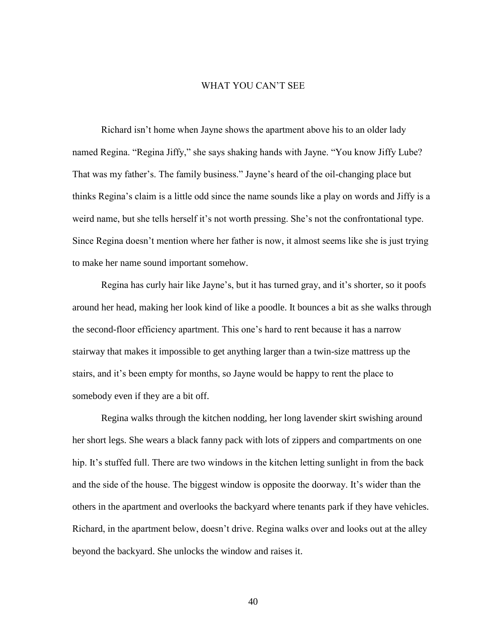## WHAT YOU CAN'T SEE

Richard isn't home when Jayne shows the apartment above his to an older lady named Regina. "Regina Jiffy," she says shaking hands with Jayne. "You know Jiffy Lube? That was my father's. The family business." Jayne's heard of the oil-changing place but thinks Regina's claim is a little odd since the name sounds like a play on words and Jiffy is a weird name, but she tells herself it's not worth pressing. She's not the confrontational type. Since Regina doesn't mention where her father is now, it almost seems like she is just trying to make her name sound important somehow.

Regina has curly hair like Jayne's, but it has turned gray, and it's shorter, so it poofs around her head, making her look kind of like a poodle. It bounces a bit as she walks through the second-floor efficiency apartment. This one's hard to rent because it has a narrow stairway that makes it impossible to get anything larger than a twin-size mattress up the stairs, and it's been empty for months, so Jayne would be happy to rent the place to somebody even if they are a bit off.

Regina walks through the kitchen nodding, her long lavender skirt swishing around her short legs. She wears a black fanny pack with lots of zippers and compartments on one hip. It's stuffed full. There are two windows in the kitchen letting sunlight in from the back and the side of the house. The biggest window is opposite the doorway. It's wider than the others in the apartment and overlooks the backyard where tenants park if they have vehicles. Richard, in the apartment below, doesn't drive. Regina walks over and looks out at the alley beyond the backyard. She unlocks the window and raises it.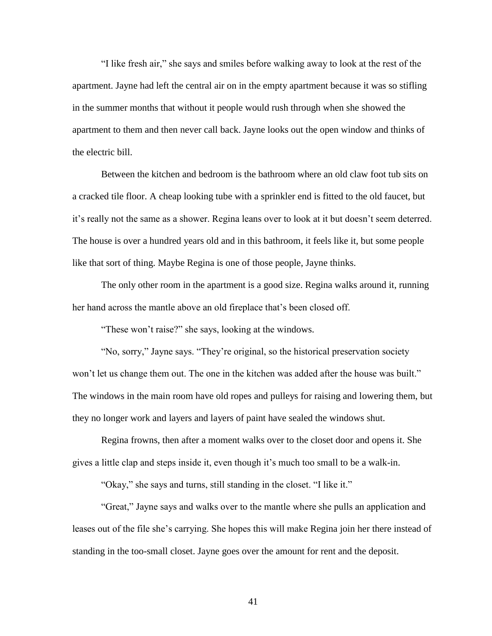"I like fresh air," she says and smiles before walking away to look at the rest of the apartment. Jayne had left the central air on in the empty apartment because it was so stifling in the summer months that without it people would rush through when she showed the apartment to them and then never call back. Jayne looks out the open window and thinks of the electric bill.

Between the kitchen and bedroom is the bathroom where an old claw foot tub sits on a cracked tile floor. A cheap looking tube with a sprinkler end is fitted to the old faucet, but it's really not the same as a shower. Regina leans over to look at it but doesn't seem deterred. The house is over a hundred years old and in this bathroom, it feels like it, but some people like that sort of thing. Maybe Regina is one of those people, Jayne thinks.

The only other room in the apartment is a good size. Regina walks around it, running her hand across the mantle above an old fireplace that's been closed off.

"These won't raise?" she says, looking at the windows.

"No, sorry," Jayne says. "They're original, so the historical preservation society won't let us change them out. The one in the kitchen was added after the house was built." The windows in the main room have old ropes and pulleys for raising and lowering them, but they no longer work and layers and layers of paint have sealed the windows shut.

Regina frowns, then after a moment walks over to the closet door and opens it. She gives a little clap and steps inside it, even though it's much too small to be a walk-in.

"Okay," she says and turns, still standing in the closet. "I like it."

"Great," Jayne says and walks over to the mantle where she pulls an application and leases out of the file she's carrying. She hopes this will make Regina join her there instead of standing in the too-small closet. Jayne goes over the amount for rent and the deposit.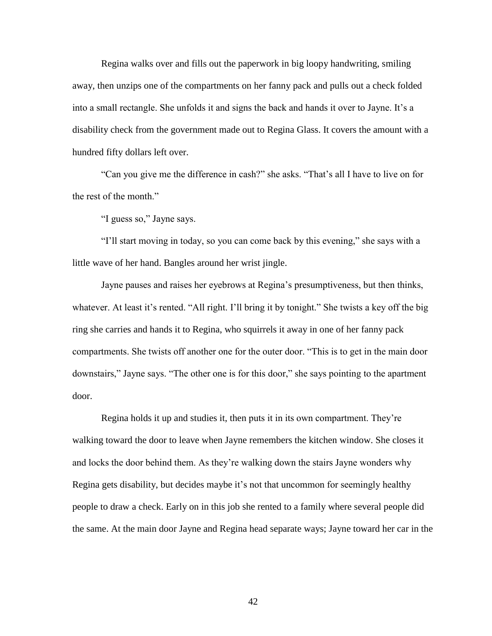Regina walks over and fills out the paperwork in big loopy handwriting, smiling away, then unzips one of the compartments on her fanny pack and pulls out a check folded into a small rectangle. She unfolds it and signs the back and hands it over to Jayne. It's a disability check from the government made out to Regina Glass. It covers the amount with a hundred fifty dollars left over.

"Can you give me the difference in cash?" she asks. "That's all I have to live on for the rest of the month."

"I guess so," Jayne says.

"I'll start moving in today, so you can come back by this evening," she says with a little wave of her hand. Bangles around her wrist jingle.

Jayne pauses and raises her eyebrows at Regina's presumptiveness, but then thinks, whatever. At least it's rented. "All right. I'll bring it by tonight." She twists a key off the big ring she carries and hands it to Regina, who squirrels it away in one of her fanny pack compartments. She twists off another one for the outer door. "This is to get in the main door downstairs," Jayne says. "The other one is for this door," she says pointing to the apartment door.

Regina holds it up and studies it, then puts it in its own compartment. They're walking toward the door to leave when Jayne remembers the kitchen window. She closes it and locks the door behind them. As they're walking down the stairs Jayne wonders why Regina gets disability, but decides maybe it's not that uncommon for seemingly healthy people to draw a check. Early on in this job she rented to a family where several people did the same. At the main door Jayne and Regina head separate ways; Jayne toward her car in the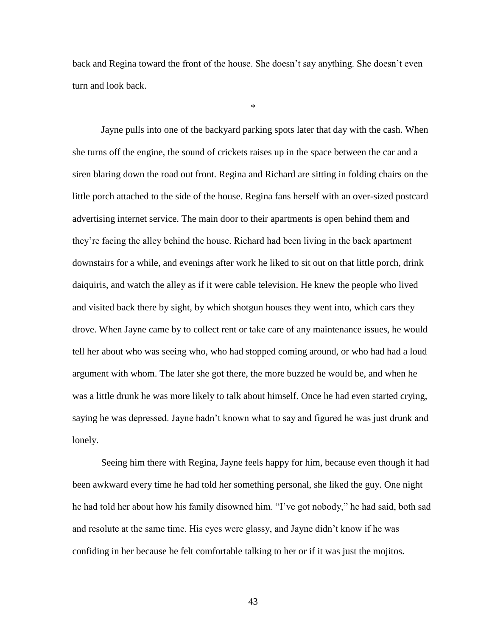back and Regina toward the front of the house. She doesn't say anything. She doesn't even turn and look back.

\*

Jayne pulls into one of the backyard parking spots later that day with the cash. When she turns off the engine, the sound of crickets raises up in the space between the car and a siren blaring down the road out front. Regina and Richard are sitting in folding chairs on the little porch attached to the side of the house. Regina fans herself with an over-sized postcard advertising internet service. The main door to their apartments is open behind them and they're facing the alley behind the house. Richard had been living in the back apartment downstairs for a while, and evenings after work he liked to sit out on that little porch, drink daiquiris, and watch the alley as if it were cable television. He knew the people who lived and visited back there by sight, by which shotgun houses they went into, which cars they drove. When Jayne came by to collect rent or take care of any maintenance issues, he would tell her about who was seeing who, who had stopped coming around, or who had had a loud argument with whom. The later she got there, the more buzzed he would be, and when he was a little drunk he was more likely to talk about himself. Once he had even started crying, saying he was depressed. Jayne hadn't known what to say and figured he was just drunk and lonely.

Seeing him there with Regina, Jayne feels happy for him, because even though it had been awkward every time he had told her something personal, she liked the guy. One night he had told her about how his family disowned him. "I've got nobody," he had said, both sad and resolute at the same time. His eyes were glassy, and Jayne didn't know if he was confiding in her because he felt comfortable talking to her or if it was just the mojitos.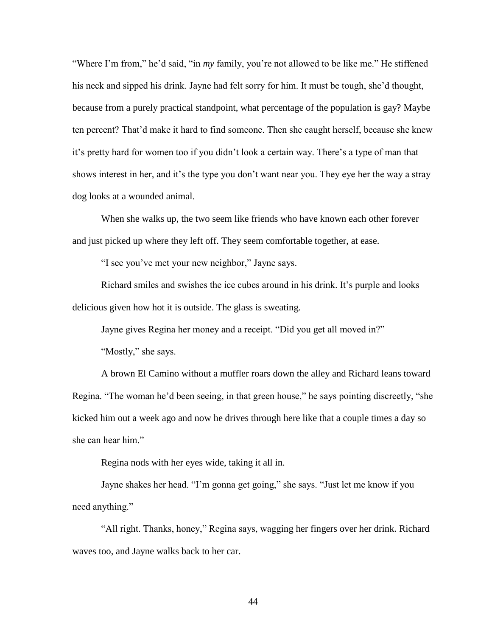"Where I'm from," he'd said, "in *my* family, you're not allowed to be like me." He stiffened his neck and sipped his drink. Jayne had felt sorry for him. It must be tough, she'd thought, because from a purely practical standpoint, what percentage of the population is gay? Maybe ten percent? That'd make it hard to find someone. Then she caught herself, because she knew it's pretty hard for women too if you didn't look a certain way. There's a type of man that shows interest in her, and it's the type you don't want near you. They eye her the way a stray dog looks at a wounded animal.

When she walks up, the two seem like friends who have known each other forever and just picked up where they left off. They seem comfortable together, at ease.

"I see you've met your new neighbor," Jayne says.

Richard smiles and swishes the ice cubes around in his drink. It's purple and looks delicious given how hot it is outside. The glass is sweating.

Jayne gives Regina her money and a receipt. "Did you get all moved in?"

"Mostly," she says.

A brown El Camino without a muffler roars down the alley and Richard leans toward Regina. "The woman he'd been seeing, in that green house," he says pointing discreetly, "she kicked him out a week ago and now he drives through here like that a couple times a day so she can hear him."

Regina nods with her eyes wide, taking it all in.

Jayne shakes her head. "I'm gonna get going," she says. "Just let me know if you need anything."

"All right. Thanks, honey," Regina says, wagging her fingers over her drink. Richard waves too, and Jayne walks back to her car.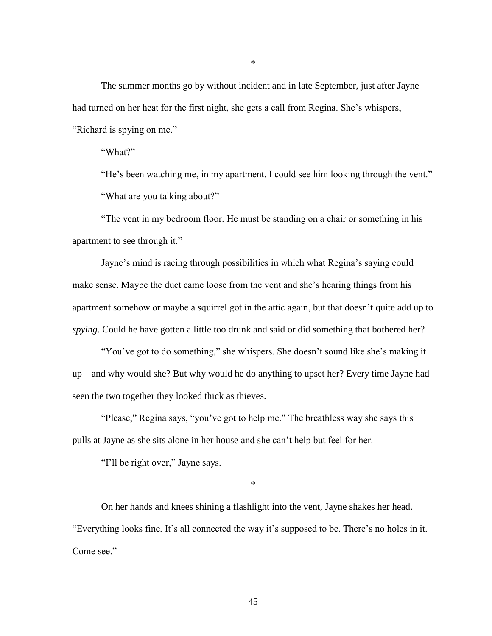The summer months go by without incident and in late September, just after Jayne had turned on her heat for the first night, she gets a call from Regina. She's whispers, "Richard is spying on me."

"What?"

"He's been watching me, in my apartment. I could see him looking through the vent." "What are you talking about?"

"The vent in my bedroom floor. He must be standing on a chair or something in his apartment to see through it."

Jayne's mind is racing through possibilities in which what Regina's saying could make sense. Maybe the duct came loose from the vent and she's hearing things from his apartment somehow or maybe a squirrel got in the attic again, but that doesn't quite add up to *spying*. Could he have gotten a little too drunk and said or did something that bothered her?

"You've got to do something," she whispers. She doesn't sound like she's making it up—and why would she? But why would he do anything to upset her? Every time Jayne had seen the two together they looked thick as thieves.

"Please," Regina says, "you've got to help me." The breathless way she says this pulls at Jayne as she sits alone in her house and she can't help but feel for her.

"I'll be right over," Jayne says.

\*

On her hands and knees shining a flashlight into the vent, Jayne shakes her head. "Everything looks fine. It's all connected the way it's supposed to be. There's no holes in it. Come see."

\*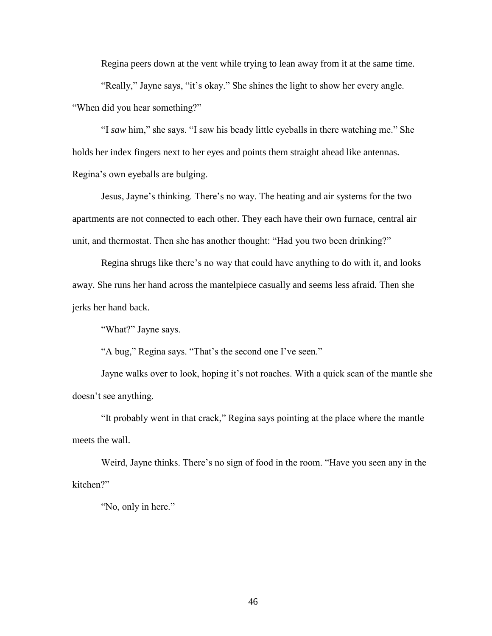Regina peers down at the vent while trying to lean away from it at the same time. "Really," Jayne says, "it's okay." She shines the light to show her every angle. "When did you hear something?"

"I *saw* him," she says. "I saw his beady little eyeballs in there watching me." She holds her index fingers next to her eyes and points them straight ahead like antennas. Regina's own eyeballs are bulging.

Jesus, Jayne's thinking. There's no way. The heating and air systems for the two apartments are not connected to each other. They each have their own furnace, central air unit, and thermostat. Then she has another thought: "Had you two been drinking?"

Regina shrugs like there's no way that could have anything to do with it, and looks away. She runs her hand across the mantelpiece casually and seems less afraid*.* Then she jerks her hand back.

"What?" Jayne says.

"A bug," Regina says. "That's the second one I've seen."

Jayne walks over to look, hoping it's not roaches. With a quick scan of the mantle she doesn't see anything.

"It probably went in that crack," Regina says pointing at the place where the mantle meets the wall.

Weird, Jayne thinks. There's no sign of food in the room. "Have you seen any in the kitchen?"

"No, only in here."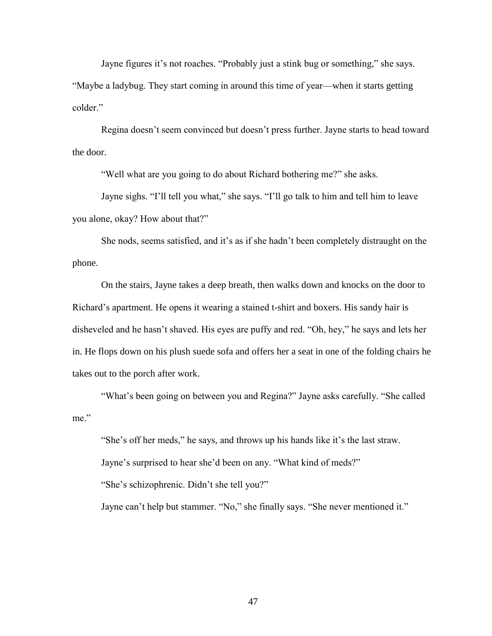Jayne figures it's not roaches. "Probably just a stink bug or something," she says. "Maybe a ladybug. They start coming in around this time of year—when it starts getting colder."

Regina doesn't seem convinced but doesn't press further. Jayne starts to head toward the door.

"Well what are you going to do about Richard bothering me?" she asks.

Jayne sighs. "I'll tell you what," she says. "I'll go talk to him and tell him to leave you alone, okay? How about that?"

She nods, seems satisfied, and it's as if she hadn't been completely distraught on the phone.

On the stairs, Jayne takes a deep breath, then walks down and knocks on the door to Richard's apartment. He opens it wearing a stained t-shirt and boxers. His sandy hair is disheveled and he hasn't shaved. His eyes are puffy and red. "Oh, hey," he says and lets her in. He flops down on his plush suede sofa and offers her a seat in one of the folding chairs he takes out to the porch after work.

"What's been going on between you and Regina?" Jayne asks carefully. "She called me."

"She's off her meds," he says, and throws up his hands like it's the last straw. Jayne's surprised to hear she'd been on any. "What kind of meds?" "She's schizophrenic. Didn't she tell you?"

Jayne can't help but stammer. "No," she finally says. "She never mentioned it."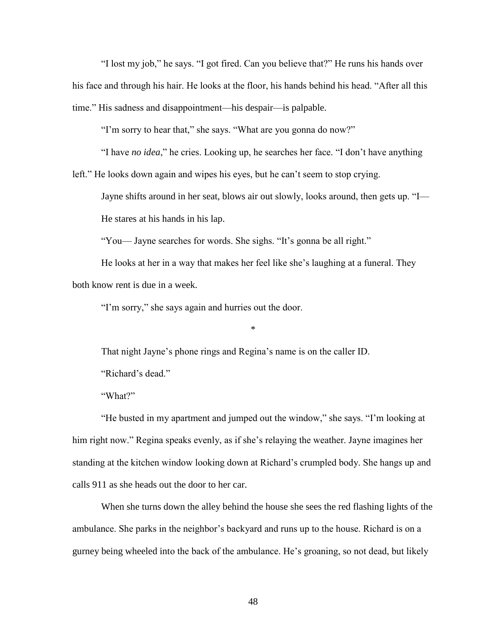"I lost my job," he says. "I got fired. Can you believe that?" He runs his hands over his face and through his hair. He looks at the floor, his hands behind his head. "After all this time." His sadness and disappointment—his despair—is palpable.

"I'm sorry to hear that," she says. "What are you gonna do now?"

"I have *no idea*," he cries. Looking up, he searches her face. "I don't have anything

left." He looks down again and wipes his eyes, but he can't seem to stop crying.

Jayne shifts around in her seat, blows air out slowly, looks around, then gets up. "I—

He stares at his hands in his lap.

"You— Jayne searches for words. She sighs. "It's gonna be all right."

He looks at her in a way that makes her feel like she's laughing at a funeral. They both know rent is due in a week.

"I'm sorry," she says again and hurries out the door.

\*

That night Jayne's phone rings and Regina's name is on the caller ID.

"Richard's dead."

"What?"

"He busted in my apartment and jumped out the window," she says. "I'm looking at him right now." Regina speaks evenly, as if she's relaying the weather. Jayne imagines her standing at the kitchen window looking down at Richard's crumpled body. She hangs up and calls 911 as she heads out the door to her car.

When she turns down the alley behind the house she sees the red flashing lights of the ambulance. She parks in the neighbor's backyard and runs up to the house. Richard is on a gurney being wheeled into the back of the ambulance. He's groaning, so not dead, but likely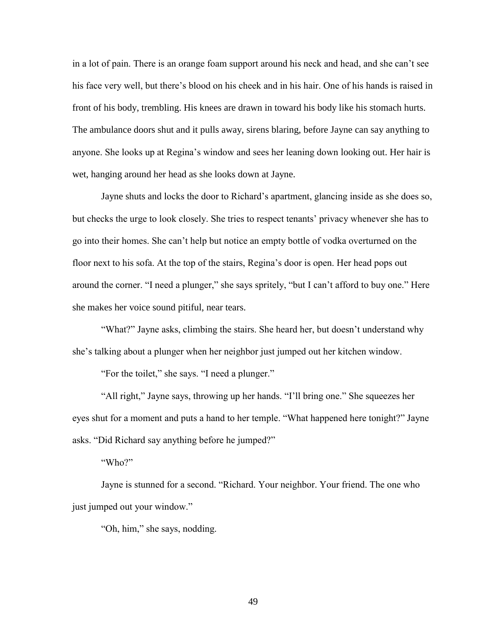in a lot of pain. There is an orange foam support around his neck and head, and she can't see his face very well, but there's blood on his cheek and in his hair. One of his hands is raised in front of his body, trembling. His knees are drawn in toward his body like his stomach hurts. The ambulance doors shut and it pulls away, sirens blaring, before Jayne can say anything to anyone. She looks up at Regina's window and sees her leaning down looking out. Her hair is wet, hanging around her head as she looks down at Jayne.

Jayne shuts and locks the door to Richard's apartment, glancing inside as she does so, but checks the urge to look closely. She tries to respect tenants' privacy whenever she has to go into their homes. She can't help but notice an empty bottle of vodka overturned on the floor next to his sofa. At the top of the stairs, Regina's door is open. Her head pops out around the corner. "I need a plunger," she says spritely, "but I can't afford to buy one." Here she makes her voice sound pitiful, near tears.

"What?" Jayne asks, climbing the stairs. She heard her, but doesn't understand why she's talking about a plunger when her neighbor just jumped out her kitchen window.

"For the toilet," she says. "I need a plunger."

"All right," Jayne says, throwing up her hands. "I'll bring one." She squeezes her eyes shut for a moment and puts a hand to her temple. "What happened here tonight?" Jayne asks. "Did Richard say anything before he jumped?"

"Who?"

Jayne is stunned for a second. "Richard. Your neighbor. Your friend. The one who just jumped out your window."

"Oh, him," she says, nodding.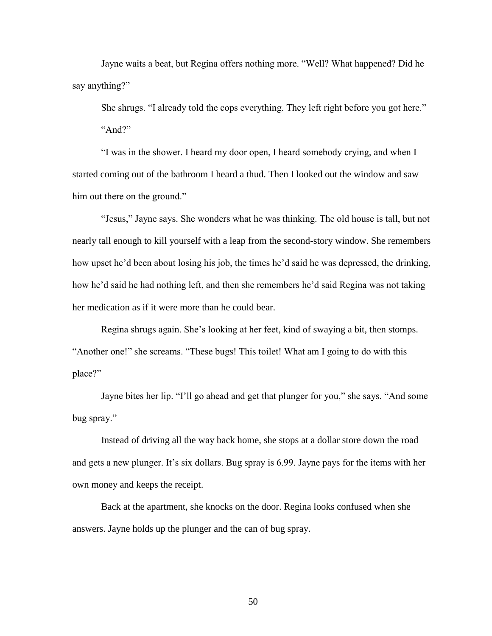Jayne waits a beat, but Regina offers nothing more. "Well? What happened? Did he say anything?"

She shrugs. "I already told the cops everything. They left right before you got here." "And?"

"I was in the shower. I heard my door open, I heard somebody crying, and when I started coming out of the bathroom I heard a thud. Then I looked out the window and saw him out there on the ground."

"Jesus," Jayne says. She wonders what he was thinking. The old house is tall, but not nearly tall enough to kill yourself with a leap from the second-story window. She remembers how upset he'd been about losing his job, the times he'd said he was depressed, the drinking, how he'd said he had nothing left, and then she remembers he'd said Regina was not taking her medication as if it were more than he could bear.

Regina shrugs again. She's looking at her feet, kind of swaying a bit, then stomps. "Another one!" she screams. "These bugs! This toilet! What am I going to do with this place?"

Jayne bites her lip. "I'll go ahead and get that plunger for you," she says. "And some bug spray."

Instead of driving all the way back home, she stops at a dollar store down the road and gets a new plunger. It's six dollars. Bug spray is 6.99. Jayne pays for the items with her own money and keeps the receipt.

Back at the apartment, she knocks on the door. Regina looks confused when she answers. Jayne holds up the plunger and the can of bug spray.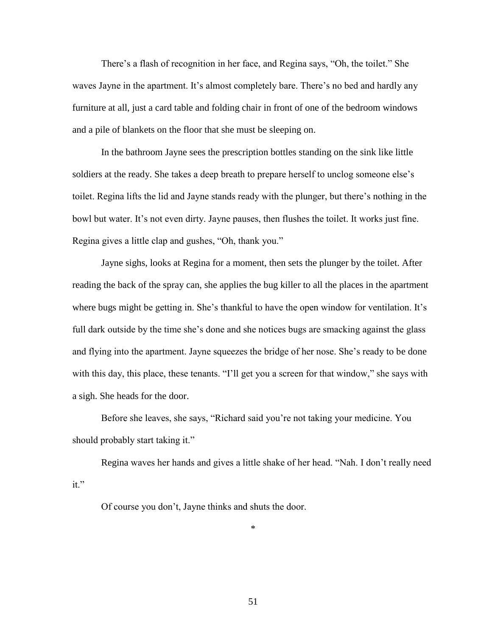There's a flash of recognition in her face, and Regina says, "Oh, the toilet." She waves Jayne in the apartment. It's almost completely bare. There's no bed and hardly any furniture at all, just a card table and folding chair in front of one of the bedroom windows and a pile of blankets on the floor that she must be sleeping on.

In the bathroom Jayne sees the prescription bottles standing on the sink like little soldiers at the ready. She takes a deep breath to prepare herself to unclog someone else's toilet. Regina lifts the lid and Jayne stands ready with the plunger, but there's nothing in the bowl but water. It's not even dirty. Jayne pauses, then flushes the toilet. It works just fine. Regina gives a little clap and gushes, "Oh, thank you."

Jayne sighs, looks at Regina for a moment, then sets the plunger by the toilet. After reading the back of the spray can, she applies the bug killer to all the places in the apartment where bugs might be getting in. She's thankful to have the open window for ventilation. It's full dark outside by the time she's done and she notices bugs are smacking against the glass and flying into the apartment. Jayne squeezes the bridge of her nose. She's ready to be done with this day, this place, these tenants. "I'll get you a screen for that window," she says with a sigh. She heads for the door.

Before she leaves, she says, "Richard said you're not taking your medicine. You should probably start taking it."

Regina waves her hands and gives a little shake of her head. "Nah. I don't really need it."

Of course you don't, Jayne thinks and shuts the door.

\*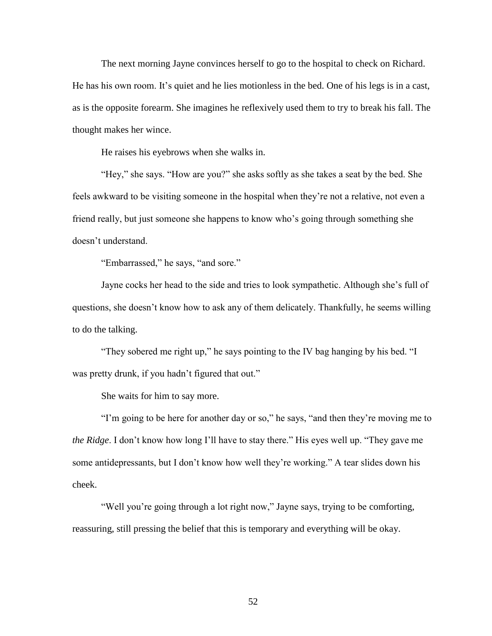The next morning Jayne convinces herself to go to the hospital to check on Richard. He has his own room. It's quiet and he lies motionless in the bed. One of his legs is in a cast, as is the opposite forearm. She imagines he reflexively used them to try to break his fall. The thought makes her wince.

He raises his eyebrows when she walks in.

"Hey," she says. "How are you?" she asks softly as she takes a seat by the bed. She feels awkward to be visiting someone in the hospital when they're not a relative, not even a friend really, but just someone she happens to know who's going through something she doesn't understand.

"Embarrassed," he says, "and sore."

Jayne cocks her head to the side and tries to look sympathetic. Although she's full of questions, she doesn't know how to ask any of them delicately. Thankfully, he seems willing to do the talking.

"They sobered me right up," he says pointing to the IV bag hanging by his bed. "I was pretty drunk, if you hadn't figured that out."

She waits for him to say more.

"I'm going to be here for another day or so," he says, "and then they're moving me to *the Ridge*. I don't know how long I'll have to stay there." His eyes well up. "They gave me some antidepressants, but I don't know how well they're working." A tear slides down his cheek.

"Well you're going through a lot right now," Jayne says, trying to be comforting, reassuring, still pressing the belief that this is temporary and everything will be okay.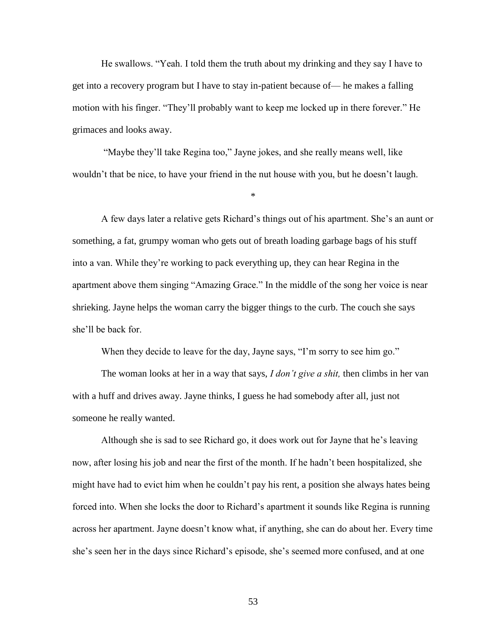He swallows. "Yeah. I told them the truth about my drinking and they say I have to get into a recovery program but I have to stay in-patient because of— he makes a falling motion with his finger. "They'll probably want to keep me locked up in there forever." He grimaces and looks away.

"Maybe they'll take Regina too," Jayne jokes, and she really means well, like wouldn't that be nice, to have your friend in the nut house with you, but he doesn't laugh.

\*

A few days later a relative gets Richard's things out of his apartment. She's an aunt or something, a fat, grumpy woman who gets out of breath loading garbage bags of his stuff into a van. While they're working to pack everything up, they can hear Regina in the apartment above them singing "Amazing Grace." In the middle of the song her voice is near shrieking. Jayne helps the woman carry the bigger things to the curb. The couch she says she'll be back for.

When they decide to leave for the day, Jayne says, "I'm sorry to see him go."

The woman looks at her in a way that says, *I don't give a shit,* then climbs in her van with a huff and drives away. Jayne thinks, I guess he had somebody after all, just not someone he really wanted.

Although she is sad to see Richard go, it does work out for Jayne that he's leaving now, after losing his job and near the first of the month. If he hadn't been hospitalized, she might have had to evict him when he couldn't pay his rent, a position she always hates being forced into. When she locks the door to Richard's apartment it sounds like Regina is running across her apartment. Jayne doesn't know what, if anything, she can do about her. Every time she's seen her in the days since Richard's episode, she's seemed more confused, and at one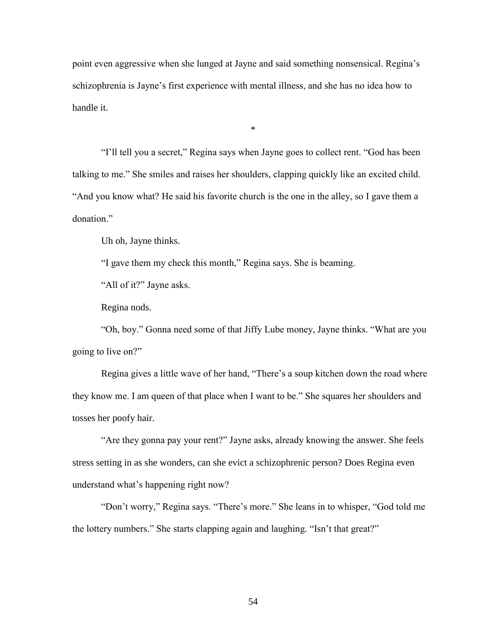point even aggressive when she lunged at Jayne and said something nonsensical. Regina's schizophrenia is Jayne's first experience with mental illness, and she has no idea how to handle it.

\*

"I'll tell you a secret," Regina says when Jayne goes to collect rent. "God has been talking to me." She smiles and raises her shoulders, clapping quickly like an excited child. "And you know what? He said his favorite church is the one in the alley, so I gave them a donation."

Uh oh, Jayne thinks.

"I gave them my check this month," Regina says. She is beaming.

"All of it?" Jayne asks.

Regina nods.

"Oh, boy." Gonna need some of that Jiffy Lube money, Jayne thinks. "What are you going to live on?"

Regina gives a little wave of her hand, "There's a soup kitchen down the road where they know me. I am queen of that place when I want to be." She squares her shoulders and tosses her poofy hair.

"Are they gonna pay your rent?" Jayne asks, already knowing the answer. She feels stress setting in as she wonders, can she evict a schizophrenic person? Does Regina even understand what's happening right now?

"Don't worry," Regina says. "There's more." She leans in to whisper, "God told me the lottery numbers." She starts clapping again and laughing. "Isn't that great?"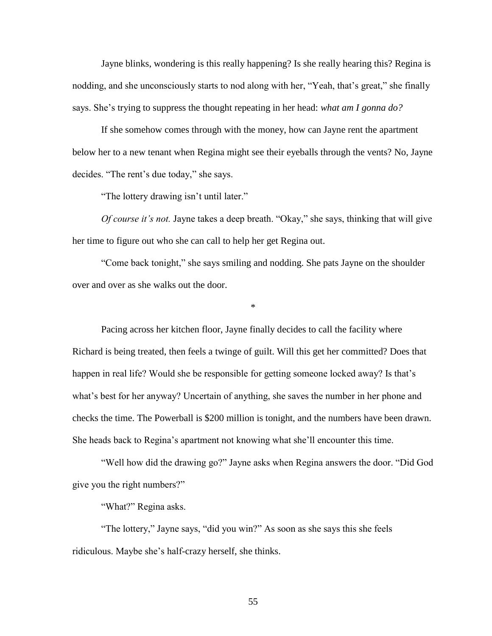Jayne blinks, wondering is this really happening? Is she really hearing this? Regina is nodding, and she unconsciously starts to nod along with her, "Yeah, that's great," she finally says. She's trying to suppress the thought repeating in her head: *what am I gonna do?*

If she somehow comes through with the money, how can Jayne rent the apartment below her to a new tenant when Regina might see their eyeballs through the vents? No, Jayne decides. "The rent's due today," she says.

"The lottery drawing isn't until later."

*Of course it's not.* Jayne takes a deep breath. "Okay," she says, thinking that will give her time to figure out who she can call to help her get Regina out.

"Come back tonight," she says smiling and nodding. She pats Jayne on the shoulder over and over as she walks out the door.

\*

Pacing across her kitchen floor, Jayne finally decides to call the facility where Richard is being treated, then feels a twinge of guilt. Will this get her committed? Does that happen in real life? Would she be responsible for getting someone locked away? Is that's what's best for her anyway? Uncertain of anything, she saves the number in her phone and checks the time. The Powerball is \$200 million is tonight, and the numbers have been drawn. She heads back to Regina's apartment not knowing what she'll encounter this time.

"Well how did the drawing go?" Jayne asks when Regina answers the door. "Did God give you the right numbers?"

"What?" Regina asks.

"The lottery," Jayne says, "did you win?" As soon as she says this she feels ridiculous. Maybe she's half-crazy herself, she thinks.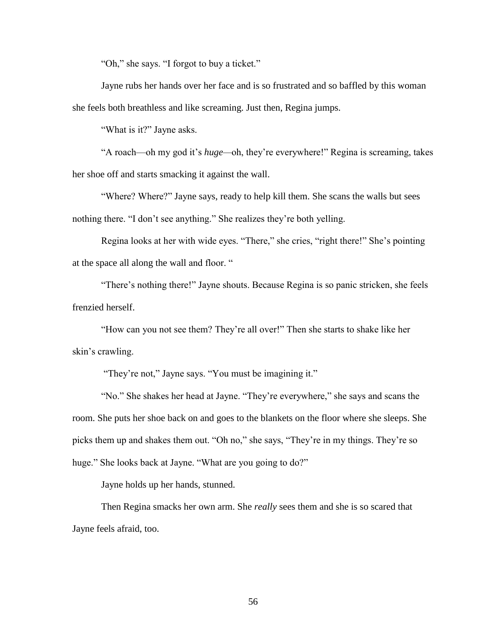"Oh," she says. "I forgot to buy a ticket."

Jayne rubs her hands over her face and is so frustrated and so baffled by this woman she feels both breathless and like screaming. Just then, Regina jumps.

"What is it?" Jayne asks.

"A roach—oh my god it's *huge—*oh, they're everywhere!" Regina is screaming, takes her shoe off and starts smacking it against the wall.

"Where? Where?" Jayne says, ready to help kill them. She scans the walls but sees nothing there. "I don't see anything." She realizes they're both yelling.

Regina looks at her with wide eyes. "There," she cries, "right there!" She's pointing at the space all along the wall and floor. "

"There's nothing there!" Jayne shouts. Because Regina is so panic stricken, she feels frenzied herself.

"How can you not see them? They're all over!" Then she starts to shake like her skin's crawling.

"They're not," Jayne says. "You must be imagining it."

"No." She shakes her head at Jayne. "They're everywhere," she says and scans the room. She puts her shoe back on and goes to the blankets on the floor where she sleeps. She picks them up and shakes them out. "Oh no," she says, "They're in my things. They're so huge." She looks back at Jayne. "What are you going to do?"

Jayne holds up her hands, stunned.

Then Regina smacks her own arm. She *really* sees them and she is so scared that Jayne feels afraid, too.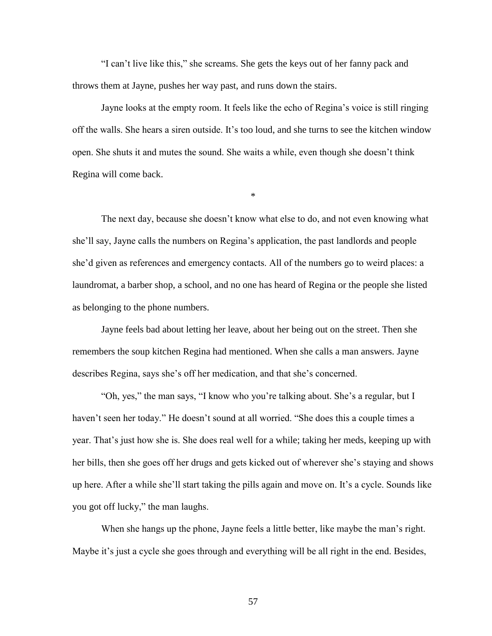"I can't live like this," she screams. She gets the keys out of her fanny pack and throws them at Jayne, pushes her way past, and runs down the stairs.

Jayne looks at the empty room. It feels like the echo of Regina's voice is still ringing off the walls. She hears a siren outside. It's too loud, and she turns to see the kitchen window open. She shuts it and mutes the sound. She waits a while, even though she doesn't think Regina will come back.

\*

The next day, because she doesn't know what else to do, and not even knowing what she'll say, Jayne calls the numbers on Regina's application, the past landlords and people she'd given as references and emergency contacts. All of the numbers go to weird places: a laundromat, a barber shop, a school, and no one has heard of Regina or the people she listed as belonging to the phone numbers.

Jayne feels bad about letting her leave, about her being out on the street. Then she remembers the soup kitchen Regina had mentioned. When she calls a man answers. Jayne describes Regina, says she's off her medication, and that she's concerned.

"Oh, yes," the man says, "I know who you're talking about. She's a regular, but I haven't seen her today." He doesn't sound at all worried. "She does this a couple times a year. That's just how she is. She does real well for a while; taking her meds, keeping up with her bills, then she goes off her drugs and gets kicked out of wherever she's staying and shows up here. After a while she'll start taking the pills again and move on. It's a cycle. Sounds like you got off lucky," the man laughs.

When she hangs up the phone, Jayne feels a little better, like maybe the man's right. Maybe it's just a cycle she goes through and everything will be all right in the end. Besides,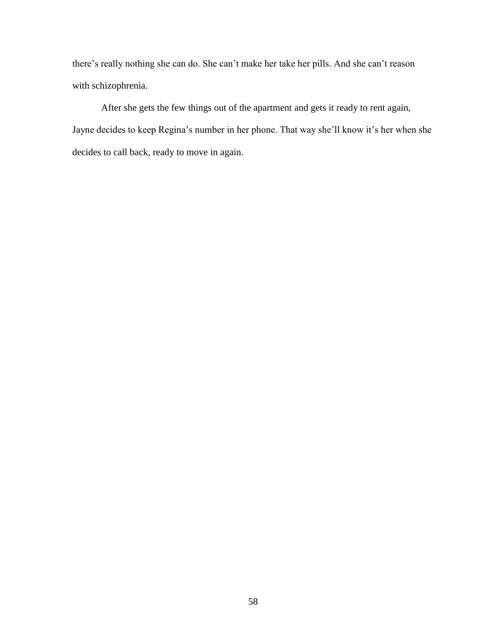there's really nothing she can do. She can't make her take her pills. And she can't reason with schizophrenia.

After she gets the few things out of the apartment and gets it ready to rent again, Jayne decides to keep Regina's number in her phone. That way she'll know it's her when she decides to call back, ready to move in again.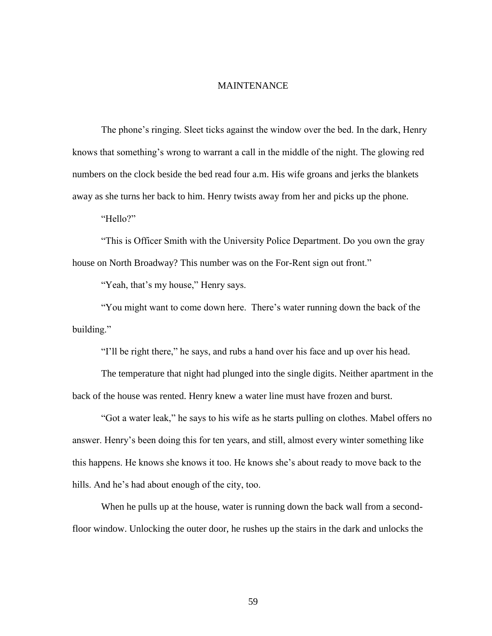## MAINTENANCE

The phone's ringing. Sleet ticks against the window over the bed. In the dark, Henry knows that something's wrong to warrant a call in the middle of the night. The glowing red numbers on the clock beside the bed read four a.m. His wife groans and jerks the blankets away as she turns her back to him. Henry twists away from her and picks up the phone.

"Hello?"

"This is Officer Smith with the University Police Department. Do you own the gray house on North Broadway? This number was on the For-Rent sign out front."

"Yeah, that's my house," Henry says.

"You might want to come down here. There's water running down the back of the building."

"I'll be right there," he says, and rubs a hand over his face and up over his head.

The temperature that night had plunged into the single digits. Neither apartment in the back of the house was rented. Henry knew a water line must have frozen and burst.

"Got a water leak," he says to his wife as he starts pulling on clothes. Mabel offers no answer. Henry's been doing this for ten years, and still, almost every winter something like this happens. He knows she knows it too. He knows she's about ready to move back to the hills. And he's had about enough of the city, too.

When he pulls up at the house, water is running down the back wall from a secondfloor window. Unlocking the outer door, he rushes up the stairs in the dark and unlocks the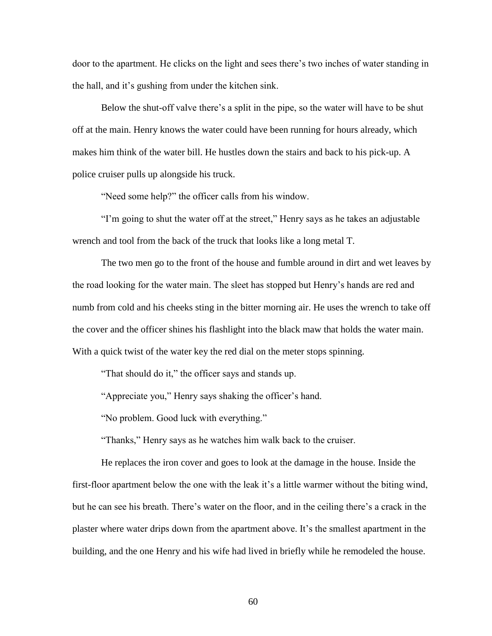door to the apartment. He clicks on the light and sees there's two inches of water standing in the hall, and it's gushing from under the kitchen sink.

Below the shut-off valve there's a split in the pipe, so the water will have to be shut off at the main. Henry knows the water could have been running for hours already, which makes him think of the water bill. He hustles down the stairs and back to his pick-up. A police cruiser pulls up alongside his truck.

"Need some help?" the officer calls from his window.

"I'm going to shut the water off at the street," Henry says as he takes an adjustable wrench and tool from the back of the truck that looks like a long metal T.

The two men go to the front of the house and fumble around in dirt and wet leaves by the road looking for the water main. The sleet has stopped but Henry's hands are red and numb from cold and his cheeks sting in the bitter morning air. He uses the wrench to take off the cover and the officer shines his flashlight into the black maw that holds the water main. With a quick twist of the water key the red dial on the meter stops spinning.

"That should do it," the officer says and stands up.

"Appreciate you," Henry says shaking the officer's hand.

"No problem. Good luck with everything."

"Thanks," Henry says as he watches him walk back to the cruiser.

He replaces the iron cover and goes to look at the damage in the house. Inside the first-floor apartment below the one with the leak it's a little warmer without the biting wind, but he can see his breath. There's water on the floor, and in the ceiling there's a crack in the plaster where water drips down from the apartment above. It's the smallest apartment in the building, and the one Henry and his wife had lived in briefly while he remodeled the house.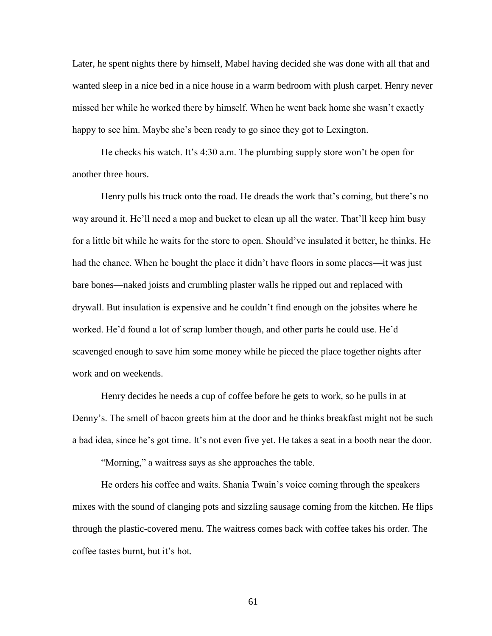Later, he spent nights there by himself, Mabel having decided she was done with all that and wanted sleep in a nice bed in a nice house in a warm bedroom with plush carpet. Henry never missed her while he worked there by himself. When he went back home she wasn't exactly happy to see him. Maybe she's been ready to go since they got to Lexington.

He checks his watch. It's 4:30 a.m. The plumbing supply store won't be open for another three hours.

Henry pulls his truck onto the road. He dreads the work that's coming, but there's no way around it. He'll need a mop and bucket to clean up all the water. That'll keep him busy for a little bit while he waits for the store to open. Should've insulated it better, he thinks. He had the chance. When he bought the place it didn't have floors in some places—it was just bare bones—naked joists and crumbling plaster walls he ripped out and replaced with drywall. But insulation is expensive and he couldn't find enough on the jobsites where he worked. He'd found a lot of scrap lumber though, and other parts he could use. He'd scavenged enough to save him some money while he pieced the place together nights after work and on weekends.

Henry decides he needs a cup of coffee before he gets to work, so he pulls in at Denny's. The smell of bacon greets him at the door and he thinks breakfast might not be such a bad idea, since he's got time. It's not even five yet. He takes a seat in a booth near the door.

"Morning," a waitress says as she approaches the table.

He orders his coffee and waits. Shania Twain's voice coming through the speakers mixes with the sound of clanging pots and sizzling sausage coming from the kitchen. He flips through the plastic-covered menu. The waitress comes back with coffee takes his order. The coffee tastes burnt, but it's hot.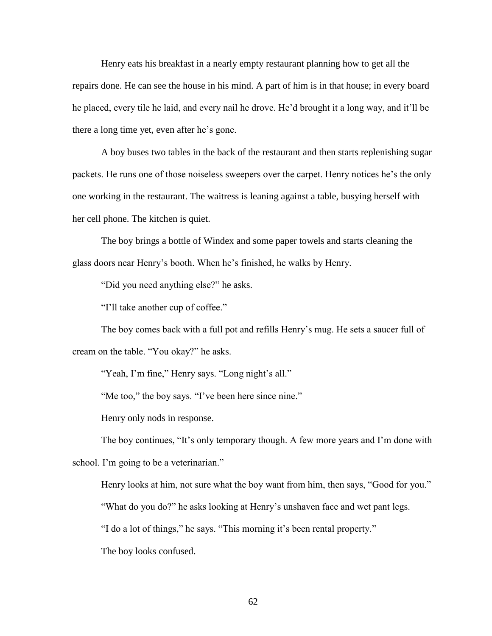Henry eats his breakfast in a nearly empty restaurant planning how to get all the repairs done. He can see the house in his mind. A part of him is in that house; in every board he placed, every tile he laid, and every nail he drove. He'd brought it a long way, and it'll be there a long time yet, even after he's gone.

A boy buses two tables in the back of the restaurant and then starts replenishing sugar packets. He runs one of those noiseless sweepers over the carpet. Henry notices he's the only one working in the restaurant. The waitress is leaning against a table, busying herself with her cell phone. The kitchen is quiet.

The boy brings a bottle of Windex and some paper towels and starts cleaning the glass doors near Henry's booth. When he's finished, he walks by Henry.

"Did you need anything else?" he asks.

"I'll take another cup of coffee."

The boy comes back with a full pot and refills Henry's mug. He sets a saucer full of cream on the table. "You okay?" he asks.

"Yeah, I'm fine," Henry says. "Long night's all."

"Me too," the boy says. "I've been here since nine."

Henry only nods in response.

The boy continues, "It's only temporary though. A few more years and I'm done with school. I'm going to be a veterinarian."

Henry looks at him, not sure what the boy want from him, then says, "Good for you."

"What do you do?" he asks looking at Henry's unshaven face and wet pant legs.

"I do a lot of things," he says. "This morning it's been rental property."

The boy looks confused.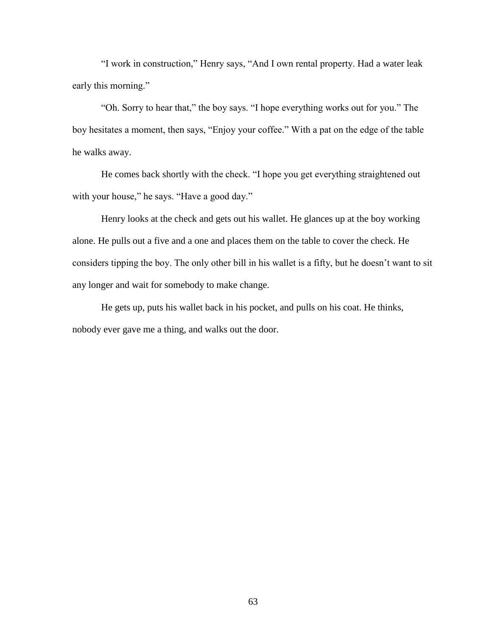"I work in construction," Henry says, "And I own rental property. Had a water leak early this morning."

"Oh. Sorry to hear that," the boy says. "I hope everything works out for you." The boy hesitates a moment, then says, "Enjoy your coffee." With a pat on the edge of the table he walks away.

He comes back shortly with the check. "I hope you get everything straightened out with your house," he says. "Have a good day."

Henry looks at the check and gets out his wallet. He glances up at the boy working alone. He pulls out a five and a one and places them on the table to cover the check. He considers tipping the boy. The only other bill in his wallet is a fifty, but he doesn't want to sit any longer and wait for somebody to make change.

He gets up, puts his wallet back in his pocket, and pulls on his coat. He thinks, nobody ever gave me a thing, and walks out the door.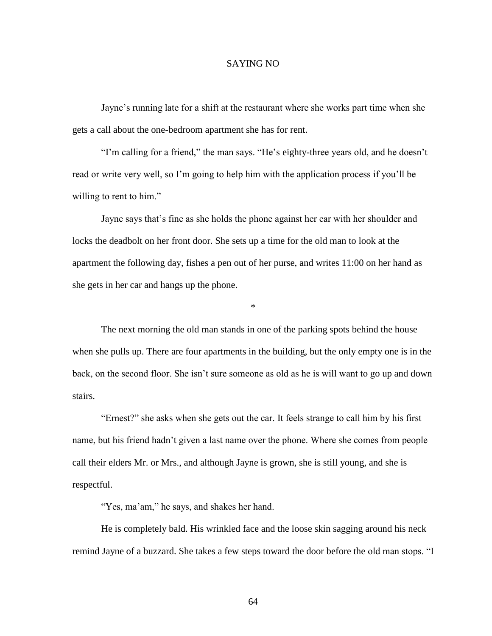## SAYING NO

Jayne's running late for a shift at the restaurant where she works part time when she gets a call about the one-bedroom apartment she has for rent.

"I'm calling for a friend," the man says. "He's eighty-three years old, and he doesn't read or write very well, so I'm going to help him with the application process if you'll be willing to rent to him."

Jayne says that's fine as she holds the phone against her ear with her shoulder and locks the deadbolt on her front door. She sets up a time for the old man to look at the apartment the following day, fishes a pen out of her purse, and writes 11:00 on her hand as she gets in her car and hangs up the phone.

The next morning the old man stands in one of the parking spots behind the house when she pulls up. There are four apartments in the building, but the only empty one is in the back, on the second floor. She isn't sure someone as old as he is will want to go up and down stairs.

\*

"Ernest?" she asks when she gets out the car. It feels strange to call him by his first name, but his friend hadn't given a last name over the phone. Where she comes from people call their elders Mr. or Mrs., and although Jayne is grown, she is still young, and she is respectful.

"Yes, ma'am," he says, and shakes her hand.

He is completely bald. His wrinkled face and the loose skin sagging around his neck remind Jayne of a buzzard. She takes a few steps toward the door before the old man stops. "I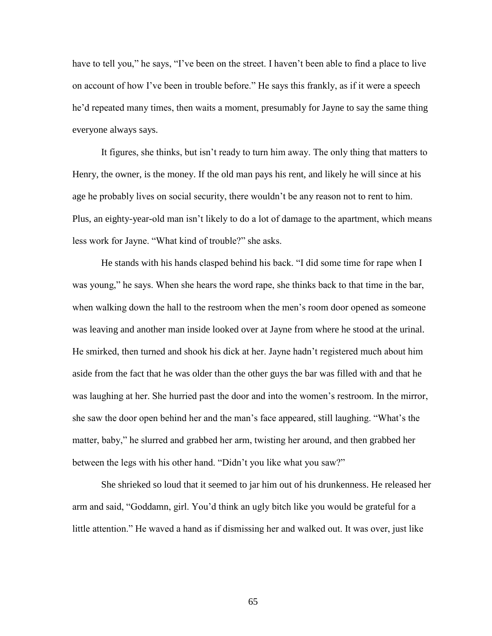have to tell you," he says, "I've been on the street. I haven't been able to find a place to live on account of how I've been in trouble before." He says this frankly, as if it were a speech he'd repeated many times, then waits a moment, presumably for Jayne to say the same thing everyone always says.

It figures, she thinks, but isn't ready to turn him away. The only thing that matters to Henry, the owner, is the money. If the old man pays his rent, and likely he will since at his age he probably lives on social security, there wouldn't be any reason not to rent to him. Plus, an eighty-year-old man isn't likely to do a lot of damage to the apartment, which means less work for Jayne. "What kind of trouble?" she asks.

He stands with his hands clasped behind his back. "I did some time for rape when I was young," he says. When she hears the word rape, she thinks back to that time in the bar, when walking down the hall to the restroom when the men's room door opened as someone was leaving and another man inside looked over at Jayne from where he stood at the urinal. He smirked, then turned and shook his dick at her. Jayne hadn't registered much about him aside from the fact that he was older than the other guys the bar was filled with and that he was laughing at her. She hurried past the door and into the women's restroom. In the mirror, she saw the door open behind her and the man's face appeared, still laughing. "What's the matter, baby," he slurred and grabbed her arm, twisting her around, and then grabbed her between the legs with his other hand. "Didn't you like what you saw?"

She shrieked so loud that it seemed to jar him out of his drunkenness. He released her arm and said, "Goddamn, girl. You'd think an ugly bitch like you would be grateful for a little attention." He waved a hand as if dismissing her and walked out. It was over, just like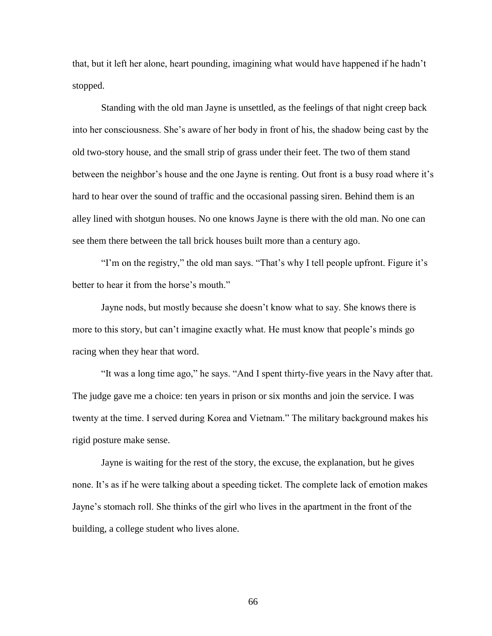that, but it left her alone, heart pounding, imagining what would have happened if he hadn't stopped.

Standing with the old man Jayne is unsettled, as the feelings of that night creep back into her consciousness. She's aware of her body in front of his, the shadow being cast by the old two-story house, and the small strip of grass under their feet. The two of them stand between the neighbor's house and the one Jayne is renting. Out front is a busy road where it's hard to hear over the sound of traffic and the occasional passing siren. Behind them is an alley lined with shotgun houses. No one knows Jayne is there with the old man. No one can see them there between the tall brick houses built more than a century ago.

"I'm on the registry," the old man says. "That's why I tell people upfront. Figure it's better to hear it from the horse's mouth."

Jayne nods, but mostly because she doesn't know what to say. She knows there is more to this story, but can't imagine exactly what. He must know that people's minds go racing when they hear that word.

"It was a long time ago," he says. "And I spent thirty-five years in the Navy after that. The judge gave me a choice: ten years in prison or six months and join the service. I was twenty at the time. I served during Korea and Vietnam." The military background makes his rigid posture make sense.

Jayne is waiting for the rest of the story, the excuse, the explanation, but he gives none. It's as if he were talking about a speeding ticket. The complete lack of emotion makes Jayne's stomach roll. She thinks of the girl who lives in the apartment in the front of the building, a college student who lives alone.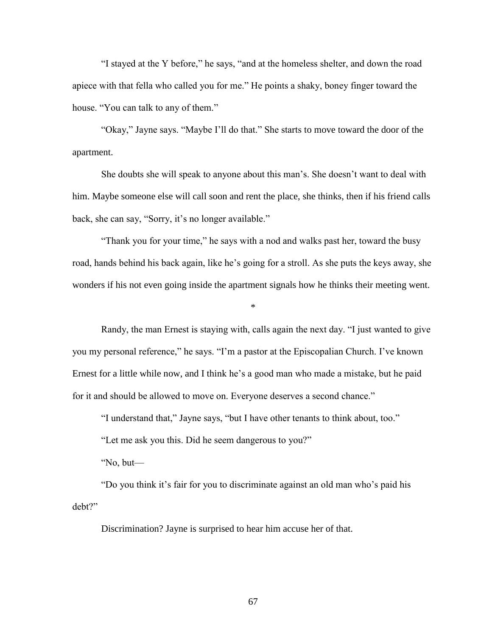"I stayed at the Y before," he says, "and at the homeless shelter, and down the road apiece with that fella who called you for me." He points a shaky, boney finger toward the house. "You can talk to any of them."

"Okay," Jayne says. "Maybe I'll do that." She starts to move toward the door of the apartment.

She doubts she will speak to anyone about this man's. She doesn't want to deal with him. Maybe someone else will call soon and rent the place, she thinks, then if his friend calls back, she can say, "Sorry, it's no longer available."

"Thank you for your time," he says with a nod and walks past her, toward the busy road, hands behind his back again, like he's going for a stroll. As she puts the keys away, she wonders if his not even going inside the apartment signals how he thinks their meeting went.

\*

Randy, the man Ernest is staying with, calls again the next day. "I just wanted to give you my personal reference," he says. "I'm a pastor at the Episcopalian Church. I've known Ernest for a little while now, and I think he's a good man who made a mistake, but he paid for it and should be allowed to move on. Everyone deserves a second chance."

"I understand that," Jayne says, "but I have other tenants to think about, too."

"Let me ask you this. Did he seem dangerous to you?"

"No, but—

"Do you think it's fair for you to discriminate against an old man who's paid his debt?"

Discrimination? Jayne is surprised to hear him accuse her of that.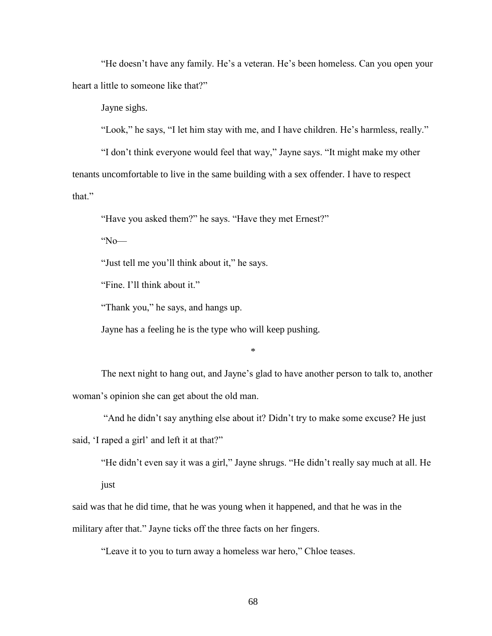"He doesn't have any family. He's a veteran. He's been homeless. Can you open your heart a little to someone like that?"

Jayne sighs.

"Look," he says, "I let him stay with me, and I have children. He's harmless, really."

"I don't think everyone would feel that way," Jayne says. "It might make my other tenants uncomfortable to live in the same building with a sex offender. I have to respect that."

"Have you asked them?" he says. "Have they met Ernest?"

"No—

"Just tell me you'll think about it," he says.

"Fine. I'll think about it."

"Thank you," he says, and hangs up.

Jayne has a feeling he is the type who will keep pushing.

\*

The next night to hang out, and Jayne's glad to have another person to talk to, another woman's opinion she can get about the old man.

"And he didn't say anything else about it? Didn't try to make some excuse? He just

said, 'I raped a girl' and left it at that?"

"He didn't even say it was a girl," Jayne shrugs. "He didn't really say much at all. He just

said was that he did time, that he was young when it happened, and that he was in the military after that." Jayne ticks off the three facts on her fingers.

"Leave it to you to turn away a homeless war hero," Chloe teases.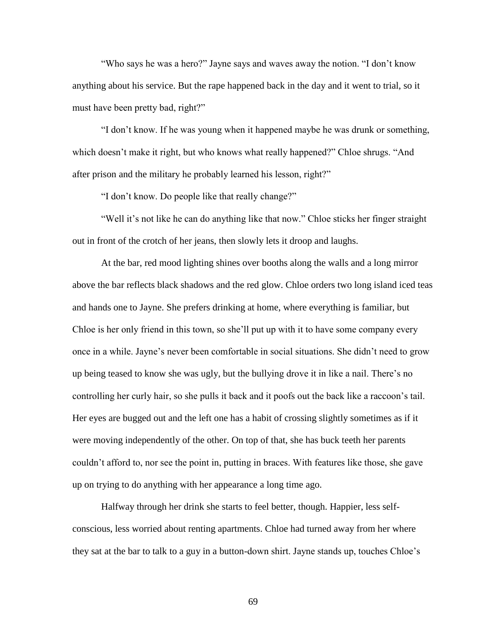"Who says he was a hero?" Jayne says and waves away the notion. "I don't know anything about his service. But the rape happened back in the day and it went to trial, so it must have been pretty bad, right?"

"I don't know. If he was young when it happened maybe he was drunk or something, which doesn't make it right, but who knows what really happened?" Chloe shrugs. "And after prison and the military he probably learned his lesson, right?"

"I don't know. Do people like that really change?"

"Well it's not like he can do anything like that now." Chloe sticks her finger straight out in front of the crotch of her jeans, then slowly lets it droop and laughs.

At the bar, red mood lighting shines over booths along the walls and a long mirror above the bar reflects black shadows and the red glow. Chloe orders two long island iced teas and hands one to Jayne. She prefers drinking at home, where everything is familiar, but Chloe is her only friend in this town, so she'll put up with it to have some company every once in a while. Jayne's never been comfortable in social situations. She didn't need to grow up being teased to know she was ugly, but the bullying drove it in like a nail. There's no controlling her curly hair, so she pulls it back and it poofs out the back like a raccoon's tail. Her eyes are bugged out and the left one has a habit of crossing slightly sometimes as if it were moving independently of the other. On top of that, she has buck teeth her parents couldn't afford to, nor see the point in, putting in braces. With features like those, she gave up on trying to do anything with her appearance a long time ago.

Halfway through her drink she starts to feel better, though. Happier, less selfconscious, less worried about renting apartments. Chloe had turned away from her where they sat at the bar to talk to a guy in a button-down shirt. Jayne stands up, touches Chloe's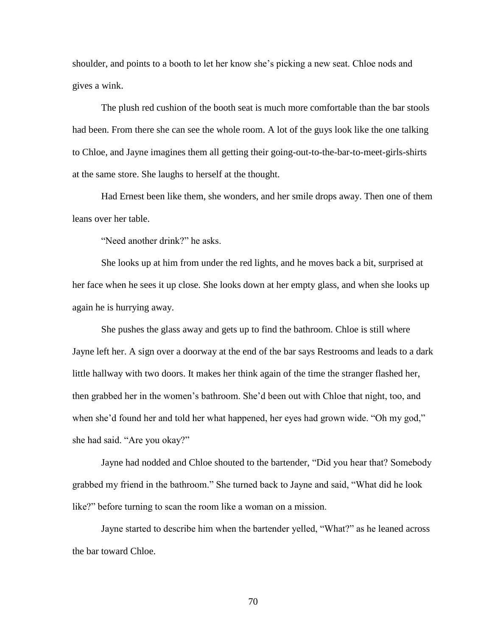shoulder, and points to a booth to let her know she's picking a new seat. Chloe nods and gives a wink.

The plush red cushion of the booth seat is much more comfortable than the bar stools had been. From there she can see the whole room. A lot of the guys look like the one talking to Chloe, and Jayne imagines them all getting their going-out-to-the-bar-to-meet-girls-shirts at the same store. She laughs to herself at the thought.

Had Ernest been like them, she wonders, and her smile drops away. Then one of them leans over her table.

"Need another drink?" he asks.

She looks up at him from under the red lights, and he moves back a bit, surprised at her face when he sees it up close. She looks down at her empty glass, and when she looks up again he is hurrying away.

She pushes the glass away and gets up to find the bathroom. Chloe is still where Jayne left her. A sign over a doorway at the end of the bar says Restrooms and leads to a dark little hallway with two doors. It makes her think again of the time the stranger flashed her, then grabbed her in the women's bathroom. She'd been out with Chloe that night, too, and when she'd found her and told her what happened, her eyes had grown wide. "Oh my god," she had said. "Are you okay?"

Jayne had nodded and Chloe shouted to the bartender, "Did you hear that? Somebody grabbed my friend in the bathroom." She turned back to Jayne and said, "What did he look like?" before turning to scan the room like a woman on a mission.

Jayne started to describe him when the bartender yelled, "What?" as he leaned across the bar toward Chloe.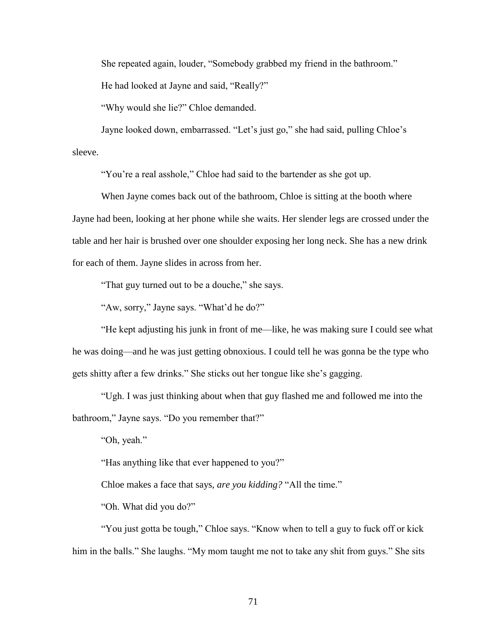She repeated again, louder, "Somebody grabbed my friend in the bathroom."

He had looked at Jayne and said, "Really?"

"Why would she lie?" Chloe demanded.

Jayne looked down, embarrassed. "Let's just go," she had said, pulling Chloe's sleeve.

"You're a real asshole," Chloe had said to the bartender as she got up.

When Jayne comes back out of the bathroom, Chloe is sitting at the booth where Jayne had been, looking at her phone while she waits. Her slender legs are crossed under the table and her hair is brushed over one shoulder exposing her long neck. She has a new drink for each of them. Jayne slides in across from her.

"That guy turned out to be a douche," she says.

"Aw, sorry," Jayne says. "What'd he do?"

"He kept adjusting his junk in front of me—like, he was making sure I could see what he was doing—and he was just getting obnoxious. I could tell he was gonna be the type who gets shitty after a few drinks." She sticks out her tongue like she's gagging.

"Ugh. I was just thinking about when that guy flashed me and followed me into the bathroom," Jayne says. "Do you remember that?"

"Oh, yeah."

"Has anything like that ever happened to you?"

Chloe makes a face that says, *are you kidding?* "All the time."

"Oh. What did you do?"

"You just gotta be tough," Chloe says. "Know when to tell a guy to fuck off or kick him in the balls." She laughs. "My mom taught me not to take any shit from guys." She sits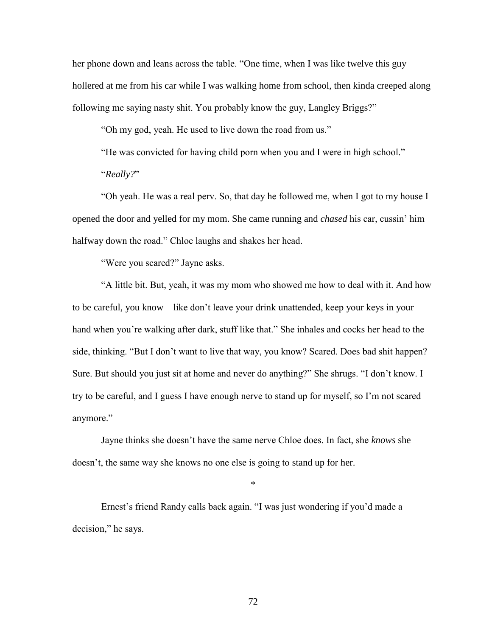her phone down and leans across the table. "One time, when I was like twelve this guy hollered at me from his car while I was walking home from school, then kinda creeped along following me saying nasty shit. You probably know the guy, Langley Briggs?"

"Oh my god, yeah. He used to live down the road from us."

"He was convicted for having child porn when you and I were in high school."

"*Really?*"

"Oh yeah. He was a real perv. So, that day he followed me, when I got to my house I opened the door and yelled for my mom. She came running and *chased* his car, cussin' him halfway down the road." Chloe laughs and shakes her head.

"Were you scared?" Jayne asks.

"A little bit. But, yeah, it was my mom who showed me how to deal with it. And how to be careful, you know—like don't leave your drink unattended, keep your keys in your hand when you're walking after dark, stuff like that." She inhales and cocks her head to the side, thinking. "But I don't want to live that way, you know? Scared. Does bad shit happen? Sure. But should you just sit at home and never do anything?" She shrugs. "I don't know. I try to be careful, and I guess I have enough nerve to stand up for myself, so I'm not scared anymore."

Jayne thinks she doesn't have the same nerve Chloe does. In fact, she *knows* she doesn't, the same way she knows no one else is going to stand up for her.

\*

Ernest's friend Randy calls back again. "I was just wondering if you'd made a decision," he says.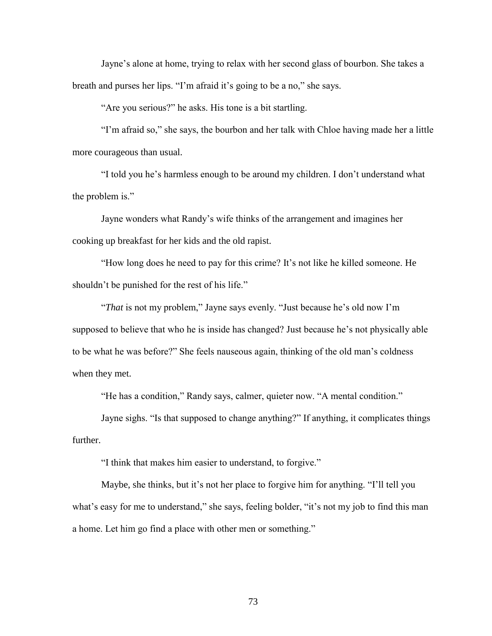Jayne's alone at home, trying to relax with her second glass of bourbon. She takes a breath and purses her lips. "I'm afraid it's going to be a no," she says.

"Are you serious?" he asks. His tone is a bit startling.

"I'm afraid so," she says, the bourbon and her talk with Chloe having made her a little more courageous than usual.

"I told you he's harmless enough to be around my children. I don't understand what the problem is."

Jayne wonders what Randy's wife thinks of the arrangement and imagines her cooking up breakfast for her kids and the old rapist.

"How long does he need to pay for this crime? It's not like he killed someone. He shouldn't be punished for the rest of his life."

"*That* is not my problem," Jayne says evenly. "Just because he's old now I'm supposed to believe that who he is inside has changed? Just because he's not physically able to be what he was before?" She feels nauseous again, thinking of the old man's coldness when they met.

"He has a condition," Randy says, calmer, quieter now. "A mental condition."

Jayne sighs. "Is that supposed to change anything?" If anything, it complicates things further.

"I think that makes him easier to understand, to forgive."

Maybe, she thinks, but it's not her place to forgive him for anything. "I'll tell you what's easy for me to understand," she says, feeling bolder, "it's not my job to find this man a home. Let him go find a place with other men or something."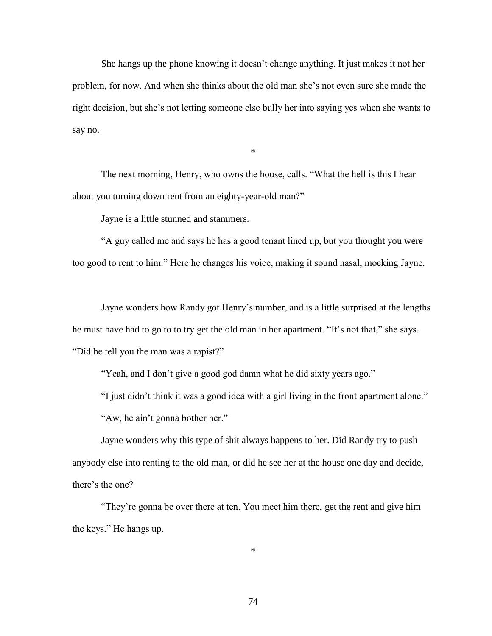She hangs up the phone knowing it doesn't change anything. It just makes it not her problem, for now. And when she thinks about the old man she's not even sure she made the right decision, but she's not letting someone else bully her into saying yes when she wants to say no.

\*

The next morning, Henry, who owns the house, calls. "What the hell is this I hear about you turning down rent from an eighty-year-old man?"

Jayne is a little stunned and stammers.

"A guy called me and says he has a good tenant lined up, but you thought you were too good to rent to him." Here he changes his voice, making it sound nasal, mocking Jayne.

Jayne wonders how Randy got Henry's number, and is a little surprised at the lengths he must have had to go to to try get the old man in her apartment. "It's not that," she says. "Did he tell you the man was a rapist?"

"Yeah, and I don't give a good god damn what he did sixty years ago."

"I just didn't think it was a good idea with a girl living in the front apartment alone."

"Aw, he ain't gonna bother her."

Jayne wonders why this type of shit always happens to her. Did Randy try to push anybody else into renting to the old man, or did he see her at the house one day and decide, there's the one?

"They're gonna be over there at ten. You meet him there, get the rent and give him the keys." He hangs up.

\*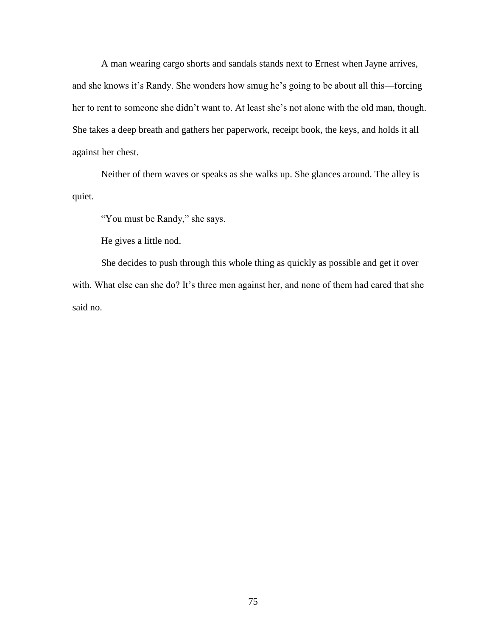A man wearing cargo shorts and sandals stands next to Ernest when Jayne arrives, and she knows it's Randy. She wonders how smug he's going to be about all this—forcing her to rent to someone she didn't want to. At least she's not alone with the old man, though. She takes a deep breath and gathers her paperwork, receipt book, the keys, and holds it all against her chest.

Neither of them waves or speaks as she walks up. She glances around. The alley is quiet.

"You must be Randy," she says.

He gives a little nod.

She decides to push through this whole thing as quickly as possible and get it over with. What else can she do? It's three men against her, and none of them had cared that she said no.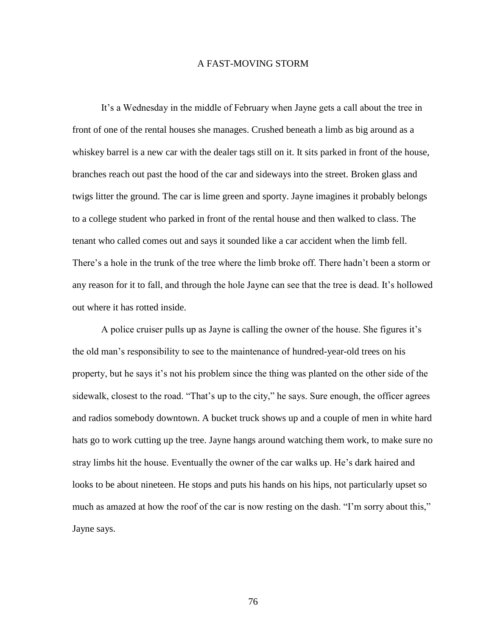## A FAST-MOVING STORM

It's a Wednesday in the middle of February when Jayne gets a call about the tree in front of one of the rental houses she manages. Crushed beneath a limb as big around as a whiskey barrel is a new car with the dealer tags still on it. It sits parked in front of the house, branches reach out past the hood of the car and sideways into the street. Broken glass and twigs litter the ground. The car is lime green and sporty. Jayne imagines it probably belongs to a college student who parked in front of the rental house and then walked to class. The tenant who called comes out and says it sounded like a car accident when the limb fell. There's a hole in the trunk of the tree where the limb broke off. There hadn't been a storm or any reason for it to fall, and through the hole Jayne can see that the tree is dead. It's hollowed out where it has rotted inside.

A police cruiser pulls up as Jayne is calling the owner of the house. She figures it's the old man's responsibility to see to the maintenance of hundred-year-old trees on his property, but he says it's not his problem since the thing was planted on the other side of the sidewalk, closest to the road. "That's up to the city," he says. Sure enough, the officer agrees and radios somebody downtown. A bucket truck shows up and a couple of men in white hard hats go to work cutting up the tree. Jayne hangs around watching them work, to make sure no stray limbs hit the house. Eventually the owner of the car walks up. He's dark haired and looks to be about nineteen. He stops and puts his hands on his hips, not particularly upset so much as amazed at how the roof of the car is now resting on the dash. "I'm sorry about this," Jayne says.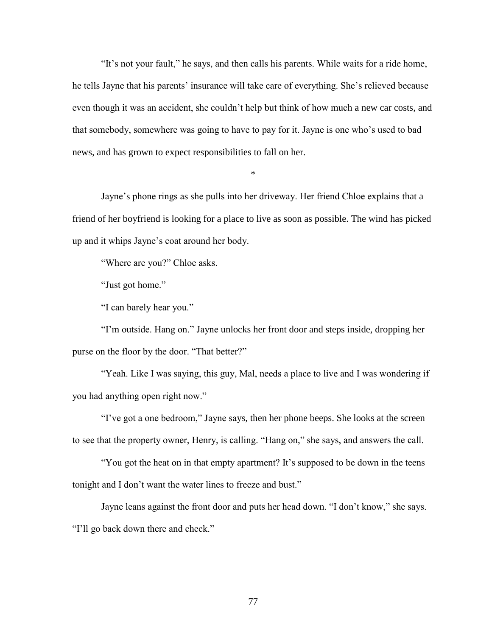"It's not your fault," he says, and then calls his parents. While waits for a ride home, he tells Jayne that his parents' insurance will take care of everything. She's relieved because even though it was an accident, she couldn't help but think of how much a new car costs, and that somebody, somewhere was going to have to pay for it. Jayne is one who's used to bad news, and has grown to expect responsibilities to fall on her.

\*

Jayne's phone rings as she pulls into her driveway. Her friend Chloe explains that a friend of her boyfriend is looking for a place to live as soon as possible. The wind has picked up and it whips Jayne's coat around her body.

"Where are you?" Chloe asks.

"Just got home."

"I can barely hear you."

"I'm outside. Hang on." Jayne unlocks her front door and steps inside, dropping her purse on the floor by the door. "That better?"

"Yeah. Like I was saying, this guy, Mal, needs a place to live and I was wondering if you had anything open right now."

"I've got a one bedroom," Jayne says, then her phone beeps. She looks at the screen to see that the property owner, Henry, is calling. "Hang on," she says, and answers the call.

"You got the heat on in that empty apartment? It's supposed to be down in the teens tonight and I don't want the water lines to freeze and bust."

Jayne leans against the front door and puts her head down. "I don't know," she says. "I'll go back down there and check."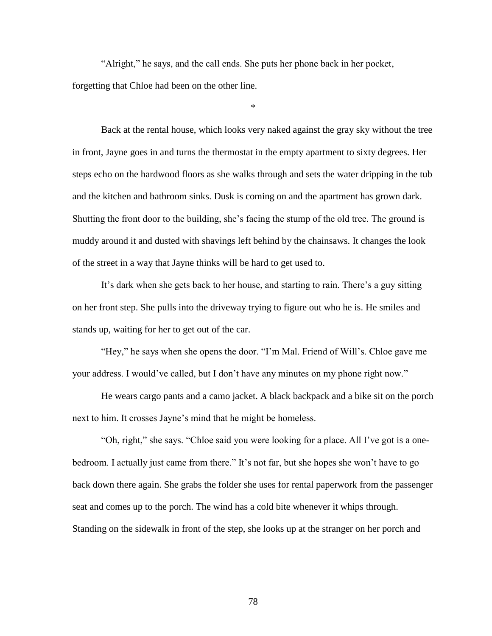"Alright," he says, and the call ends. She puts her phone back in her pocket, forgetting that Chloe had been on the other line.

\*

Back at the rental house, which looks very naked against the gray sky without the tree in front, Jayne goes in and turns the thermostat in the empty apartment to sixty degrees. Her steps echo on the hardwood floors as she walks through and sets the water dripping in the tub and the kitchen and bathroom sinks. Dusk is coming on and the apartment has grown dark. Shutting the front door to the building, she's facing the stump of the old tree. The ground is muddy around it and dusted with shavings left behind by the chainsaws. It changes the look of the street in a way that Jayne thinks will be hard to get used to.

It's dark when she gets back to her house, and starting to rain. There's a guy sitting on her front step. She pulls into the driveway trying to figure out who he is. He smiles and stands up, waiting for her to get out of the car.

"Hey," he says when she opens the door. "I'm Mal. Friend of Will's. Chloe gave me your address. I would've called, but I don't have any minutes on my phone right now."

He wears cargo pants and a camo jacket. A black backpack and a bike sit on the porch next to him. It crosses Jayne's mind that he might be homeless.

"Oh, right," she says. "Chloe said you were looking for a place. All I've got is a onebedroom. I actually just came from there." It's not far, but she hopes she won't have to go back down there again. She grabs the folder she uses for rental paperwork from the passenger seat and comes up to the porch. The wind has a cold bite whenever it whips through. Standing on the sidewalk in front of the step, she looks up at the stranger on her porch and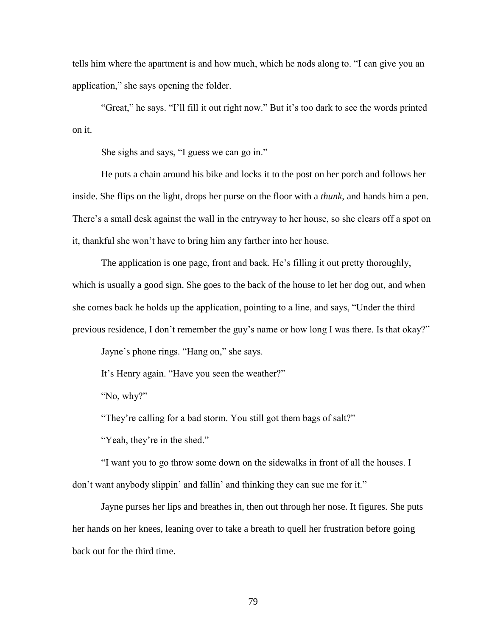tells him where the apartment is and how much, which he nods along to. "I can give you an application," she says opening the folder.

"Great," he says. "I'll fill it out right now." But it's too dark to see the words printed on it.

She sighs and says, "I guess we can go in."

He puts a chain around his bike and locks it to the post on her porch and follows her inside. She flips on the light, drops her purse on the floor with a *thunk*, and hands him a pen. There's a small desk against the wall in the entryway to her house, so she clears off a spot on it, thankful she won't have to bring him any farther into her house.

The application is one page, front and back. He's filling it out pretty thoroughly, which is usually a good sign. She goes to the back of the house to let her dog out, and when she comes back he holds up the application, pointing to a line, and says, "Under the third previous residence, I don't remember the guy's name or how long I was there. Is that okay?"

Jayne's phone rings. "Hang on," she says.

It's Henry again. "Have you seen the weather?"

"No, why?"

"They're calling for a bad storm. You still got them bags of salt?"

"Yeah, they're in the shed."

"I want you to go throw some down on the sidewalks in front of all the houses. I don't want anybody slippin' and fallin' and thinking they can sue me for it."

Jayne purses her lips and breathes in, then out through her nose. It figures. She puts her hands on her knees, leaning over to take a breath to quell her frustration before going back out for the third time.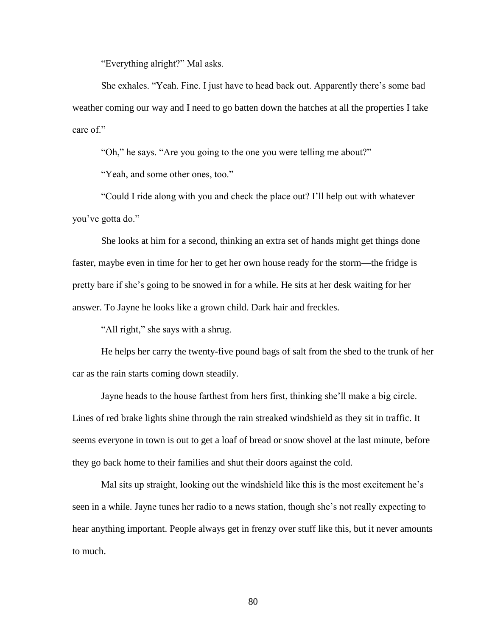"Everything alright?" Mal asks.

She exhales. "Yeah. Fine. I just have to head back out. Apparently there's some bad weather coming our way and I need to go batten down the hatches at all the properties I take care of."

"Oh," he says. "Are you going to the one you were telling me about?"

"Yeah, and some other ones, too."

"Could I ride along with you and check the place out? I'll help out with whatever you've gotta do."

She looks at him for a second, thinking an extra set of hands might get things done faster, maybe even in time for her to get her own house ready for the storm—the fridge is pretty bare if she's going to be snowed in for a while. He sits at her desk waiting for her answer. To Jayne he looks like a grown child. Dark hair and freckles.

"All right," she says with a shrug.

He helps her carry the twenty-five pound bags of salt from the shed to the trunk of her car as the rain starts coming down steadily.

Jayne heads to the house farthest from hers first, thinking she'll make a big circle. Lines of red brake lights shine through the rain streaked windshield as they sit in traffic. It seems everyone in town is out to get a loaf of bread or snow shovel at the last minute, before they go back home to their families and shut their doors against the cold.

Mal sits up straight, looking out the windshield like this is the most excitement he's seen in a while. Jayne tunes her radio to a news station, though she's not really expecting to hear anything important. People always get in frenzy over stuff like this, but it never amounts to much.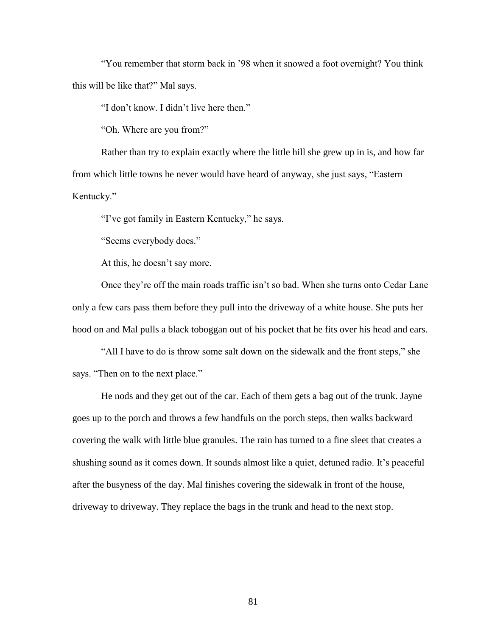"You remember that storm back in '98 when it snowed a foot overnight? You think this will be like that?" Mal says.

"I don't know. I didn't live here then."

"Oh. Where are you from?"

Rather than try to explain exactly where the little hill she grew up in is, and how far from which little towns he never would have heard of anyway, she just says, "Eastern Kentucky."

"I've got family in Eastern Kentucky," he says.

"Seems everybody does."

At this, he doesn't say more.

Once they're off the main roads traffic isn't so bad. When she turns onto Cedar Lane only a few cars pass them before they pull into the driveway of a white house. She puts her hood on and Mal pulls a black toboggan out of his pocket that he fits over his head and ears.

"All I have to do is throw some salt down on the sidewalk and the front steps," she says. "Then on to the next place."

He nods and they get out of the car. Each of them gets a bag out of the trunk. Jayne goes up to the porch and throws a few handfuls on the porch steps, then walks backward covering the walk with little blue granules. The rain has turned to a fine sleet that creates a shushing sound as it comes down. It sounds almost like a quiet, detuned radio. It's peaceful after the busyness of the day. Mal finishes covering the sidewalk in front of the house, driveway to driveway. They replace the bags in the trunk and head to the next stop.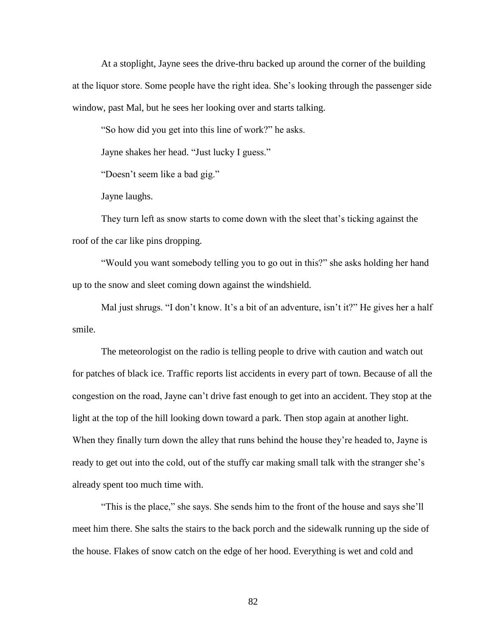At a stoplight, Jayne sees the drive-thru backed up around the corner of the building at the liquor store. Some people have the right idea. She's looking through the passenger side window, past Mal, but he sees her looking over and starts talking.

"So how did you get into this line of work?" he asks.

Jayne shakes her head. "Just lucky I guess."

"Doesn't seem like a bad gig."

Jayne laughs.

They turn left as snow starts to come down with the sleet that's ticking against the roof of the car like pins dropping.

"Would you want somebody telling you to go out in this?" she asks holding her hand up to the snow and sleet coming down against the windshield.

Mal just shrugs. "I don't know. It's a bit of an adventure, isn't it?" He gives her a half smile.

The meteorologist on the radio is telling people to drive with caution and watch out for patches of black ice. Traffic reports list accidents in every part of town. Because of all the congestion on the road, Jayne can't drive fast enough to get into an accident. They stop at the light at the top of the hill looking down toward a park. Then stop again at another light. When they finally turn down the alley that runs behind the house they're headed to, Jayne is ready to get out into the cold, out of the stuffy car making small talk with the stranger she's already spent too much time with.

"This is the place," she says. She sends him to the front of the house and says she'll meet him there. She salts the stairs to the back porch and the sidewalk running up the side of the house. Flakes of snow catch on the edge of her hood. Everything is wet and cold and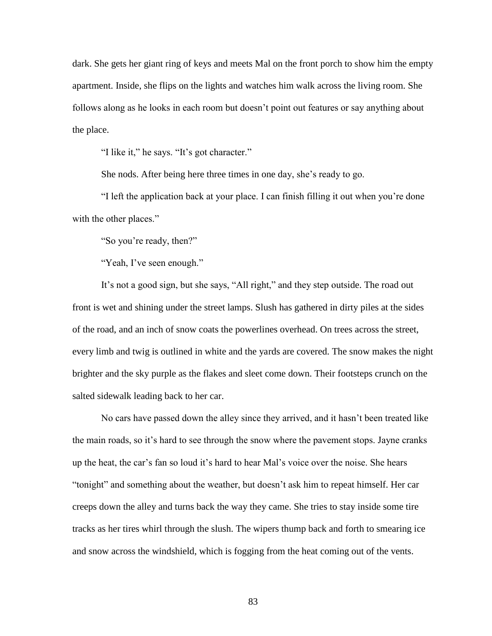dark. She gets her giant ring of keys and meets Mal on the front porch to show him the empty apartment. Inside, she flips on the lights and watches him walk across the living room. She follows along as he looks in each room but doesn't point out features or say anything about the place.

"I like it," he says. "It's got character."

She nods. After being here three times in one day, she's ready to go.

"I left the application back at your place. I can finish filling it out when you're done with the other places."

"So you're ready, then?"

"Yeah, I've seen enough."

It's not a good sign, but she says, "All right," and they step outside. The road out front is wet and shining under the street lamps. Slush has gathered in dirty piles at the sides of the road, and an inch of snow coats the powerlines overhead. On trees across the street, every limb and twig is outlined in white and the yards are covered. The snow makes the night brighter and the sky purple as the flakes and sleet come down. Their footsteps crunch on the salted sidewalk leading back to her car.

No cars have passed down the alley since they arrived, and it hasn't been treated like the main roads, so it's hard to see through the snow where the pavement stops. Jayne cranks up the heat, the car's fan so loud it's hard to hear Mal's voice over the noise. She hears "tonight" and something about the weather, but doesn't ask him to repeat himself. Her car creeps down the alley and turns back the way they came. She tries to stay inside some tire tracks as her tires whirl through the slush. The wipers thump back and forth to smearing ice and snow across the windshield, which is fogging from the heat coming out of the vents.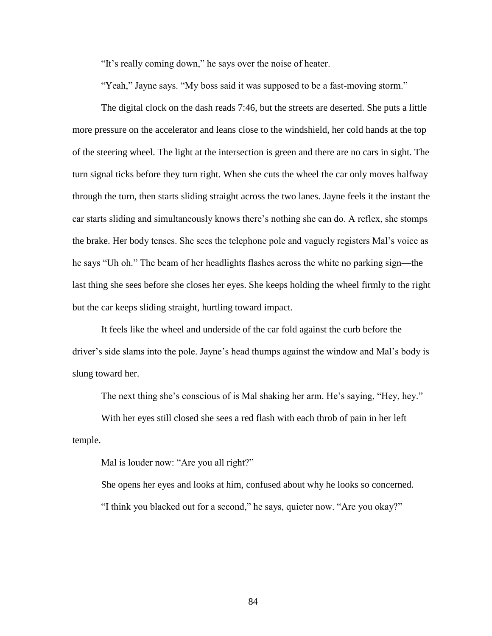"It's really coming down," he says over the noise of heater.

"Yeah," Jayne says. "My boss said it was supposed to be a fast-moving storm."

The digital clock on the dash reads 7:46, but the streets are deserted. She puts a little more pressure on the accelerator and leans close to the windshield, her cold hands at the top of the steering wheel. The light at the intersection is green and there are no cars in sight. The turn signal ticks before they turn right. When she cuts the wheel the car only moves halfway through the turn, then starts sliding straight across the two lanes. Jayne feels it the instant the car starts sliding and simultaneously knows there's nothing she can do. A reflex, she stomps the brake. Her body tenses. She sees the telephone pole and vaguely registers Mal's voice as he says "Uh oh." The beam of her headlights flashes across the white no parking sign—the last thing she sees before she closes her eyes. She keeps holding the wheel firmly to the right but the car keeps sliding straight, hurtling toward impact.

It feels like the wheel and underside of the car fold against the curb before the driver's side slams into the pole. Jayne's head thumps against the window and Mal's body is slung toward her.

The next thing she's conscious of is Mal shaking her arm. He's saying, "Hey, hey."

With her eyes still closed she sees a red flash with each throb of pain in her left temple.

Mal is louder now: "Are you all right?"

She opens her eyes and looks at him, confused about why he looks so concerned. "I think you blacked out for a second," he says, quieter now. "Are you okay?"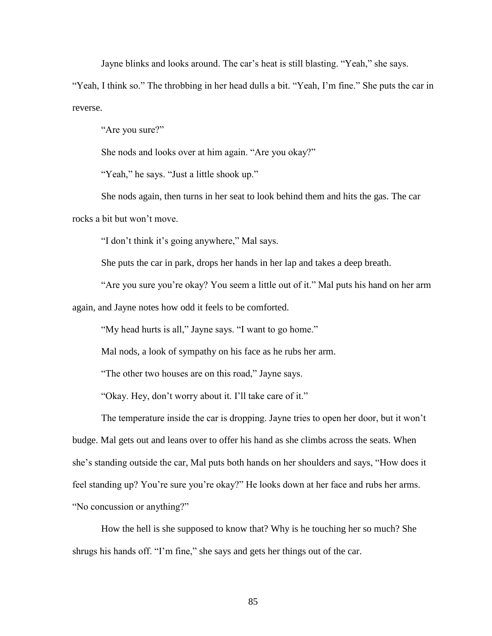Jayne blinks and looks around. The car's heat is still blasting. "Yeah," she says.

"Yeah, I think so." The throbbing in her head dulls a bit. "Yeah, I'm fine." She puts the car in reverse.

"Are you sure?"

She nods and looks over at him again. "Are you okay?"

"Yeah," he says. "Just a little shook up."

She nods again, then turns in her seat to look behind them and hits the gas. The car rocks a bit but won't move.

"I don't think it's going anywhere," Mal says.

She puts the car in park, drops her hands in her lap and takes a deep breath.

"Are you sure you're okay? You seem a little out of it." Mal puts his hand on her arm again, and Jayne notes how odd it feels to be comforted.

"My head hurts is all," Jayne says. "I want to go home."

Mal nods, a look of sympathy on his face as he rubs her arm.

"The other two houses are on this road," Jayne says.

"Okay. Hey, don't worry about it. I'll take care of it."

The temperature inside the car is dropping. Jayne tries to open her door, but it won't budge. Mal gets out and leans over to offer his hand as she climbs across the seats. When she's standing outside the car, Mal puts both hands on her shoulders and says, "How does it feel standing up? You're sure you're okay?" He looks down at her face and rubs her arms. "No concussion or anything?"

How the hell is she supposed to know that? Why is he touching her so much? She shrugs his hands off. "I'm fine," she says and gets her things out of the car.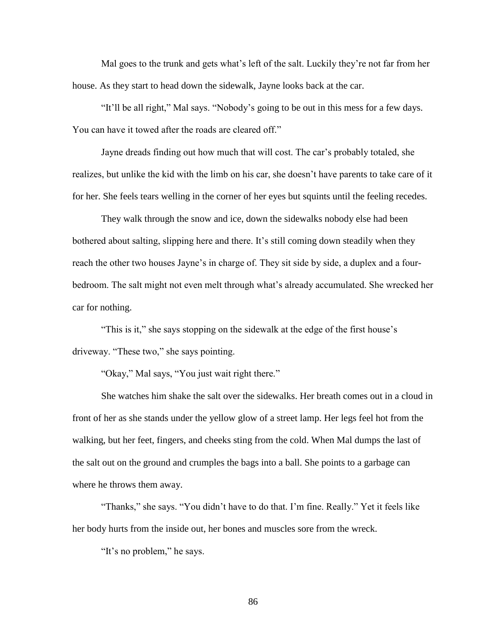Mal goes to the trunk and gets what's left of the salt. Luckily they're not far from her house. As they start to head down the sidewalk, Jayne looks back at the car.

"It'll be all right," Mal says. "Nobody's going to be out in this mess for a few days. You can have it towed after the roads are cleared off."

Jayne dreads finding out how much that will cost. The car's probably totaled, she realizes, but unlike the kid with the limb on his car, she doesn't have parents to take care of it for her. She feels tears welling in the corner of her eyes but squints until the feeling recedes.

They walk through the snow and ice, down the sidewalks nobody else had been bothered about salting, slipping here and there. It's still coming down steadily when they reach the other two houses Jayne's in charge of. They sit side by side, a duplex and a fourbedroom. The salt might not even melt through what's already accumulated. She wrecked her car for nothing.

"This is it," she says stopping on the sidewalk at the edge of the first house's driveway. "These two," she says pointing.

"Okay," Mal says, "You just wait right there."

She watches him shake the salt over the sidewalks. Her breath comes out in a cloud in front of her as she stands under the yellow glow of a street lamp. Her legs feel hot from the walking, but her feet, fingers, and cheeks sting from the cold. When Mal dumps the last of the salt out on the ground and crumples the bags into a ball. She points to a garbage can where he throws them away.

"Thanks," she says. "You didn't have to do that. I'm fine. Really." Yet it feels like her body hurts from the inside out, her bones and muscles sore from the wreck.

"It's no problem," he says.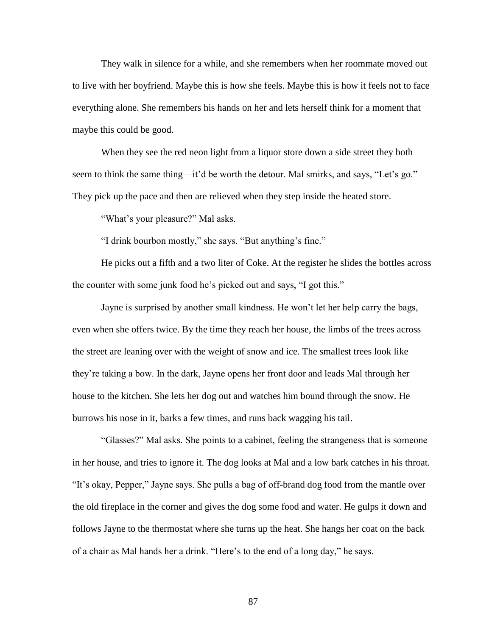They walk in silence for a while, and she remembers when her roommate moved out to live with her boyfriend. Maybe this is how she feels. Maybe this is how it feels not to face everything alone. She remembers his hands on her and lets herself think for a moment that maybe this could be good.

When they see the red neon light from a liquor store down a side street they both seem to think the same thing—it'd be worth the detour. Mal smirks, and says, "Let's go." They pick up the pace and then are relieved when they step inside the heated store.

"What's your pleasure?" Mal asks.

"I drink bourbon mostly," she says. "But anything's fine."

He picks out a fifth and a two liter of Coke. At the register he slides the bottles across the counter with some junk food he's picked out and says, "I got this."

Jayne is surprised by another small kindness. He won't let her help carry the bags, even when she offers twice. By the time they reach her house, the limbs of the trees across the street are leaning over with the weight of snow and ice. The smallest trees look like they're taking a bow. In the dark, Jayne opens her front door and leads Mal through her house to the kitchen. She lets her dog out and watches him bound through the snow. He burrows his nose in it, barks a few times, and runs back wagging his tail.

"Glasses?" Mal asks. She points to a cabinet, feeling the strangeness that is someone in her house, and tries to ignore it. The dog looks at Mal and a low bark catches in his throat. "It's okay, Pepper," Jayne says. She pulls a bag of off-brand dog food from the mantle over the old fireplace in the corner and gives the dog some food and water. He gulps it down and follows Jayne to the thermostat where she turns up the heat. She hangs her coat on the back of a chair as Mal hands her a drink. "Here's to the end of a long day," he says.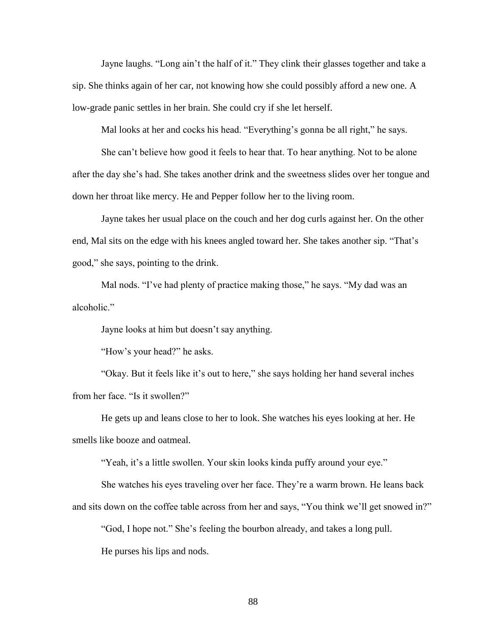Jayne laughs. "Long ain't the half of it." They clink their glasses together and take a sip. She thinks again of her car, not knowing how she could possibly afford a new one. A low-grade panic settles in her brain. She could cry if she let herself.

Mal looks at her and cocks his head. "Everything's gonna be all right," he says.

She can't believe how good it feels to hear that. To hear anything. Not to be alone after the day she's had. She takes another drink and the sweetness slides over her tongue and down her throat like mercy. He and Pepper follow her to the living room.

Jayne takes her usual place on the couch and her dog curls against her. On the other end, Mal sits on the edge with his knees angled toward her. She takes another sip. "That's good," she says, pointing to the drink.

Mal nods. "I've had plenty of practice making those," he says. "My dad was an alcoholic."

Jayne looks at him but doesn't say anything.

"How's your head?" he asks.

"Okay. But it feels like it's out to here," she says holding her hand several inches from her face. "Is it swollen?"

He gets up and leans close to her to look. She watches his eyes looking at her. He smells like booze and oatmeal.

"Yeah, it's a little swollen. Your skin looks kinda puffy around your eye."

She watches his eyes traveling over her face. They're a warm brown. He leans back and sits down on the coffee table across from her and says, "You think we'll get snowed in?"

"God, I hope not." She's feeling the bourbon already, and takes a long pull.

He purses his lips and nods.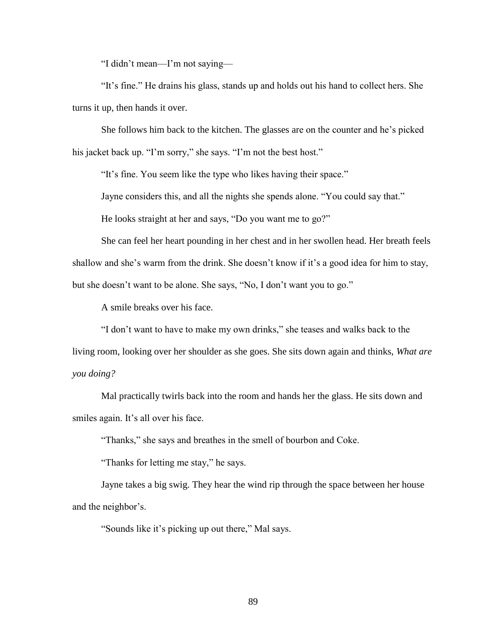"I didn't mean—I'm not saying—

"It's fine." He drains his glass, stands up and holds out his hand to collect hers. She turns it up, then hands it over.

She follows him back to the kitchen. The glasses are on the counter and he's picked his jacket back up. "I'm sorry," she says. "I'm not the best host."

"It's fine. You seem like the type who likes having their space."

Jayne considers this, and all the nights she spends alone. "You could say that."

He looks straight at her and says, "Do you want me to go?"

She can feel her heart pounding in her chest and in her swollen head. Her breath feels shallow and she's warm from the drink. She doesn't know if it's a good idea for him to stay, but she doesn't want to be alone. She says, "No, I don't want you to go."

A smile breaks over his face.

"I don't want to have to make my own drinks," she teases and walks back to the living room, looking over her shoulder as she goes. She sits down again and thinks, *What are you doing?*

Mal practically twirls back into the room and hands her the glass. He sits down and smiles again. It's all over his face.

"Thanks," she says and breathes in the smell of bourbon and Coke.

"Thanks for letting me stay," he says.

Jayne takes a big swig. They hear the wind rip through the space between her house and the neighbor's.

"Sounds like it's picking up out there," Mal says.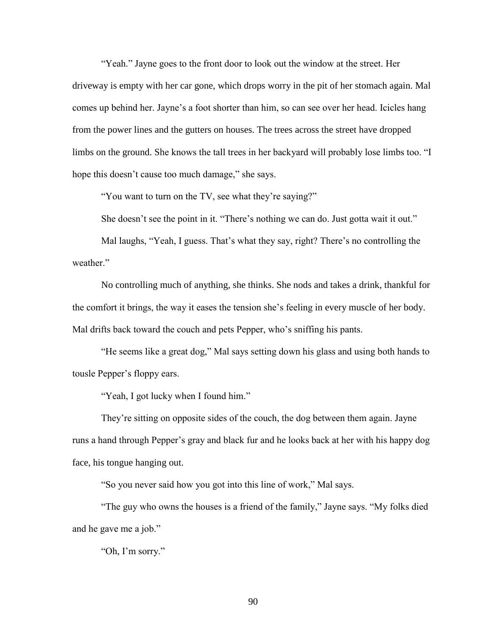"Yeah." Jayne goes to the front door to look out the window at the street. Her driveway is empty with her car gone, which drops worry in the pit of her stomach again. Mal comes up behind her. Jayne's a foot shorter than him, so can see over her head. Icicles hang from the power lines and the gutters on houses. The trees across the street have dropped limbs on the ground. She knows the tall trees in her backyard will probably lose limbs too. "I hope this doesn't cause too much damage," she says.

"You want to turn on the TV, see what they're saying?"

She doesn't see the point in it. "There's nothing we can do. Just gotta wait it out."

Mal laughs, "Yeah, I guess. That's what they say, right? There's no controlling the weather."

No controlling much of anything, she thinks. She nods and takes a drink, thankful for the comfort it brings, the way it eases the tension she's feeling in every muscle of her body. Mal drifts back toward the couch and pets Pepper, who's sniffing his pants.

"He seems like a great dog," Mal says setting down his glass and using both hands to tousle Pepper's floppy ears.

"Yeah, I got lucky when I found him."

They're sitting on opposite sides of the couch, the dog between them again. Jayne runs a hand through Pepper's gray and black fur and he looks back at her with his happy dog face, his tongue hanging out.

"So you never said how you got into this line of work," Mal says.

"The guy who owns the houses is a friend of the family," Jayne says. "My folks died and he gave me a job."

"Oh, I'm sorry."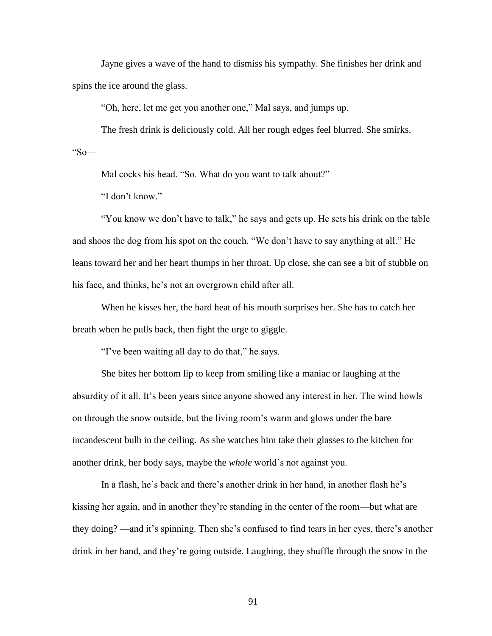Jayne gives a wave of the hand to dismiss his sympathy. She finishes her drink and spins the ice around the glass.

"Oh, here, let me get you another one," Mal says, and jumps up.

The fresh drink is deliciously cold. All her rough edges feel blurred. She smirks. "So—

Mal cocks his head. "So. What do you want to talk about?"

"I don't know."

"You know we don't have to talk," he says and gets up. He sets his drink on the table and shoos the dog from his spot on the couch. "We don't have to say anything at all." He leans toward her and her heart thumps in her throat. Up close, she can see a bit of stubble on his face, and thinks, he's not an overgrown child after all.

When he kisses her, the hard heat of his mouth surprises her. She has to catch her breath when he pulls back, then fight the urge to giggle.

"I've been waiting all day to do that," he says.

She bites her bottom lip to keep from smiling like a maniac or laughing at the absurdity of it all. It's been years since anyone showed any interest in her. The wind howls on through the snow outside, but the living room's warm and glows under the bare incandescent bulb in the ceiling. As she watches him take their glasses to the kitchen for another drink, her body says, maybe the *whole* world's not against you.

In a flash, he's back and there's another drink in her hand, in another flash he's kissing her again, and in another they're standing in the center of the room—but what are they doing? —and it's spinning. Then she's confused to find tears in her eyes, there's another drink in her hand, and they're going outside. Laughing, they shuffle through the snow in the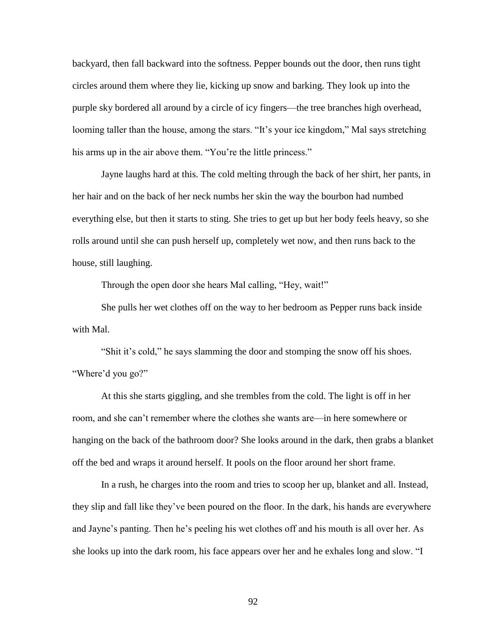backyard, then fall backward into the softness. Pepper bounds out the door, then runs tight circles around them where they lie, kicking up snow and barking. They look up into the purple sky bordered all around by a circle of icy fingers—the tree branches high overhead, looming taller than the house, among the stars. "It's your ice kingdom," Mal says stretching his arms up in the air above them. "You're the little princess."

Jayne laughs hard at this. The cold melting through the back of her shirt, her pants, in her hair and on the back of her neck numbs her skin the way the bourbon had numbed everything else, but then it starts to sting. She tries to get up but her body feels heavy, so she rolls around until she can push herself up, completely wet now, and then runs back to the house, still laughing.

Through the open door she hears Mal calling, "Hey, wait!"

She pulls her wet clothes off on the way to her bedroom as Pepper runs back inside with Mal.

"Shit it's cold," he says slamming the door and stomping the snow off his shoes. "Where'd you go?"

At this she starts giggling, and she trembles from the cold. The light is off in her room, and she can't remember where the clothes she wants are—in here somewhere or hanging on the back of the bathroom door? She looks around in the dark, then grabs a blanket off the bed and wraps it around herself. It pools on the floor around her short frame.

In a rush, he charges into the room and tries to scoop her up, blanket and all. Instead, they slip and fall like they've been poured on the floor. In the dark, his hands are everywhere and Jayne's panting. Then he's peeling his wet clothes off and his mouth is all over her. As she looks up into the dark room, his face appears over her and he exhales long and slow. "I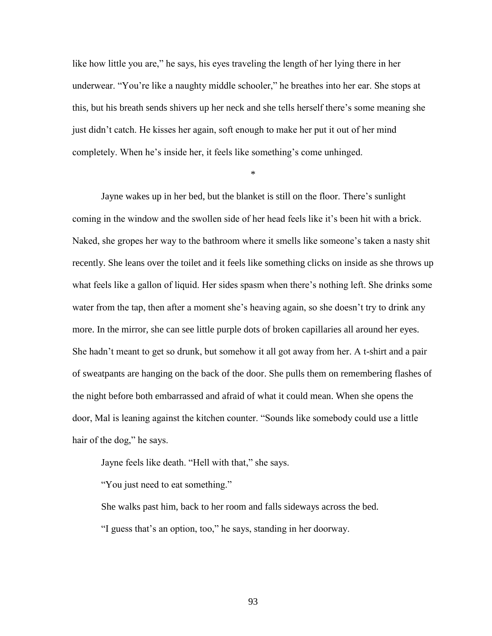like how little you are," he says, his eyes traveling the length of her lying there in her underwear. "You're like a naughty middle schooler," he breathes into her ear. She stops at this, but his breath sends shivers up her neck and she tells herself there's some meaning she just didn't catch. He kisses her again, soft enough to make her put it out of her mind completely. When he's inside her, it feels like something's come unhinged.

\*

Jayne wakes up in her bed, but the blanket is still on the floor. There's sunlight coming in the window and the swollen side of her head feels like it's been hit with a brick. Naked, she gropes her way to the bathroom where it smells like someone's taken a nasty shit recently. She leans over the toilet and it feels like something clicks on inside as she throws up what feels like a gallon of liquid. Her sides spasm when there's nothing left. She drinks some water from the tap, then after a moment she's heaving again, so she doesn't try to drink any more. In the mirror, she can see little purple dots of broken capillaries all around her eyes. She hadn't meant to get so drunk, but somehow it all got away from her. A t-shirt and a pair of sweatpants are hanging on the back of the door. She pulls them on remembering flashes of the night before both embarrassed and afraid of what it could mean. When she opens the door, Mal is leaning against the kitchen counter. "Sounds like somebody could use a little hair of the dog," he says.

Jayne feels like death. "Hell with that," she says.

"You just need to eat something."

She walks past him, back to her room and falls sideways across the bed.

"I guess that's an option, too," he says, standing in her doorway.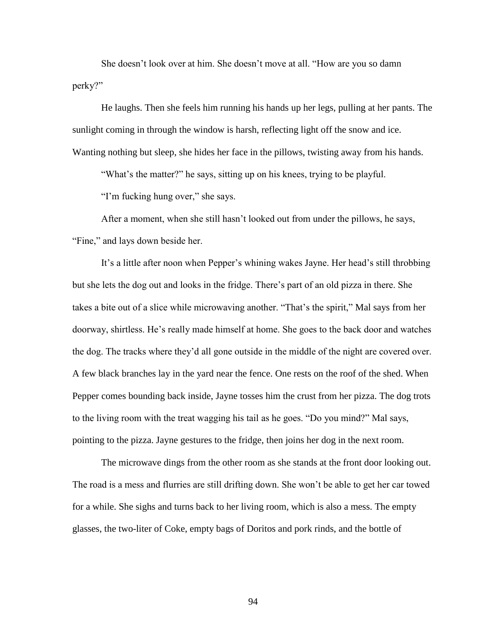She doesn't look over at him. She doesn't move at all. "How are you so damn perky?"

He laughs. Then she feels him running his hands up her legs, pulling at her pants. The sunlight coming in through the window is harsh, reflecting light off the snow and ice. Wanting nothing but sleep, she hides her face in the pillows, twisting away from his hands.

"What's the matter?" he says, sitting up on his knees, trying to be playful.

"I'm fucking hung over," she says.

After a moment, when she still hasn't looked out from under the pillows, he says, "Fine," and lays down beside her.

It's a little after noon when Pepper's whining wakes Jayne. Her head's still throbbing but she lets the dog out and looks in the fridge. There's part of an old pizza in there. She takes a bite out of a slice while microwaving another. "That's the spirit," Mal says from her doorway, shirtless. He's really made himself at home. She goes to the back door and watches the dog. The tracks where they'd all gone outside in the middle of the night are covered over. A few black branches lay in the yard near the fence. One rests on the roof of the shed. When Pepper comes bounding back inside, Jayne tosses him the crust from her pizza. The dog trots to the living room with the treat wagging his tail as he goes. "Do you mind?" Mal says, pointing to the pizza. Jayne gestures to the fridge, then joins her dog in the next room.

The microwave dings from the other room as she stands at the front door looking out. The road is a mess and flurries are still drifting down. She won't be able to get her car towed for a while. She sighs and turns back to her living room, which is also a mess. The empty glasses, the two-liter of Coke, empty bags of Doritos and pork rinds, and the bottle of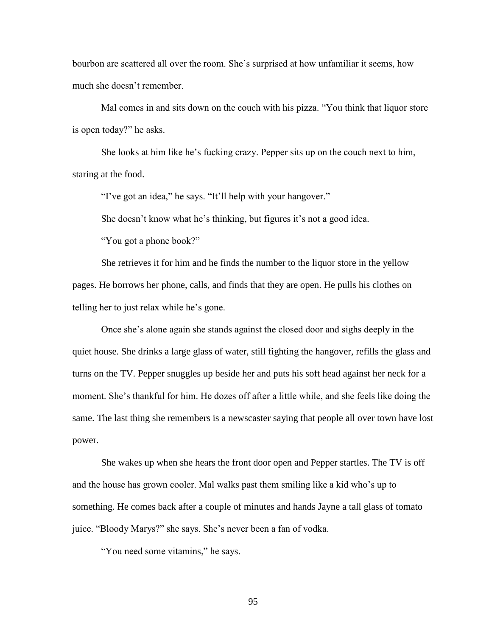bourbon are scattered all over the room. She's surprised at how unfamiliar it seems, how much she doesn't remember.

Mal comes in and sits down on the couch with his pizza. "You think that liquor store is open today?" he asks.

She looks at him like he's fucking crazy. Pepper sits up on the couch next to him, staring at the food.

"I've got an idea," he says. "It'll help with your hangover."

She doesn't know what he's thinking, but figures it's not a good idea.

"You got a phone book?"

She retrieves it for him and he finds the number to the liquor store in the yellow pages. He borrows her phone, calls, and finds that they are open. He pulls his clothes on telling her to just relax while he's gone.

Once she's alone again she stands against the closed door and sighs deeply in the quiet house. She drinks a large glass of water, still fighting the hangover, refills the glass and turns on the TV. Pepper snuggles up beside her and puts his soft head against her neck for a moment. She's thankful for him. He dozes off after a little while, and she feels like doing the same. The last thing she remembers is a newscaster saying that people all over town have lost power.

She wakes up when she hears the front door open and Pepper startles. The TV is off and the house has grown cooler. Mal walks past them smiling like a kid who's up to something. He comes back after a couple of minutes and hands Jayne a tall glass of tomato juice. "Bloody Marys?" she says. She's never been a fan of vodka.

"You need some vitamins," he says.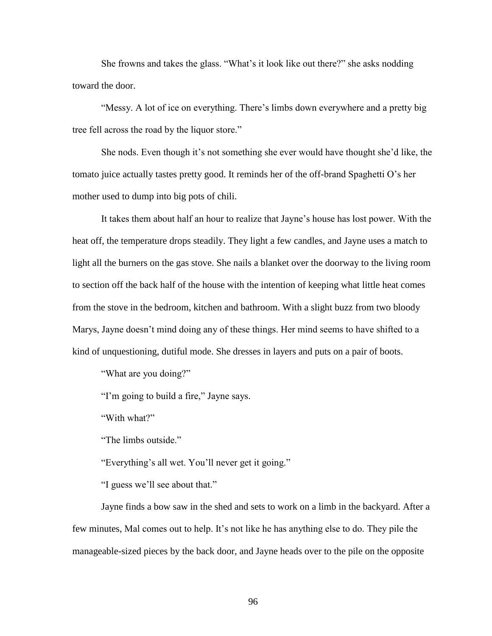She frowns and takes the glass. "What's it look like out there?" she asks nodding toward the door.

"Messy. A lot of ice on everything. There's limbs down everywhere and a pretty big tree fell across the road by the liquor store."

She nods. Even though it's not something she ever would have thought she'd like, the tomato juice actually tastes pretty good. It reminds her of the off-brand Spaghetti O's her mother used to dump into big pots of chili.

It takes them about half an hour to realize that Jayne's house has lost power. With the heat off, the temperature drops steadily. They light a few candles, and Jayne uses a match to light all the burners on the gas stove. She nails a blanket over the doorway to the living room to section off the back half of the house with the intention of keeping what little heat comes from the stove in the bedroom, kitchen and bathroom. With a slight buzz from two bloody Marys, Jayne doesn't mind doing any of these things. Her mind seems to have shifted to a kind of unquestioning, dutiful mode. She dresses in layers and puts on a pair of boots.

"What are you doing?"

"I'm going to build a fire," Jayne says.

"With what?"

"The limbs outside."

"Everything's all wet. You'll never get it going."

"I guess we'll see about that."

Jayne finds a bow saw in the shed and sets to work on a limb in the backyard. After a few minutes, Mal comes out to help. It's not like he has anything else to do. They pile the manageable-sized pieces by the back door, and Jayne heads over to the pile on the opposite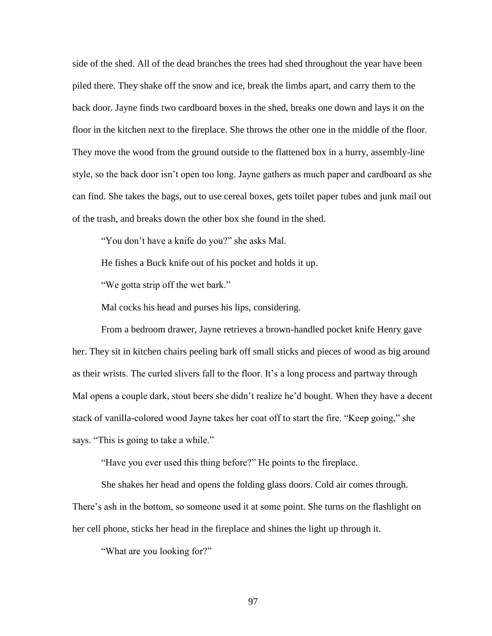side of the shed. All of the dead branches the trees had shed throughout the year have been piled there. They shake off the snow and ice, break the limbs apart, and carry them to the back door. Jayne finds two cardboard boxes in the shed, breaks one down and lays it on the floor in the kitchen next to the fireplace. She throws the other one in the middle of the floor. They move the wood from the ground outside to the flattened box in a hurry, assembly-line style, so the back door isn't open too long. Jayne gathers as much paper and cardboard as she can find. She takes the bags, out to use cereal boxes, gets toilet paper tubes and junk mail out of the trash, and breaks down the other box she found in the shed.

"You don't have a knife do you?" she asks Mal.

He fishes a Buck knife out of his pocket and holds it up.

"We gotta strip off the wet bark."

Mal cocks his head and purses his lips, considering.

From a bedroom drawer, Jayne retrieves a brown-handled pocket knife Henry gave her. They sit in kitchen chairs peeling bark off small sticks and pieces of wood as big around as their wrists. The curled slivers fall to the floor. It's a long process and partway through Mal opens a couple dark, stout beers she didn't realize he'd bought. When they have a decent stack of vanilla-colored wood Jayne takes her coat off to start the fire. "Keep going," she says. "This is going to take a while."

"Have you ever used this thing before?" He points to the fireplace.

She shakes her head and opens the folding glass doors. Cold air comes through. There's ash in the bottom, so someone used it at some point. She turns on the flashlight on her cell phone, sticks her head in the fireplace and shines the light up through it.

"What are you looking for?"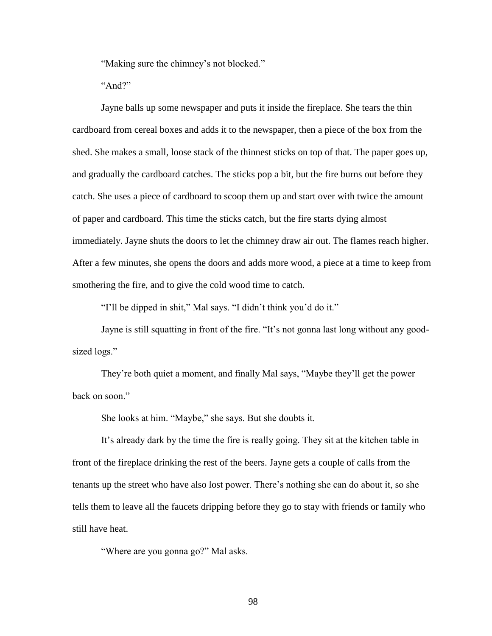"Making sure the chimney's not blocked."

" $And?$ "

Jayne balls up some newspaper and puts it inside the fireplace. She tears the thin cardboard from cereal boxes and adds it to the newspaper, then a piece of the box from the shed. She makes a small, loose stack of the thinnest sticks on top of that. The paper goes up, and gradually the cardboard catches. The sticks pop a bit, but the fire burns out before they catch. She uses a piece of cardboard to scoop them up and start over with twice the amount of paper and cardboard. This time the sticks catch, but the fire starts dying almost immediately. Jayne shuts the doors to let the chimney draw air out. The flames reach higher. After a few minutes, she opens the doors and adds more wood, a piece at a time to keep from smothering the fire, and to give the cold wood time to catch.

"I'll be dipped in shit," Mal says. "I didn't think you'd do it."

Jayne is still squatting in front of the fire. "It's not gonna last long without any goodsized logs."

They're both quiet a moment, and finally Mal says, "Maybe they'll get the power back on soon."

She looks at him. "Maybe," she says. But she doubts it.

It's already dark by the time the fire is really going. They sit at the kitchen table in front of the fireplace drinking the rest of the beers. Jayne gets a couple of calls from the tenants up the street who have also lost power. There's nothing she can do about it, so she tells them to leave all the faucets dripping before they go to stay with friends or family who still have heat.

"Where are you gonna go?" Mal asks.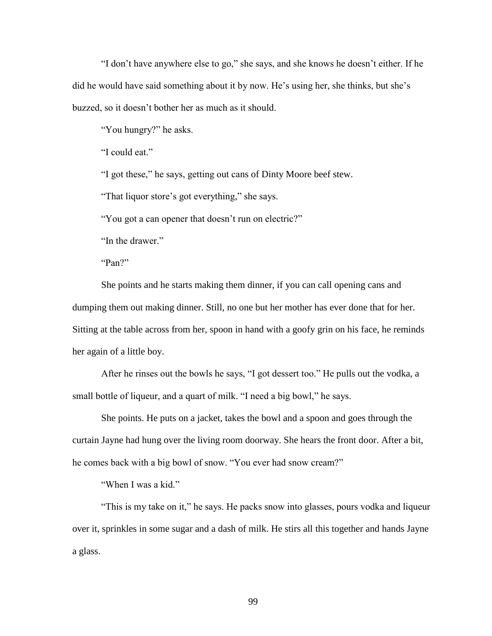"I don't have anywhere else to go," she says, and she knows he doesn't either. If he did he would have said something about it by now. He's using her, she thinks, but she's buzzed, so it doesn't bother her as much as it should.

"You hungry?" he asks.

"I could eat."

"I got these," he says, getting out cans of Dinty Moore beef stew.

"That liquor store's got everything," she says.

"You got a can opener that doesn't run on electric?"

"In the drawer"

"Pan?"

She points and he starts making them dinner, if you can call opening cans and dumping them out making dinner. Still, no one but her mother has ever done that for her. Sitting at the table across from her, spoon in hand with a goofy grin on his face, he reminds her again of a little boy.

After he rinses out the bowls he says, "I got dessert too." He pulls out the vodka, a small bottle of liqueur, and a quart of milk. "I need a big bowl," he says.

She points. He puts on a jacket, takes the bowl and a spoon and goes through the curtain Jayne had hung over the living room doorway. She hears the front door. After a bit, he comes back with a big bowl of snow. "You ever had snow cream?"

"When I was a kid."

"This is my take on it," he says. He packs snow into glasses, pours vodka and liqueur over it, sprinkles in some sugar and a dash of milk. He stirs all this together and hands Jayne a glass.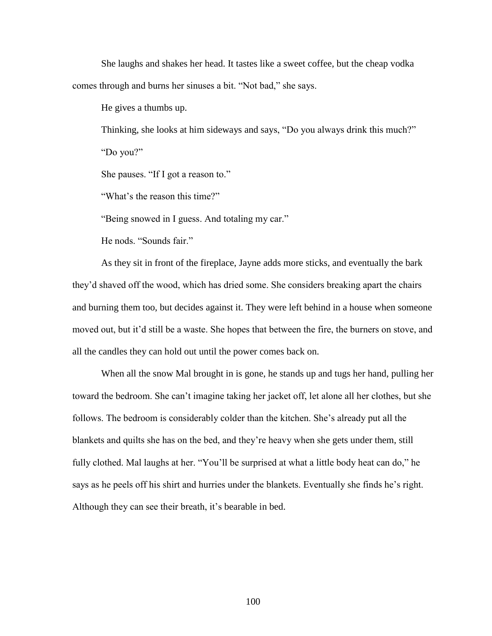She laughs and shakes her head. It tastes like a sweet coffee, but the cheap vodka comes through and burns her sinuses a bit. "Not bad," she says.

He gives a thumbs up.

Thinking, she looks at him sideways and says, "Do you always drink this much?" "Do you?"

She pauses. "If I got a reason to."

"What's the reason this time?"

"Being snowed in I guess. And totaling my car."

He nods. "Sounds fair."

As they sit in front of the fireplace, Jayne adds more sticks, and eventually the bark they'd shaved off the wood, which has dried some. She considers breaking apart the chairs and burning them too, but decides against it. They were left behind in a house when someone moved out, but it'd still be a waste. She hopes that between the fire, the burners on stove, and all the candles they can hold out until the power comes back on.

When all the snow Mal brought in is gone, he stands up and tugs her hand, pulling her toward the bedroom. She can't imagine taking her jacket off, let alone all her clothes, but she follows. The bedroom is considerably colder than the kitchen. She's already put all the blankets and quilts she has on the bed, and they're heavy when she gets under them, still fully clothed. Mal laughs at her. "You'll be surprised at what a little body heat can do," he says as he peels off his shirt and hurries under the blankets. Eventually she finds he's right. Although they can see their breath, it's bearable in bed.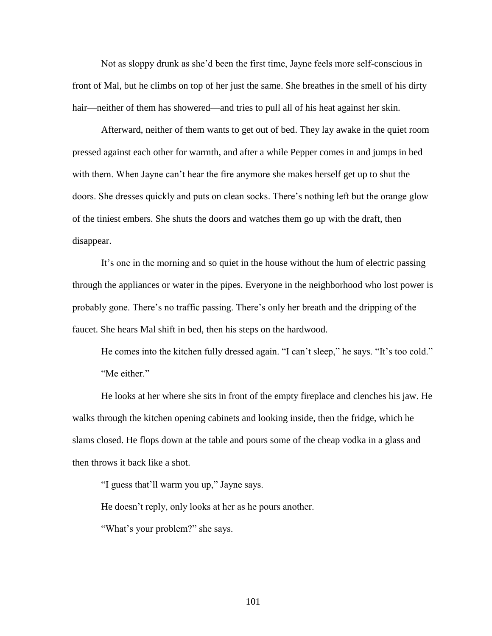Not as sloppy drunk as she'd been the first time, Jayne feels more self-conscious in front of Mal, but he climbs on top of her just the same. She breathes in the smell of his dirty hair—neither of them has showered—and tries to pull all of his heat against her skin.

Afterward, neither of them wants to get out of bed. They lay awake in the quiet room pressed against each other for warmth, and after a while Pepper comes in and jumps in bed with them. When Jayne can't hear the fire anymore she makes herself get up to shut the doors. She dresses quickly and puts on clean socks. There's nothing left but the orange glow of the tiniest embers. She shuts the doors and watches them go up with the draft, then disappear.

It's one in the morning and so quiet in the house without the hum of electric passing through the appliances or water in the pipes. Everyone in the neighborhood who lost power is probably gone. There's no traffic passing. There's only her breath and the dripping of the faucet. She hears Mal shift in bed, then his steps on the hardwood.

He comes into the kitchen fully dressed again. "I can't sleep," he says. "It's too cold." "Me either."

He looks at her where she sits in front of the empty fireplace and clenches his jaw. He walks through the kitchen opening cabinets and looking inside, then the fridge, which he slams closed. He flops down at the table and pours some of the cheap vodka in a glass and then throws it back like a shot.

"I guess that'll warm you up," Jayne says.

He doesn't reply, only looks at her as he pours another.

"What's your problem?" she says.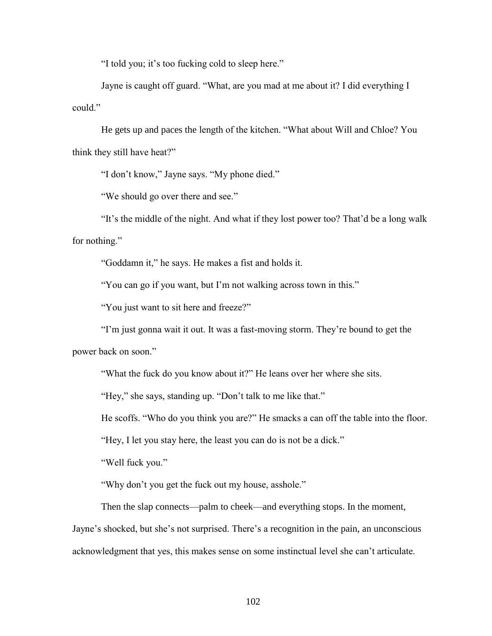"I told you; it's too fucking cold to sleep here."

Jayne is caught off guard. "What, are you mad at me about it? I did everything I could."

He gets up and paces the length of the kitchen. "What about Will and Chloe? You think they still have heat?"

"I don't know," Jayne says. "My phone died."

"We should go over there and see."

"It's the middle of the night. And what if they lost power too? That'd be a long walk for nothing."

"Goddamn it," he says. He makes a fist and holds it.

"You can go if you want, but I'm not walking across town in this."

"You just want to sit here and freeze?"

"I'm just gonna wait it out. It was a fast-moving storm. They're bound to get the power back on soon."

"What the fuck do you know about it?" He leans over her where she sits.

"Hey," she says, standing up. "Don't talk to me like that."

He scoffs. "Who do you think you are?" He smacks a can off the table into the floor.

"Hey, I let you stay here, the least you can do is not be a dick."

"Well fuck you."

"Why don't you get the fuck out my house, asshole."

Then the slap connects—palm to cheek—and everything stops. In the moment, Jayne's shocked, but she's not surprised. There's a recognition in the pain, an unconscious acknowledgment that yes, this makes sense on some instinctual level she can't articulate.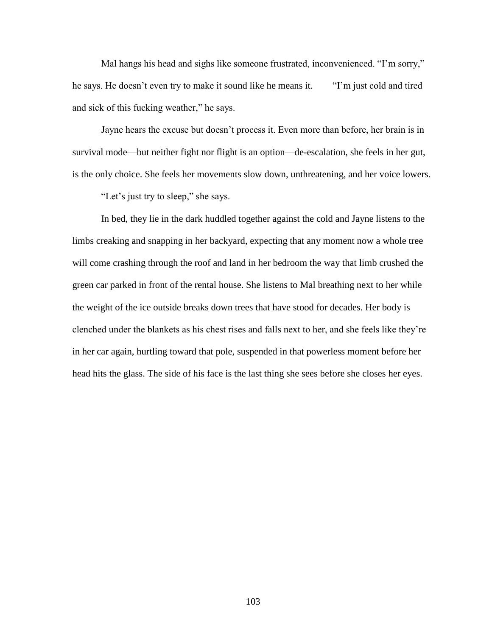Mal hangs his head and sighs like someone frustrated, inconvenienced. "I'm sorry," he says. He doesn't even try to make it sound like he means it. "I'm just cold and tired and sick of this fucking weather," he says.

Jayne hears the excuse but doesn't process it. Even more than before, her brain is in survival mode—but neither fight nor flight is an option—de-escalation, she feels in her gut, is the only choice. She feels her movements slow down, unthreatening, and her voice lowers.

"Let's just try to sleep," she says.

In bed, they lie in the dark huddled together against the cold and Jayne listens to the limbs creaking and snapping in her backyard, expecting that any moment now a whole tree will come crashing through the roof and land in her bedroom the way that limb crushed the green car parked in front of the rental house. She listens to Mal breathing next to her while the weight of the ice outside breaks down trees that have stood for decades. Her body is clenched under the blankets as his chest rises and falls next to her, and she feels like they're in her car again, hurtling toward that pole, suspended in that powerless moment before her head hits the glass. The side of his face is the last thing she sees before she closes her eyes.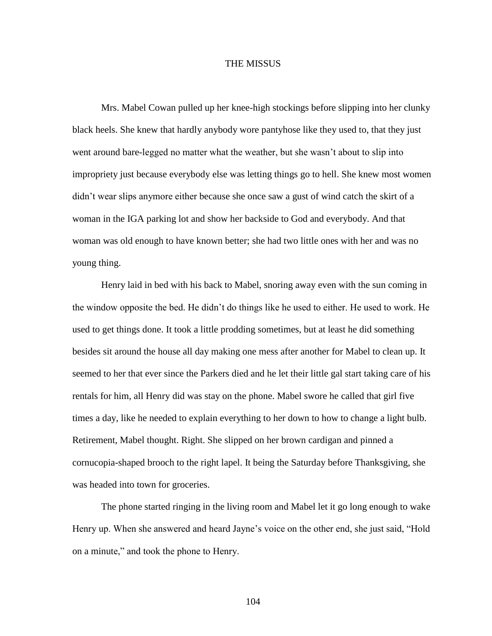## THE MISSUS

Mrs. Mabel Cowan pulled up her knee-high stockings before slipping into her clunky black heels. She knew that hardly anybody wore pantyhose like they used to, that they just went around bare-legged no matter what the weather, but she wasn't about to slip into impropriety just because everybody else was letting things go to hell. She knew most women didn't wear slips anymore either because she once saw a gust of wind catch the skirt of a woman in the IGA parking lot and show her backside to God and everybody. And that woman was old enough to have known better; she had two little ones with her and was no young thing.

Henry laid in bed with his back to Mabel, snoring away even with the sun coming in the window opposite the bed. He didn't do things like he used to either. He used to work. He used to get things done. It took a little prodding sometimes, but at least he did something besides sit around the house all day making one mess after another for Mabel to clean up. It seemed to her that ever since the Parkers died and he let their little gal start taking care of his rentals for him, all Henry did was stay on the phone. Mabel swore he called that girl five times a day, like he needed to explain everything to her down to how to change a light bulb. Retirement, Mabel thought. Right. She slipped on her brown cardigan and pinned a cornucopia-shaped brooch to the right lapel. It being the Saturday before Thanksgiving, she was headed into town for groceries.

The phone started ringing in the living room and Mabel let it go long enough to wake Henry up. When she answered and heard Jayne's voice on the other end, she just said, "Hold on a minute," and took the phone to Henry.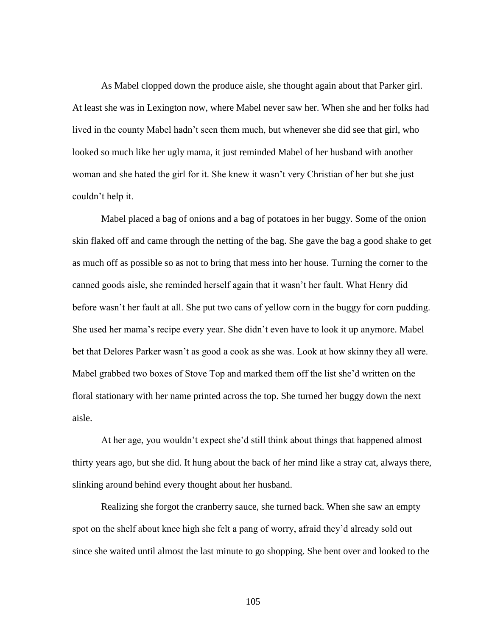As Mabel clopped down the produce aisle, she thought again about that Parker girl. At least she was in Lexington now, where Mabel never saw her. When she and her folks had lived in the county Mabel hadn't seen them much, but whenever she did see that girl, who looked so much like her ugly mama, it just reminded Mabel of her husband with another woman and she hated the girl for it. She knew it wasn't very Christian of her but she just couldn't help it.

Mabel placed a bag of onions and a bag of potatoes in her buggy. Some of the onion skin flaked off and came through the netting of the bag. She gave the bag a good shake to get as much off as possible so as not to bring that mess into her house. Turning the corner to the canned goods aisle, she reminded herself again that it wasn't her fault. What Henry did before wasn't her fault at all. She put two cans of yellow corn in the buggy for corn pudding. She used her mama's recipe every year. She didn't even have to look it up anymore. Mabel bet that Delores Parker wasn't as good a cook as she was. Look at how skinny they all were. Mabel grabbed two boxes of Stove Top and marked them off the list she'd written on the floral stationary with her name printed across the top. She turned her buggy down the next aisle.

At her age, you wouldn't expect she'd still think about things that happened almost thirty years ago, but she did. It hung about the back of her mind like a stray cat, always there, slinking around behind every thought about her husband.

Realizing she forgot the cranberry sauce, she turned back. When she saw an empty spot on the shelf about knee high she felt a pang of worry, afraid they'd already sold out since she waited until almost the last minute to go shopping. She bent over and looked to the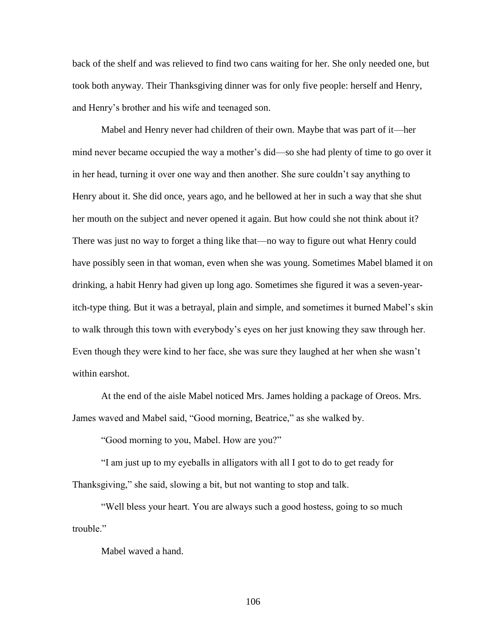back of the shelf and was relieved to find two cans waiting for her. She only needed one, but took both anyway. Their Thanksgiving dinner was for only five people: herself and Henry, and Henry's brother and his wife and teenaged son.

Mabel and Henry never had children of their own. Maybe that was part of it—her mind never became occupied the way a mother's did—so she had plenty of time to go over it in her head, turning it over one way and then another. She sure couldn't say anything to Henry about it. She did once, years ago, and he bellowed at her in such a way that she shut her mouth on the subject and never opened it again. But how could she not think about it? There was just no way to forget a thing like that—no way to figure out what Henry could have possibly seen in that woman, even when she was young. Sometimes Mabel blamed it on drinking, a habit Henry had given up long ago. Sometimes she figured it was a seven-yearitch-type thing. But it was a betrayal, plain and simple, and sometimes it burned Mabel's skin to walk through this town with everybody's eyes on her just knowing they saw through her. Even though they were kind to her face, she was sure they laughed at her when she wasn't within earshot.

At the end of the aisle Mabel noticed Mrs. James holding a package of Oreos. Mrs. James waved and Mabel said, "Good morning, Beatrice," as she walked by.

"Good morning to you, Mabel. How are you?"

"I am just up to my eyeballs in alligators with all I got to do to get ready for Thanksgiving," she said, slowing a bit, but not wanting to stop and talk.

"Well bless your heart. You are always such a good hostess, going to so much trouble."

Mabel waved a hand.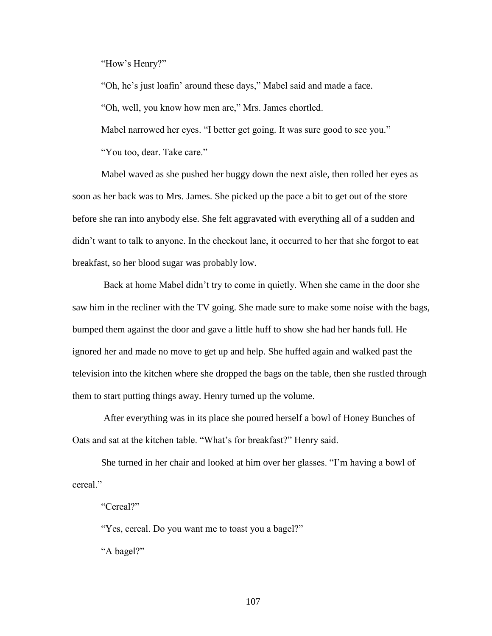"How's Henry?"

"Oh, he's just loafin' around these days," Mabel said and made a face.

"Oh, well, you know how men are," Mrs. James chortled.

Mabel narrowed her eyes. "I better get going. It was sure good to see you."

"You too, dear. Take care."

Mabel waved as she pushed her buggy down the next aisle, then rolled her eyes as soon as her back was to Mrs. James. She picked up the pace a bit to get out of the store before she ran into anybody else. She felt aggravated with everything all of a sudden and didn't want to talk to anyone. In the checkout lane, it occurred to her that she forgot to eat breakfast, so her blood sugar was probably low.

Back at home Mabel didn't try to come in quietly. When she came in the door she saw him in the recliner with the TV going. She made sure to make some noise with the bags, bumped them against the door and gave a little huff to show she had her hands full. He ignored her and made no move to get up and help. She huffed again and walked past the television into the kitchen where she dropped the bags on the table, then she rustled through them to start putting things away. Henry turned up the volume.

After everything was in its place she poured herself a bowl of Honey Bunches of Oats and sat at the kitchen table. "What's for breakfast?" Henry said.

She turned in her chair and looked at him over her glasses. "I'm having a bowl of cereal."

"Cereal?"

"Yes, cereal. Do you want me to toast you a bagel?"

"A bagel?"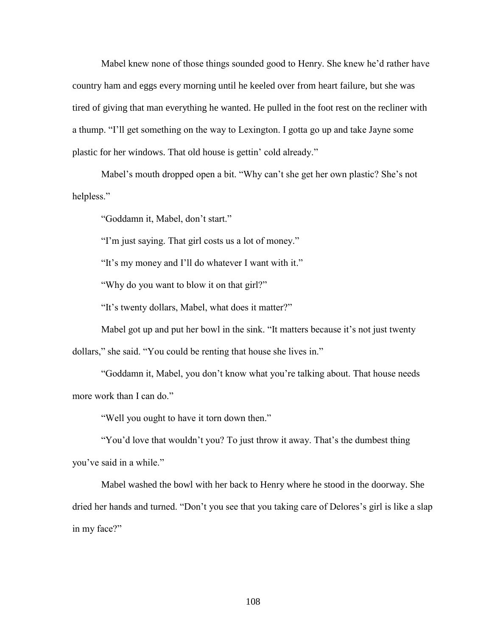Mabel knew none of those things sounded good to Henry. She knew he'd rather have country ham and eggs every morning until he keeled over from heart failure, but she was tired of giving that man everything he wanted. He pulled in the foot rest on the recliner with a thump. "I'll get something on the way to Lexington. I gotta go up and take Jayne some plastic for her windows. That old house is gettin' cold already."

Mabel's mouth dropped open a bit. "Why can't she get her own plastic? She's not helpless."

"Goddamn it, Mabel, don't start."

"I'm just saying. That girl costs us a lot of money."

"It's my money and I'll do whatever I want with it."

"Why do you want to blow it on that girl?"

"It's twenty dollars, Mabel, what does it matter?"

Mabel got up and put her bowl in the sink. "It matters because it's not just twenty dollars," she said. "You could be renting that house she lives in."

"Goddamn it, Mabel, you don't know what you're talking about. That house needs more work than I can do."

"Well you ought to have it torn down then."

"You'd love that wouldn't you? To just throw it away. That's the dumbest thing you've said in a while."

Mabel washed the bowl with her back to Henry where he stood in the doorway. She dried her hands and turned. "Don't you see that you taking care of Delores's girl is like a slap in my face?"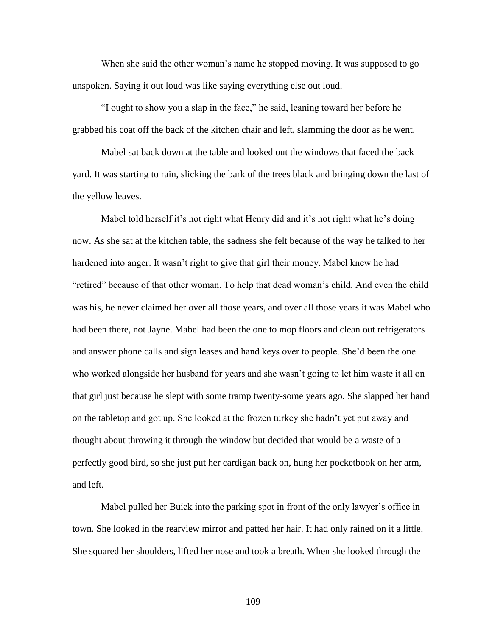When she said the other woman's name he stopped moving. It was supposed to go unspoken. Saying it out loud was like saying everything else out loud.

"I ought to show you a slap in the face," he said, leaning toward her before he grabbed his coat off the back of the kitchen chair and left, slamming the door as he went.

Mabel sat back down at the table and looked out the windows that faced the back yard. It was starting to rain, slicking the bark of the trees black and bringing down the last of the yellow leaves.

Mabel told herself it's not right what Henry did and it's not right what he's doing now. As she sat at the kitchen table, the sadness she felt because of the way he talked to her hardened into anger. It wasn't right to give that girl their money. Mabel knew he had "retired" because of that other woman. To help that dead woman's child. And even the child was his, he never claimed her over all those years, and over all those years it was Mabel who had been there, not Jayne. Mabel had been the one to mop floors and clean out refrigerators and answer phone calls and sign leases and hand keys over to people. She'd been the one who worked alongside her husband for years and she wasn't going to let him waste it all on that girl just because he slept with some tramp twenty-some years ago. She slapped her hand on the tabletop and got up. She looked at the frozen turkey she hadn't yet put away and thought about throwing it through the window but decided that would be a waste of a perfectly good bird, so she just put her cardigan back on, hung her pocketbook on her arm, and left.

Mabel pulled her Buick into the parking spot in front of the only lawyer's office in town. She looked in the rearview mirror and patted her hair. It had only rained on it a little. She squared her shoulders, lifted her nose and took a breath. When she looked through the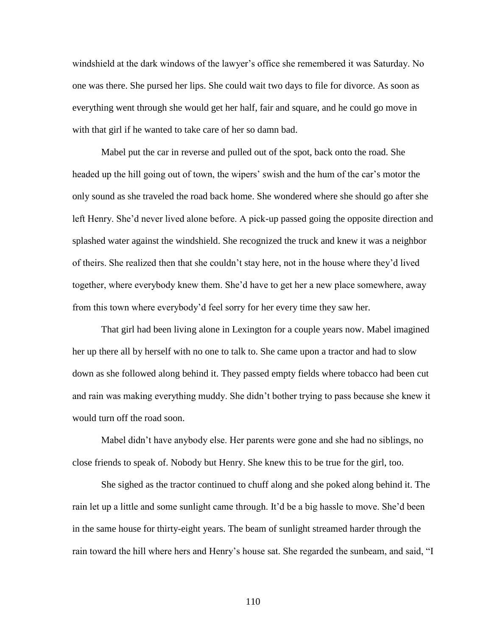windshield at the dark windows of the lawyer's office she remembered it was Saturday. No one was there. She pursed her lips. She could wait two days to file for divorce. As soon as everything went through she would get her half, fair and square, and he could go move in with that girl if he wanted to take care of her so damn bad.

Mabel put the car in reverse and pulled out of the spot, back onto the road. She headed up the hill going out of town, the wipers' swish and the hum of the car's motor the only sound as she traveled the road back home. She wondered where she should go after she left Henry. She'd never lived alone before. A pick-up passed going the opposite direction and splashed water against the windshield. She recognized the truck and knew it was a neighbor of theirs. She realized then that she couldn't stay here, not in the house where they'd lived together, where everybody knew them. She'd have to get her a new place somewhere, away from this town where everybody'd feel sorry for her every time they saw her.

That girl had been living alone in Lexington for a couple years now. Mabel imagined her up there all by herself with no one to talk to. She came upon a tractor and had to slow down as she followed along behind it. They passed empty fields where tobacco had been cut and rain was making everything muddy. She didn't bother trying to pass because she knew it would turn off the road soon.

Mabel didn't have anybody else. Her parents were gone and she had no siblings, no close friends to speak of. Nobody but Henry. She knew this to be true for the girl, too.

She sighed as the tractor continued to chuff along and she poked along behind it. The rain let up a little and some sunlight came through. It'd be a big hassle to move. She'd been in the same house for thirty-eight years. The beam of sunlight streamed harder through the rain toward the hill where hers and Henry's house sat. She regarded the sunbeam, and said, "I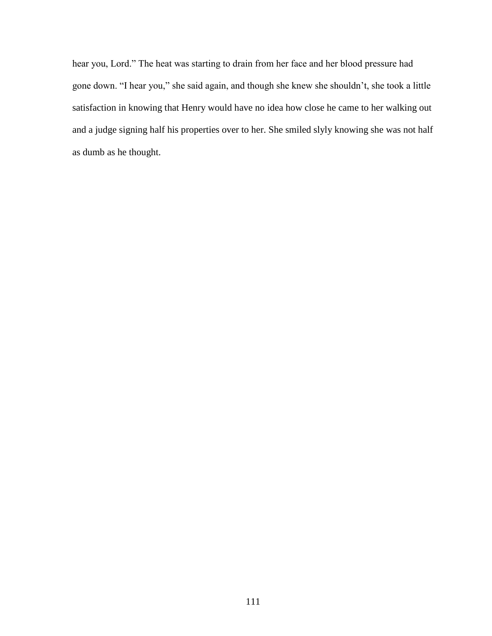hear you, Lord." The heat was starting to drain from her face and her blood pressure had gone down. "I hear you," she said again, and though she knew she shouldn't, she took a little satisfaction in knowing that Henry would have no idea how close he came to her walking out and a judge signing half his properties over to her. She smiled slyly knowing she was not half as dumb as he thought.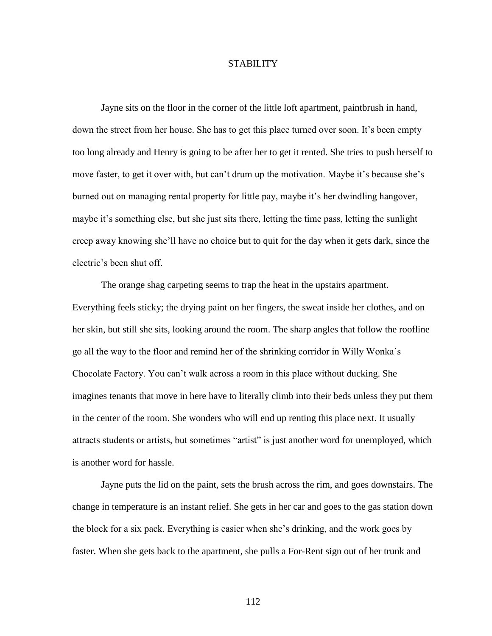## **STABILITY**

Jayne sits on the floor in the corner of the little loft apartment, paintbrush in hand, down the street from her house. She has to get this place turned over soon. It's been empty too long already and Henry is going to be after her to get it rented. She tries to push herself to move faster, to get it over with, but can't drum up the motivation. Maybe it's because she's burned out on managing rental property for little pay, maybe it's her dwindling hangover, maybe it's something else, but she just sits there, letting the time pass, letting the sunlight creep away knowing she'll have no choice but to quit for the day when it gets dark, since the electric's been shut off.

The orange shag carpeting seems to trap the heat in the upstairs apartment. Everything feels sticky; the drying paint on her fingers, the sweat inside her clothes, and on her skin, but still she sits, looking around the room. The sharp angles that follow the roofline go all the way to the floor and remind her of the shrinking corridor in Willy Wonka's Chocolate Factory. You can't walk across a room in this place without ducking. She imagines tenants that move in here have to literally climb into their beds unless they put them in the center of the room. She wonders who will end up renting this place next. It usually attracts students or artists, but sometimes "artist" is just another word for unemployed, which is another word for hassle.

Jayne puts the lid on the paint, sets the brush across the rim, and goes downstairs. The change in temperature is an instant relief. She gets in her car and goes to the gas station down the block for a six pack. Everything is easier when she's drinking, and the work goes by faster. When she gets back to the apartment, she pulls a For-Rent sign out of her trunk and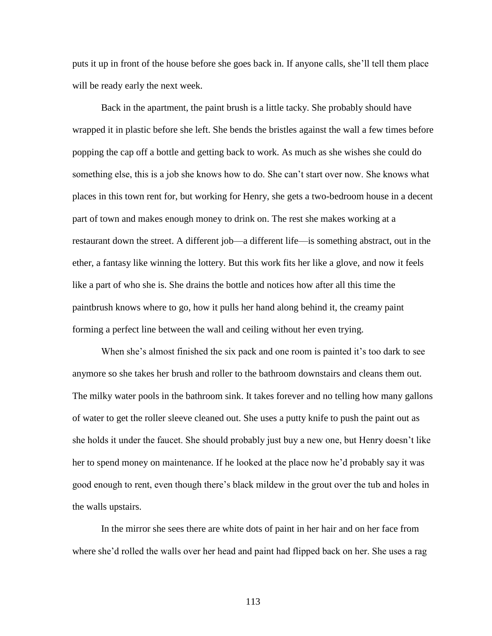puts it up in front of the house before she goes back in. If anyone calls, she'll tell them place will be ready early the next week.

Back in the apartment, the paint brush is a little tacky. She probably should have wrapped it in plastic before she left. She bends the bristles against the wall a few times before popping the cap off a bottle and getting back to work. As much as she wishes she could do something else, this is a job she knows how to do. She can't start over now. She knows what places in this town rent for, but working for Henry, she gets a two-bedroom house in a decent part of town and makes enough money to drink on. The rest she makes working at a restaurant down the street. A different job—a different life—is something abstract, out in the ether, a fantasy like winning the lottery. But this work fits her like a glove, and now it feels like a part of who she is. She drains the bottle and notices how after all this time the paintbrush knows where to go, how it pulls her hand along behind it, the creamy paint forming a perfect line between the wall and ceiling without her even trying.

When she's almost finished the six pack and one room is painted it's too dark to see anymore so she takes her brush and roller to the bathroom downstairs and cleans them out. The milky water pools in the bathroom sink. It takes forever and no telling how many gallons of water to get the roller sleeve cleaned out. She uses a putty knife to push the paint out as she holds it under the faucet. She should probably just buy a new one, but Henry doesn't like her to spend money on maintenance. If he looked at the place now he'd probably say it was good enough to rent, even though there's black mildew in the grout over the tub and holes in the walls upstairs.

In the mirror she sees there are white dots of paint in her hair and on her face from where she'd rolled the walls over her head and paint had flipped back on her. She uses a rag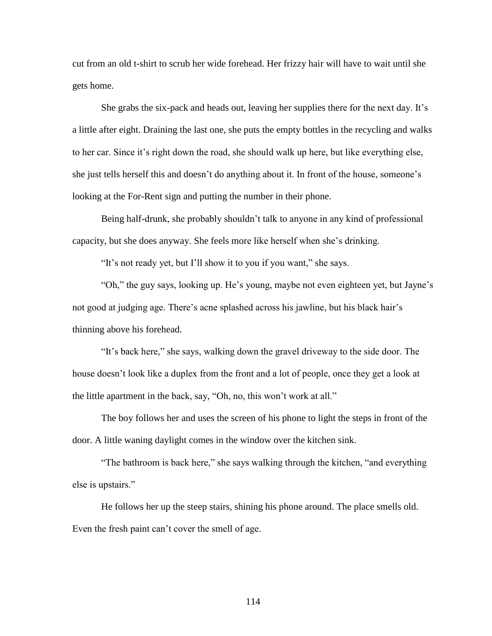cut from an old t-shirt to scrub her wide forehead. Her frizzy hair will have to wait until she gets home.

She grabs the six-pack and heads out, leaving her supplies there for the next day. It's a little after eight. Draining the last one, she puts the empty bottles in the recycling and walks to her car. Since it's right down the road, she should walk up here, but like everything else, she just tells herself this and doesn't do anything about it. In front of the house, someone's looking at the For-Rent sign and putting the number in their phone.

Being half-drunk, she probably shouldn't talk to anyone in any kind of professional capacity, but she does anyway. She feels more like herself when she's drinking.

"It's not ready yet, but I'll show it to you if you want," she says.

"Oh," the guy says, looking up. He's young, maybe not even eighteen yet, but Jayne's not good at judging age. There's acne splashed across his jawline, but his black hair's thinning above his forehead.

"It's back here," she says, walking down the gravel driveway to the side door. The house doesn't look like a duplex from the front and a lot of people, once they get a look at the little apartment in the back, say, "Oh, no, this won't work at all."

The boy follows her and uses the screen of his phone to light the steps in front of the door. A little waning daylight comes in the window over the kitchen sink.

"The bathroom is back here," she says walking through the kitchen, "and everything else is upstairs."

He follows her up the steep stairs, shining his phone around. The place smells old. Even the fresh paint can't cover the smell of age.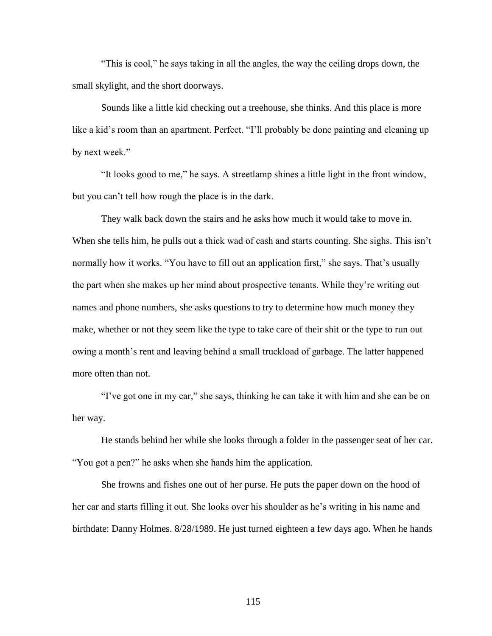"This is cool," he says taking in all the angles, the way the ceiling drops down, the small skylight, and the short doorways.

Sounds like a little kid checking out a treehouse, she thinks. And this place is more like a kid's room than an apartment. Perfect. "I'll probably be done painting and cleaning up by next week."

"It looks good to me," he says. A streetlamp shines a little light in the front window, but you can't tell how rough the place is in the dark.

They walk back down the stairs and he asks how much it would take to move in. When she tells him, he pulls out a thick wad of cash and starts counting. She sighs. This isn't normally how it works. "You have to fill out an application first," she says. That's usually the part when she makes up her mind about prospective tenants. While they're writing out names and phone numbers, she asks questions to try to determine how much money they make, whether or not they seem like the type to take care of their shit or the type to run out owing a month's rent and leaving behind a small truckload of garbage. The latter happened more often than not.

"I've got one in my car," she says, thinking he can take it with him and she can be on her way.

He stands behind her while she looks through a folder in the passenger seat of her car. "You got a pen?" he asks when she hands him the application.

She frowns and fishes one out of her purse. He puts the paper down on the hood of her car and starts filling it out. She looks over his shoulder as he's writing in his name and birthdate: Danny Holmes. 8/28/1989. He just turned eighteen a few days ago. When he hands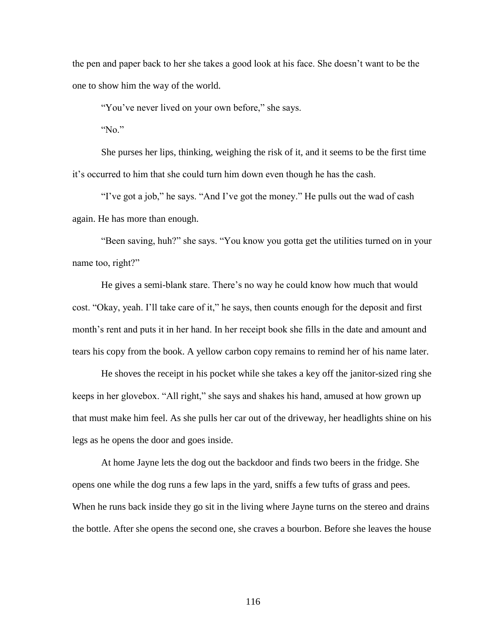the pen and paper back to her she takes a good look at his face. She doesn't want to be the one to show him the way of the world.

"You've never lived on your own before," she says.

" $No$ "

She purses her lips, thinking, weighing the risk of it, and it seems to be the first time it's occurred to him that she could turn him down even though he has the cash.

"I've got a job," he says. "And I've got the money." He pulls out the wad of cash again. He has more than enough.

"Been saving, huh?" she says. "You know you gotta get the utilities turned on in your name too, right?"

He gives a semi-blank stare. There's no way he could know how much that would cost. "Okay, yeah. I'll take care of it," he says, then counts enough for the deposit and first month's rent and puts it in her hand. In her receipt book she fills in the date and amount and tears his copy from the book. A yellow carbon copy remains to remind her of his name later.

He shoves the receipt in his pocket while she takes a key off the janitor-sized ring she keeps in her glovebox. "All right," she says and shakes his hand, amused at how grown up that must make him feel. As she pulls her car out of the driveway, her headlights shine on his legs as he opens the door and goes inside.

At home Jayne lets the dog out the backdoor and finds two beers in the fridge. She opens one while the dog runs a few laps in the yard, sniffs a few tufts of grass and pees. When he runs back inside they go sit in the living where Jayne turns on the stereo and drains the bottle. After she opens the second one, she craves a bourbon. Before she leaves the house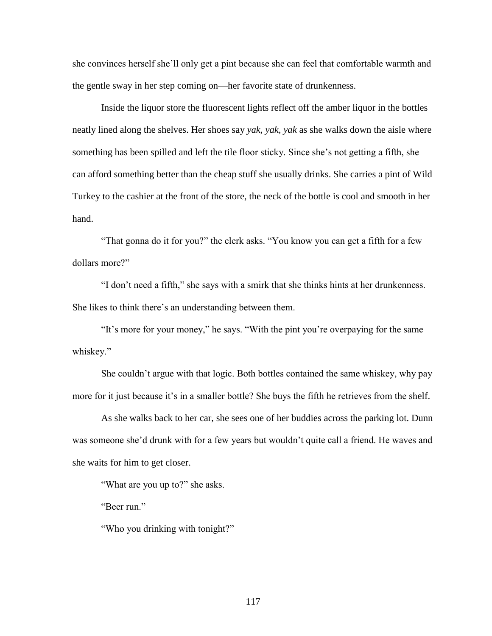she convinces herself she'll only get a pint because she can feel that comfortable warmth and the gentle sway in her step coming on—her favorite state of drunkenness.

Inside the liquor store the fluorescent lights reflect off the amber liquor in the bottles neatly lined along the shelves. Her shoes say *yak, yak, yak* as she walks down the aisle where something has been spilled and left the tile floor sticky. Since she's not getting a fifth, she can afford something better than the cheap stuff she usually drinks. She carries a pint of Wild Turkey to the cashier at the front of the store, the neck of the bottle is cool and smooth in her hand.

"That gonna do it for you?" the clerk asks. "You know you can get a fifth for a few dollars more?"

"I don't need a fifth," she says with a smirk that she thinks hints at her drunkenness. She likes to think there's an understanding between them.

"It's more for your money," he says. "With the pint you're overpaying for the same whiskey."

She couldn't argue with that logic. Both bottles contained the same whiskey, why pay more for it just because it's in a smaller bottle? She buys the fifth he retrieves from the shelf.

As she walks back to her car, she sees one of her buddies across the parking lot. Dunn was someone she'd drunk with for a few years but wouldn't quite call a friend. He waves and she waits for him to get closer.

"What are you up to?" she asks.

"Beer run."

"Who you drinking with tonight?"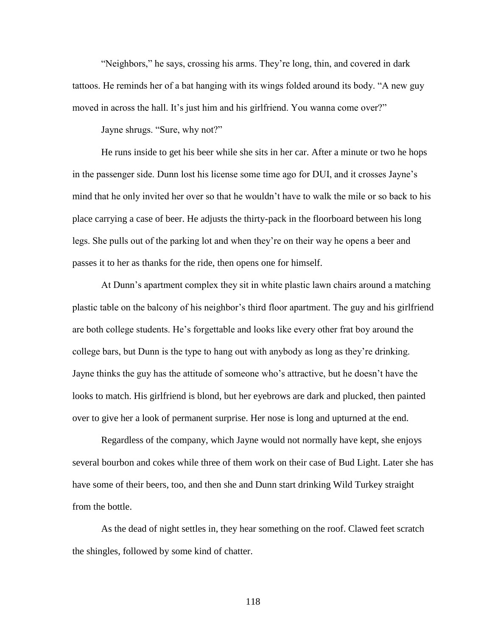"Neighbors," he says, crossing his arms. They're long, thin, and covered in dark tattoos. He reminds her of a bat hanging with its wings folded around its body. "A new guy moved in across the hall. It's just him and his girlfriend. You wanna come over?"

Jayne shrugs. "Sure, why not?"

He runs inside to get his beer while she sits in her car. After a minute or two he hops in the passenger side. Dunn lost his license some time ago for DUI, and it crosses Jayne's mind that he only invited her over so that he wouldn't have to walk the mile or so back to his place carrying a case of beer. He adjusts the thirty-pack in the floorboard between his long legs. She pulls out of the parking lot and when they're on their way he opens a beer and passes it to her as thanks for the ride, then opens one for himself.

At Dunn's apartment complex they sit in white plastic lawn chairs around a matching plastic table on the balcony of his neighbor's third floor apartment. The guy and his girlfriend are both college students. He's forgettable and looks like every other frat boy around the college bars, but Dunn is the type to hang out with anybody as long as they're drinking. Jayne thinks the guy has the attitude of someone who's attractive, but he doesn't have the looks to match. His girlfriend is blond, but her eyebrows are dark and plucked, then painted over to give her a look of permanent surprise. Her nose is long and upturned at the end.

Regardless of the company, which Jayne would not normally have kept, she enjoys several bourbon and cokes while three of them work on their case of Bud Light. Later she has have some of their beers, too, and then she and Dunn start drinking Wild Turkey straight from the bottle.

As the dead of night settles in, they hear something on the roof. Clawed feet scratch the shingles, followed by some kind of chatter.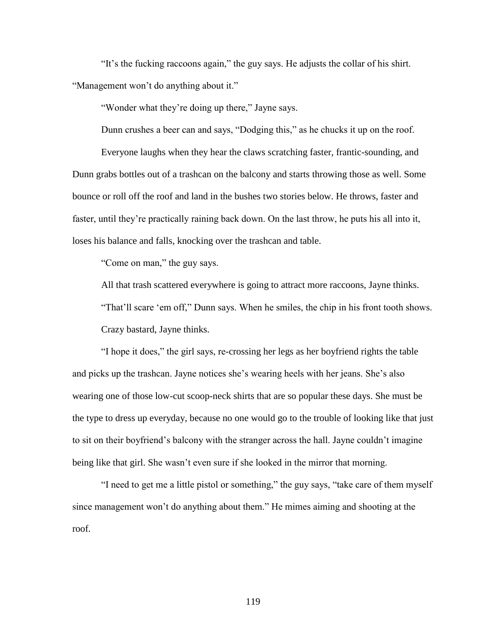"It's the fucking raccoons again," the guy says. He adjusts the collar of his shirt. "Management won't do anything about it."

"Wonder what they're doing up there," Jayne says.

Dunn crushes a beer can and says, "Dodging this," as he chucks it up on the roof.

Everyone laughs when they hear the claws scratching faster, frantic-sounding, and Dunn grabs bottles out of a trashcan on the balcony and starts throwing those as well. Some bounce or roll off the roof and land in the bushes two stories below. He throws, faster and faster, until they're practically raining back down. On the last throw, he puts his all into it, loses his balance and falls, knocking over the trashcan and table.

"Come on man," the guy says.

All that trash scattered everywhere is going to attract more raccoons, Jayne thinks. "That'll scare 'em off," Dunn says. When he smiles, the chip in his front tooth shows. Crazy bastard, Jayne thinks.

"I hope it does," the girl says, re-crossing her legs as her boyfriend rights the table and picks up the trashcan. Jayne notices she's wearing heels with her jeans. She's also wearing one of those low-cut scoop-neck shirts that are so popular these days. She must be the type to dress up everyday, because no one would go to the trouble of looking like that just to sit on their boyfriend's balcony with the stranger across the hall. Jayne couldn't imagine being like that girl. She wasn't even sure if she looked in the mirror that morning.

"I need to get me a little pistol or something," the guy says, "take care of them myself since management won't do anything about them." He mimes aiming and shooting at the roof.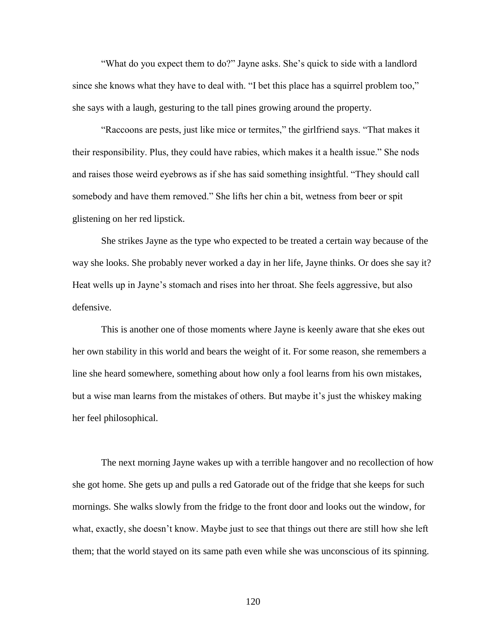"What do you expect them to do?" Jayne asks. She's quick to side with a landlord since she knows what they have to deal with. "I bet this place has a squirrel problem too," she says with a laugh, gesturing to the tall pines growing around the property.

"Raccoons are pests, just like mice or termites," the girlfriend says. "That makes it their responsibility. Plus, they could have rabies, which makes it a health issue." She nods and raises those weird eyebrows as if she has said something insightful. "They should call somebody and have them removed." She lifts her chin a bit, wetness from beer or spit glistening on her red lipstick.

She strikes Jayne as the type who expected to be treated a certain way because of the way she looks. She probably never worked a day in her life, Jayne thinks. Or does she say it? Heat wells up in Jayne's stomach and rises into her throat. She feels aggressive, but also defensive.

This is another one of those moments where Jayne is keenly aware that she ekes out her own stability in this world and bears the weight of it. For some reason, she remembers a line she heard somewhere, something about how only a fool learns from his own mistakes, but a wise man learns from the mistakes of others. But maybe it's just the whiskey making her feel philosophical.

The next morning Jayne wakes up with a terrible hangover and no recollection of how she got home. She gets up and pulls a red Gatorade out of the fridge that she keeps for such mornings. She walks slowly from the fridge to the front door and looks out the window, for what, exactly, she doesn't know. Maybe just to see that things out there are still how she left them; that the world stayed on its same path even while she was unconscious of its spinning.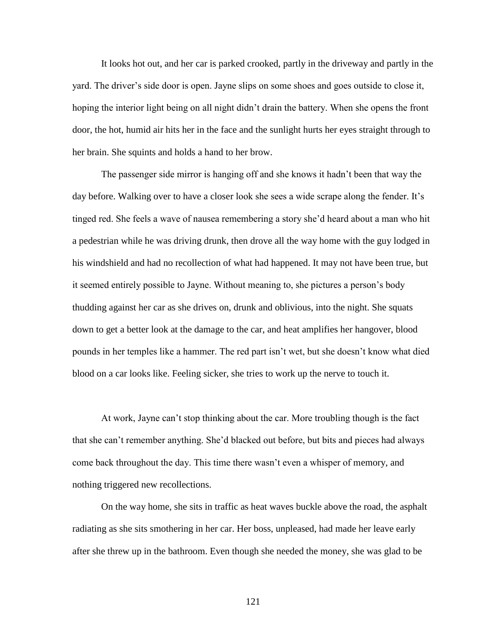It looks hot out, and her car is parked crooked, partly in the driveway and partly in the yard. The driver's side door is open. Jayne slips on some shoes and goes outside to close it, hoping the interior light being on all night didn't drain the battery. When she opens the front door, the hot, humid air hits her in the face and the sunlight hurts her eyes straight through to her brain. She squints and holds a hand to her brow.

The passenger side mirror is hanging off and she knows it hadn't been that way the day before. Walking over to have a closer look she sees a wide scrape along the fender. It's tinged red. She feels a wave of nausea remembering a story she'd heard about a man who hit a pedestrian while he was driving drunk, then drove all the way home with the guy lodged in his windshield and had no recollection of what had happened. It may not have been true, but it seemed entirely possible to Jayne. Without meaning to, she pictures a person's body thudding against her car as she drives on, drunk and oblivious, into the night. She squats down to get a better look at the damage to the car, and heat amplifies her hangover, blood pounds in her temples like a hammer. The red part isn't wet, but she doesn't know what died blood on a car looks like. Feeling sicker, she tries to work up the nerve to touch it.

At work, Jayne can't stop thinking about the car. More troubling though is the fact that she can't remember anything. She'd blacked out before, but bits and pieces had always come back throughout the day. This time there wasn't even a whisper of memory, and nothing triggered new recollections.

On the way home, she sits in traffic as heat waves buckle above the road, the asphalt radiating as she sits smothering in her car. Her boss, unpleased, had made her leave early after she threw up in the bathroom. Even though she needed the money, she was glad to be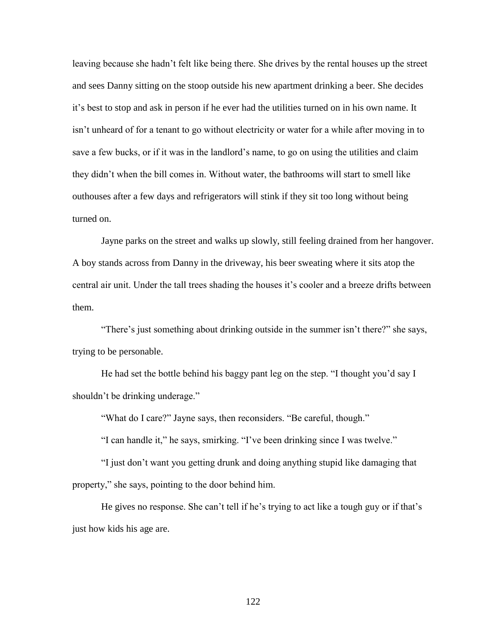leaving because she hadn't felt like being there. She drives by the rental houses up the street and sees Danny sitting on the stoop outside his new apartment drinking a beer. She decides it's best to stop and ask in person if he ever had the utilities turned on in his own name. It isn't unheard of for a tenant to go without electricity or water for a while after moving in to save a few bucks, or if it was in the landlord's name, to go on using the utilities and claim they didn't when the bill comes in. Without water, the bathrooms will start to smell like outhouses after a few days and refrigerators will stink if they sit too long without being turned on.

Jayne parks on the street and walks up slowly, still feeling drained from her hangover. A boy stands across from Danny in the driveway, his beer sweating where it sits atop the central air unit. Under the tall trees shading the houses it's cooler and a breeze drifts between them.

"There's just something about drinking outside in the summer isn't there?" she says, trying to be personable.

He had set the bottle behind his baggy pant leg on the step. "I thought you'd say I shouldn't be drinking underage."

"What do I care?" Jayne says, then reconsiders. "Be careful, though."

"I can handle it," he says, smirking. "I've been drinking since I was twelve."

"I just don't want you getting drunk and doing anything stupid like damaging that property," she says, pointing to the door behind him.

He gives no response. She can't tell if he's trying to act like a tough guy or if that's just how kids his age are.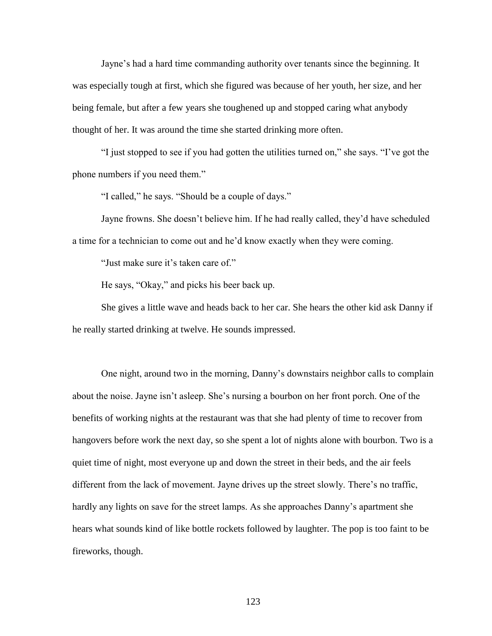Jayne's had a hard time commanding authority over tenants since the beginning. It was especially tough at first, which she figured was because of her youth, her size, and her being female, but after a few years she toughened up and stopped caring what anybody thought of her. It was around the time she started drinking more often.

"I just stopped to see if you had gotten the utilities turned on," she says. "I've got the phone numbers if you need them."

"I called," he says. "Should be a couple of days."

Jayne frowns. She doesn't believe him. If he had really called, they'd have scheduled a time for a technician to come out and he'd know exactly when they were coming.

"Just make sure it's taken care of."

He says, "Okay," and picks his beer back up.

She gives a little wave and heads back to her car. She hears the other kid ask Danny if he really started drinking at twelve. He sounds impressed.

One night, around two in the morning, Danny's downstairs neighbor calls to complain about the noise. Jayne isn't asleep. She's nursing a bourbon on her front porch. One of the benefits of working nights at the restaurant was that she had plenty of time to recover from hangovers before work the next day, so she spent a lot of nights alone with bourbon. Two is a quiet time of night, most everyone up and down the street in their beds, and the air feels different from the lack of movement. Jayne drives up the street slowly. There's no traffic, hardly any lights on save for the street lamps. As she approaches Danny's apartment she hears what sounds kind of like bottle rockets followed by laughter. The pop is too faint to be fireworks, though.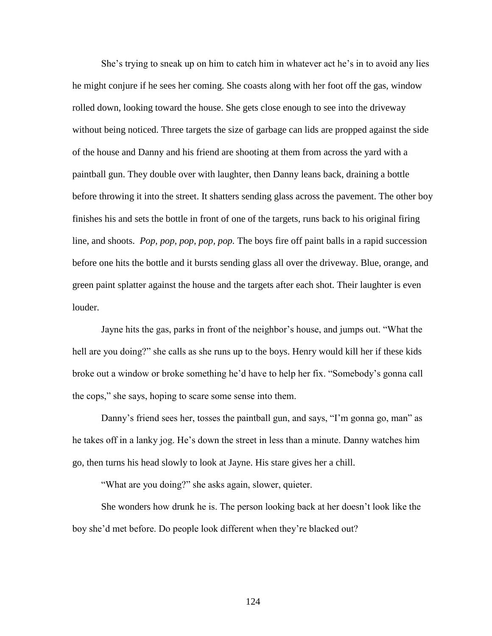She's trying to sneak up on him to catch him in whatever act he's in to avoid any lies he might conjure if he sees her coming. She coasts along with her foot off the gas, window rolled down, looking toward the house. She gets close enough to see into the driveway without being noticed. Three targets the size of garbage can lids are propped against the side of the house and Danny and his friend are shooting at them from across the yard with a paintball gun. They double over with laughter, then Danny leans back, draining a bottle before throwing it into the street. It shatters sending glass across the pavement. The other boy finishes his and sets the bottle in front of one of the targets, runs back to his original firing line, and shoots. *Pop, pop, pop, pop, pop.* The boys fire off paint balls in a rapid succession before one hits the bottle and it bursts sending glass all over the driveway. Blue, orange, and green paint splatter against the house and the targets after each shot. Their laughter is even louder.

Jayne hits the gas, parks in front of the neighbor's house, and jumps out. "What the hell are you doing?" she calls as she runs up to the boys. Henry would kill her if these kids broke out a window or broke something he'd have to help her fix. "Somebody's gonna call the cops," she says, hoping to scare some sense into them.

Danny's friend sees her, tosses the paintball gun, and says, "I'm gonna go, man" as he takes off in a lanky jog. He's down the street in less than a minute. Danny watches him go, then turns his head slowly to look at Jayne. His stare gives her a chill.

"What are you doing?" she asks again, slower, quieter.

She wonders how drunk he is. The person looking back at her doesn't look like the boy she'd met before. Do people look different when they're blacked out?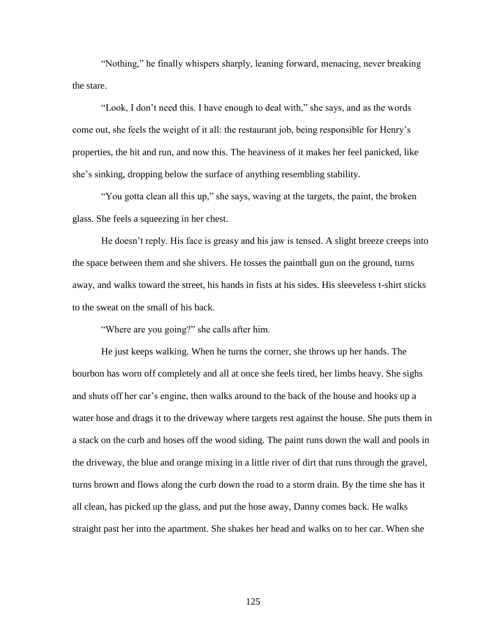"Nothing," he finally whispers sharply, leaning forward, menacing, never breaking the stare.

"Look, I don't need this. I have enough to deal with," she says, and as the words come out, she feels the weight of it all: the restaurant job, being responsible for Henry's properties, the hit and run, and now this. The heaviness of it makes her feel panicked, like she's sinking, dropping below the surface of anything resembling stability.

"You gotta clean all this up," she says, waving at the targets, the paint, the broken glass. She feels a squeezing in her chest.

He doesn't reply. His face is greasy and his jaw is tensed. A slight breeze creeps into the space between them and she shivers. He tosses the paintball gun on the ground, turns away, and walks toward the street, his hands in fists at his sides. His sleeveless t-shirt sticks to the sweat on the small of his back.

"Where are you going?" she calls after him.

He just keeps walking. When he turns the corner, she throws up her hands. The bourbon has worn off completely and all at once she feels tired, her limbs heavy. She sighs and shuts off her car's engine, then walks around to the back of the house and hooks up a water hose and drags it to the driveway where targets rest against the house. She puts them in a stack on the curb and hoses off the wood siding. The paint runs down the wall and pools in the driveway, the blue and orange mixing in a little river of dirt that runs through the gravel, turns brown and flows along the curb down the road to a storm drain. By the time she has it all clean, has picked up the glass, and put the hose away, Danny comes back. He walks straight past her into the apartment. She shakes her head and walks on to her car. When she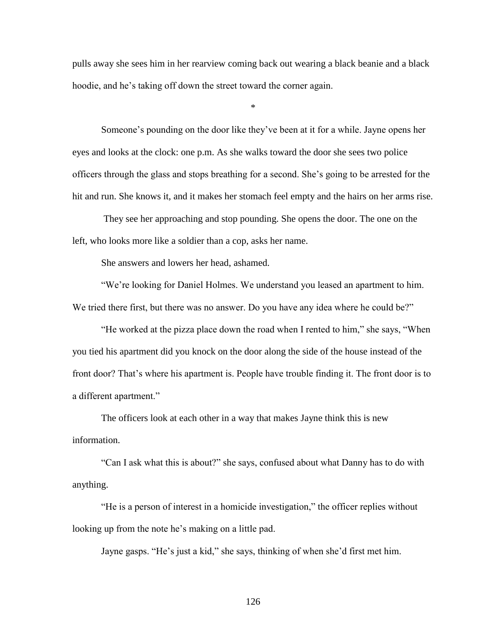pulls away she sees him in her rearview coming back out wearing a black beanie and a black hoodie, and he's taking off down the street toward the corner again.

\*

Someone's pounding on the door like they've been at it for a while. Jayne opens her eyes and looks at the clock: one p.m. As she walks toward the door she sees two police officers through the glass and stops breathing for a second. She's going to be arrested for the hit and run. She knows it, and it makes her stomach feel empty and the hairs on her arms rise.

They see her approaching and stop pounding. She opens the door. The one on the left, who looks more like a soldier than a cop, asks her name.

She answers and lowers her head, ashamed.

"We're looking for Daniel Holmes. We understand you leased an apartment to him. We tried there first, but there was no answer. Do you have any idea where he could be?"

"He worked at the pizza place down the road when I rented to him," she says, "When you tied his apartment did you knock on the door along the side of the house instead of the front door? That's where his apartment is. People have trouble finding it. The front door is to a different apartment."

The officers look at each other in a way that makes Jayne think this is new information.

"Can I ask what this is about?" she says, confused about what Danny has to do with anything.

"He is a person of interest in a homicide investigation," the officer replies without looking up from the note he's making on a little pad.

Jayne gasps. "He's just a kid," she says, thinking of when she'd first met him.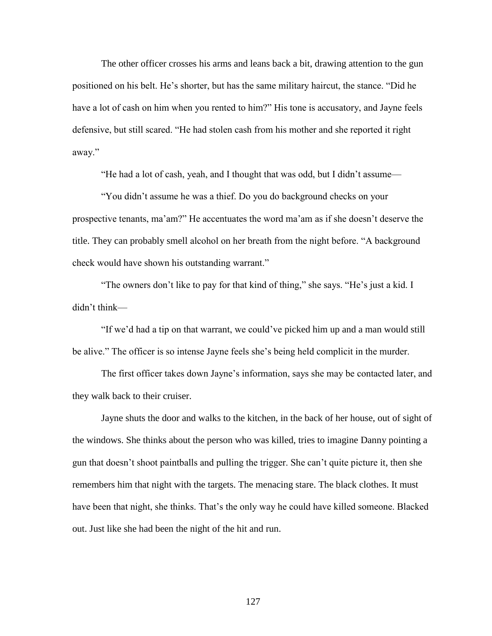The other officer crosses his arms and leans back a bit, drawing attention to the gun positioned on his belt. He's shorter, but has the same military haircut, the stance. "Did he have a lot of cash on him when you rented to him?" His tone is accusatory, and Jayne feels defensive, but still scared. "He had stolen cash from his mother and she reported it right away."

"He had a lot of cash, yeah, and I thought that was odd, but I didn't assume—

"You didn't assume he was a thief. Do you do background checks on your prospective tenants, ma'am?" He accentuates the word ma'am as if she doesn't deserve the title. They can probably smell alcohol on her breath from the night before. "A background check would have shown his outstanding warrant."

"The owners don't like to pay for that kind of thing," she says. "He's just a kid. I didn't think—

"If we'd had a tip on that warrant, we could've picked him up and a man would still be alive." The officer is so intense Jayne feels she's being held complicit in the murder.

The first officer takes down Jayne's information, says she may be contacted later, and they walk back to their cruiser.

Jayne shuts the door and walks to the kitchen, in the back of her house, out of sight of the windows. She thinks about the person who was killed, tries to imagine Danny pointing a gun that doesn't shoot paintballs and pulling the trigger. She can't quite picture it, then she remembers him that night with the targets. The menacing stare. The black clothes. It must have been that night, she thinks. That's the only way he could have killed someone. Blacked out. Just like she had been the night of the hit and run.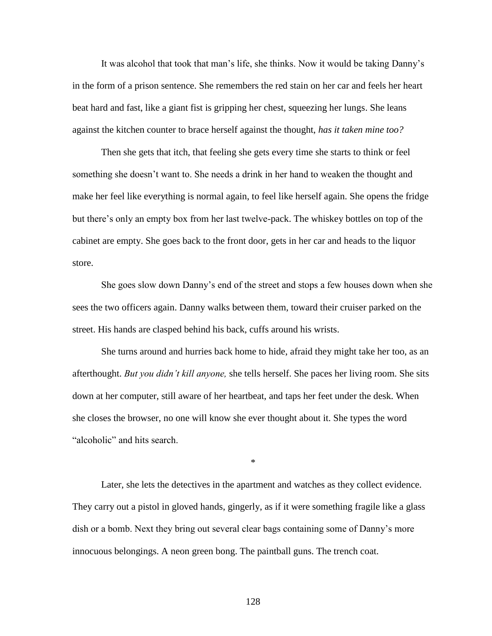It was alcohol that took that man's life, she thinks. Now it would be taking Danny's in the form of a prison sentence. She remembers the red stain on her car and feels her heart beat hard and fast, like a giant fist is gripping her chest, squeezing her lungs. She leans against the kitchen counter to brace herself against the thought, *has it taken mine too?*

Then she gets that itch, that feeling she gets every time she starts to think or feel something she doesn't want to. She needs a drink in her hand to weaken the thought and make her feel like everything is normal again, to feel like herself again. She opens the fridge but there's only an empty box from her last twelve-pack. The whiskey bottles on top of the cabinet are empty. She goes back to the front door, gets in her car and heads to the liquor store.

She goes slow down Danny's end of the street and stops a few houses down when she sees the two officers again. Danny walks between them, toward their cruiser parked on the street. His hands are clasped behind his back, cuffs around his wrists.

She turns around and hurries back home to hide, afraid they might take her too, as an afterthought. *But you didn't kill anyone,* she tells herself. She paces her living room. She sits down at her computer, still aware of her heartbeat, and taps her feet under the desk. When she closes the browser, no one will know she ever thought about it. She types the word "alcoholic" and hits search.

\*

Later, she lets the detectives in the apartment and watches as they collect evidence. They carry out a pistol in gloved hands, gingerly, as if it were something fragile like a glass dish or a bomb. Next they bring out several clear bags containing some of Danny's more innocuous belongings. A neon green bong. The paintball guns. The trench coat.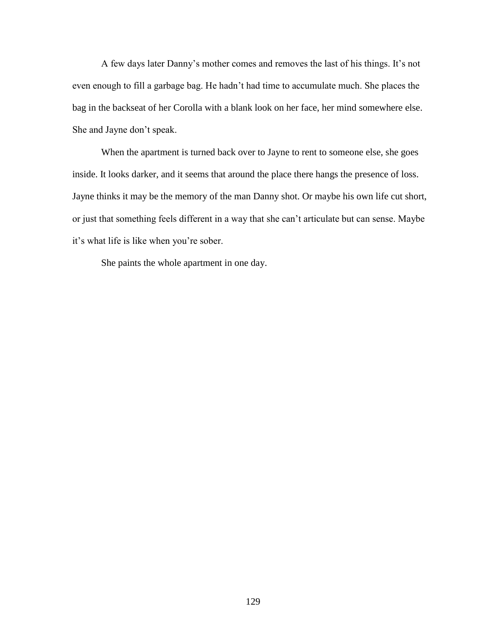A few days later Danny's mother comes and removes the last of his things. It's not even enough to fill a garbage bag. He hadn't had time to accumulate much. She places the bag in the backseat of her Corolla with a blank look on her face, her mind somewhere else. She and Jayne don't speak.

When the apartment is turned back over to Jayne to rent to someone else, she goes inside. It looks darker, and it seems that around the place there hangs the presence of loss. Jayne thinks it may be the memory of the man Danny shot. Or maybe his own life cut short, or just that something feels different in a way that she can't articulate but can sense. Maybe it's what life is like when you're sober.

She paints the whole apartment in one day.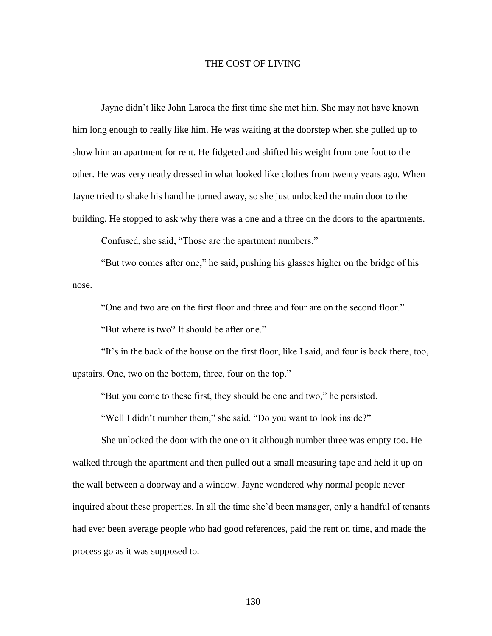## THE COST OF LIVING

Jayne didn't like John Laroca the first time she met him. She may not have known him long enough to really like him. He was waiting at the doorstep when she pulled up to show him an apartment for rent. He fidgeted and shifted his weight from one foot to the other. He was very neatly dressed in what looked like clothes from twenty years ago. When Jayne tried to shake his hand he turned away, so she just unlocked the main door to the building. He stopped to ask why there was a one and a three on the doors to the apartments.

Confused, she said, "Those are the apartment numbers."

"But two comes after one," he said, pushing his glasses higher on the bridge of his nose.

"One and two are on the first floor and three and four are on the second floor."

"But where is two? It should be after one."

"It's in the back of the house on the first floor, like I said, and four is back there, too, upstairs. One, two on the bottom, three, four on the top."

"But you come to these first, they should be one and two," he persisted.

"Well I didn't number them," she said. "Do you want to look inside?"

She unlocked the door with the one on it although number three was empty too. He walked through the apartment and then pulled out a small measuring tape and held it up on the wall between a doorway and a window. Jayne wondered why normal people never inquired about these properties. In all the time she'd been manager, only a handful of tenants had ever been average people who had good references, paid the rent on time, and made the process go as it was supposed to.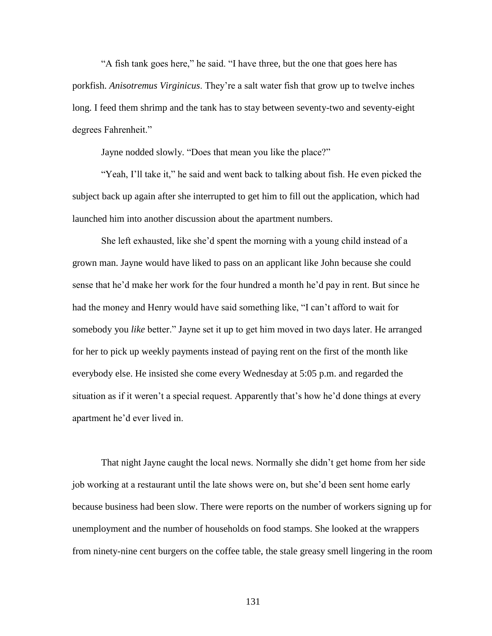"A fish tank goes here," he said. "I have three, but the one that goes here has porkfish. *Anisotremus Virginicus*. They're a salt water fish that grow up to twelve inches long. I feed them shrimp and the tank has to stay between seventy-two and seventy-eight degrees Fahrenheit."

Jayne nodded slowly. "Does that mean you like the place?"

"Yeah, I'll take it," he said and went back to talking about fish. He even picked the subject back up again after she interrupted to get him to fill out the application, which had launched him into another discussion about the apartment numbers.

She left exhausted, like she'd spent the morning with a young child instead of a grown man. Jayne would have liked to pass on an applicant like John because she could sense that he'd make her work for the four hundred a month he'd pay in rent. But since he had the money and Henry would have said something like, "I can't afford to wait for somebody you *like* better." Jayne set it up to get him moved in two days later. He arranged for her to pick up weekly payments instead of paying rent on the first of the month like everybody else. He insisted she come every Wednesday at 5:05 p.m. and regarded the situation as if it weren't a special request. Apparently that's how he'd done things at every apartment he'd ever lived in.

That night Jayne caught the local news. Normally she didn't get home from her side job working at a restaurant until the late shows were on, but she'd been sent home early because business had been slow. There were reports on the number of workers signing up for unemployment and the number of households on food stamps. She looked at the wrappers from ninety-nine cent burgers on the coffee table, the stale greasy smell lingering in the room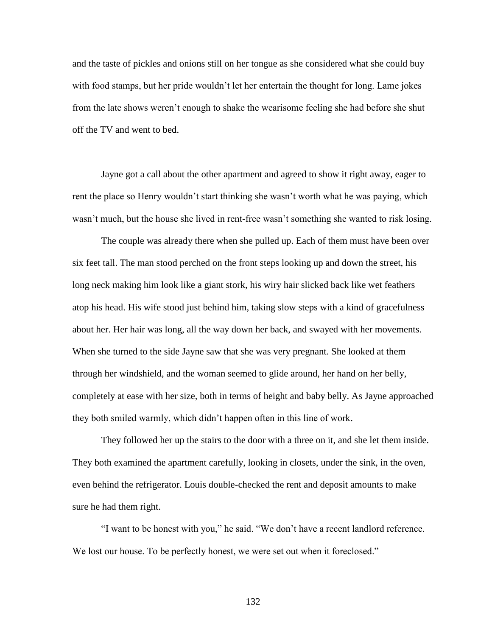and the taste of pickles and onions still on her tongue as she considered what she could buy with food stamps, but her pride wouldn't let her entertain the thought for long. Lame jokes from the late shows weren't enough to shake the wearisome feeling she had before she shut off the TV and went to bed.

Jayne got a call about the other apartment and agreed to show it right away, eager to rent the place so Henry wouldn't start thinking she wasn't worth what he was paying, which wasn't much, but the house she lived in rent-free wasn't something she wanted to risk losing.

The couple was already there when she pulled up. Each of them must have been over six feet tall. The man stood perched on the front steps looking up and down the street, his long neck making him look like a giant stork, his wiry hair slicked back like wet feathers atop his head. His wife stood just behind him, taking slow steps with a kind of gracefulness about her. Her hair was long, all the way down her back, and swayed with her movements. When she turned to the side Jayne saw that she was very pregnant. She looked at them through her windshield, and the woman seemed to glide around, her hand on her belly, completely at ease with her size, both in terms of height and baby belly. As Jayne approached they both smiled warmly, which didn't happen often in this line of work.

They followed her up the stairs to the door with a three on it, and she let them inside. They both examined the apartment carefully, looking in closets, under the sink, in the oven, even behind the refrigerator. Louis double-checked the rent and deposit amounts to make sure he had them right.

"I want to be honest with you," he said. "We don't have a recent landlord reference. We lost our house. To be perfectly honest, we were set out when it foreclosed."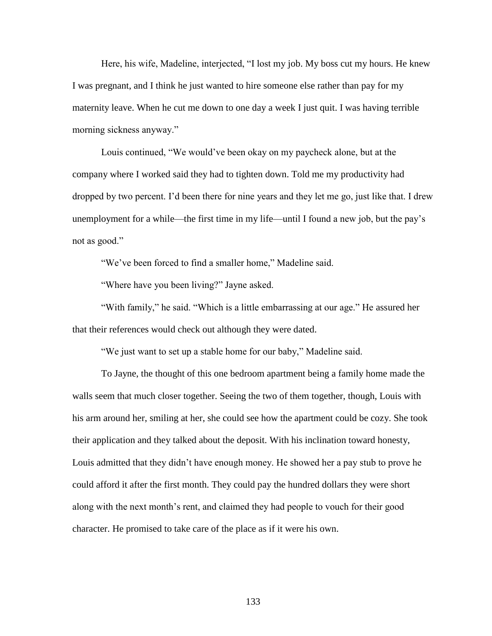Here, his wife, Madeline, interjected, "I lost my job. My boss cut my hours. He knew I was pregnant, and I think he just wanted to hire someone else rather than pay for my maternity leave. When he cut me down to one day a week I just quit. I was having terrible morning sickness anyway."

Louis continued, "We would've been okay on my paycheck alone, but at the company where I worked said they had to tighten down. Told me my productivity had dropped by two percent. I'd been there for nine years and they let me go, just like that. I drew unemployment for a while—the first time in my life—until I found a new job, but the pay's not as good."

"We've been forced to find a smaller home," Madeline said.

"Where have you been living?" Jayne asked.

"With family," he said. "Which is a little embarrassing at our age." He assured her that their references would check out although they were dated.

"We just want to set up a stable home for our baby," Madeline said.

To Jayne, the thought of this one bedroom apartment being a family home made the walls seem that much closer together. Seeing the two of them together, though, Louis with his arm around her, smiling at her, she could see how the apartment could be cozy. She took their application and they talked about the deposit. With his inclination toward honesty, Louis admitted that they didn't have enough money. He showed her a pay stub to prove he could afford it after the first month. They could pay the hundred dollars they were short along with the next month's rent, and claimed they had people to vouch for their good character. He promised to take care of the place as if it were his own.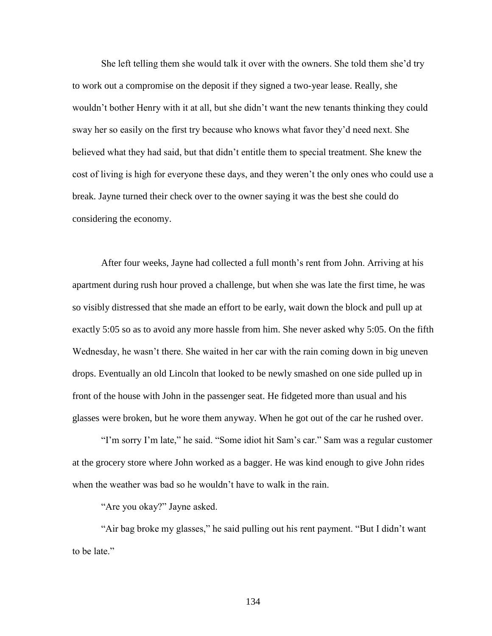She left telling them she would talk it over with the owners. She told them she'd try to work out a compromise on the deposit if they signed a two-year lease. Really, she wouldn't bother Henry with it at all, but she didn't want the new tenants thinking they could sway her so easily on the first try because who knows what favor they'd need next. She believed what they had said, but that didn't entitle them to special treatment. She knew the cost of living is high for everyone these days, and they weren't the only ones who could use a break. Jayne turned their check over to the owner saying it was the best she could do considering the economy.

After four weeks, Jayne had collected a full month's rent from John. Arriving at his apartment during rush hour proved a challenge, but when she was late the first time, he was so visibly distressed that she made an effort to be early, wait down the block and pull up at exactly 5:05 so as to avoid any more hassle from him. She never asked why 5:05. On the fifth Wednesday, he wasn't there. She waited in her car with the rain coming down in big uneven drops. Eventually an old Lincoln that looked to be newly smashed on one side pulled up in front of the house with John in the passenger seat. He fidgeted more than usual and his glasses were broken, but he wore them anyway. When he got out of the car he rushed over.

"I'm sorry I'm late," he said. "Some idiot hit Sam's car." Sam was a regular customer at the grocery store where John worked as a bagger. He was kind enough to give John rides when the weather was bad so he wouldn't have to walk in the rain.

"Are you okay?" Jayne asked.

"Air bag broke my glasses," he said pulling out his rent payment. "But I didn't want to be late."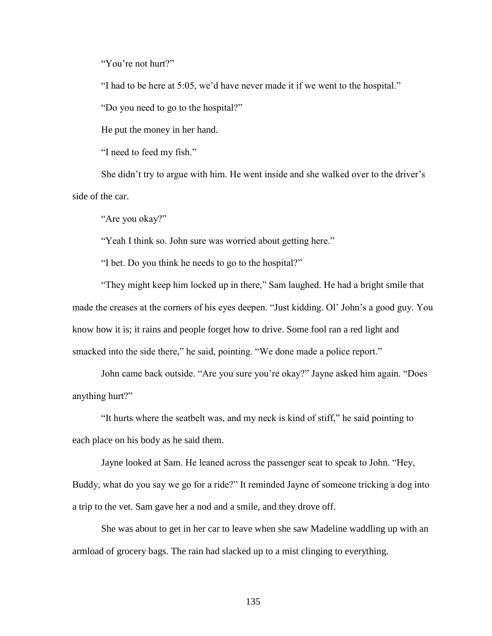"You're not hurt?"

"I had to be here at 5:05, we'd have never made it if we went to the hospital."

"Do you need to go to the hospital?"

He put the money in her hand.

"I need to feed my fish."

She didn't try to argue with him. He went inside and she walked over to the driver's side of the car.

"Are you okay?"

"Yeah I think so. John sure was worried about getting here."

"I bet. Do you think he needs to go to the hospital?"

"They might keep him locked up in there," Sam laughed. He had a bright smile that made the creases at the corners of his eyes deepen. "Just kidding. Ol' John's a good guy. You know how it is; it rains and people forget how to drive. Some fool ran a red light and smacked into the side there," he said, pointing. "We done made a police report."

John came back outside. "Are you sure you're okay?" Jayne asked him again. "Does anything hurt?"

"It hurts where the seatbelt was, and my neck is kind of stiff," he said pointing to each place on his body as he said them.

Jayne looked at Sam. He leaned across the passenger seat to speak to John. "Hey, Buddy, what do you say we go for a ride?" It reminded Jayne of someone tricking a dog into a trip to the vet. Sam gave her a nod and a smile, and they drove off.

She was about to get in her car to leave when she saw Madeline waddling up with an armload of grocery bags. The rain had slacked up to a mist clinging to everything.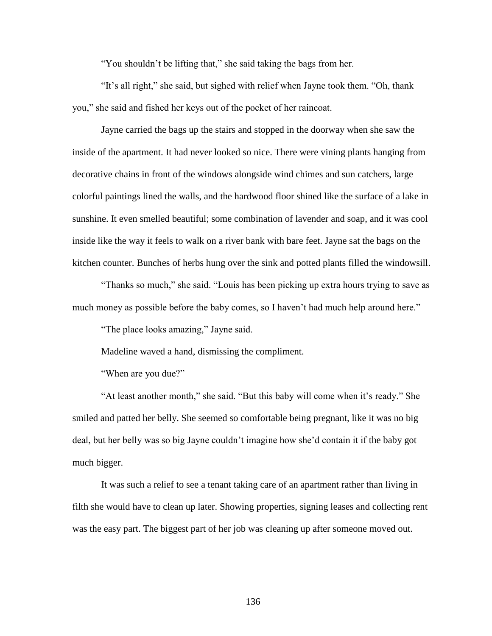"You shouldn't be lifting that," she said taking the bags from her.

"It's all right," she said, but sighed with relief when Jayne took them. "Oh, thank you," she said and fished her keys out of the pocket of her raincoat.

Jayne carried the bags up the stairs and stopped in the doorway when she saw the inside of the apartment. It had never looked so nice. There were vining plants hanging from decorative chains in front of the windows alongside wind chimes and sun catchers, large colorful paintings lined the walls, and the hardwood floor shined like the surface of a lake in sunshine. It even smelled beautiful; some combination of lavender and soap, and it was cool inside like the way it feels to walk on a river bank with bare feet. Jayne sat the bags on the kitchen counter. Bunches of herbs hung over the sink and potted plants filled the windowsill.

"Thanks so much," she said. "Louis has been picking up extra hours trying to save as much money as possible before the baby comes, so I haven't had much help around here."

"The place looks amazing," Jayne said.

Madeline waved a hand, dismissing the compliment.

"When are you due?"

"At least another month," she said. "But this baby will come when it's ready." She smiled and patted her belly. She seemed so comfortable being pregnant, like it was no big deal, but her belly was so big Jayne couldn't imagine how she'd contain it if the baby got much bigger.

It was such a relief to see a tenant taking care of an apartment rather than living in filth she would have to clean up later. Showing properties, signing leases and collecting rent was the easy part. The biggest part of her job was cleaning up after someone moved out.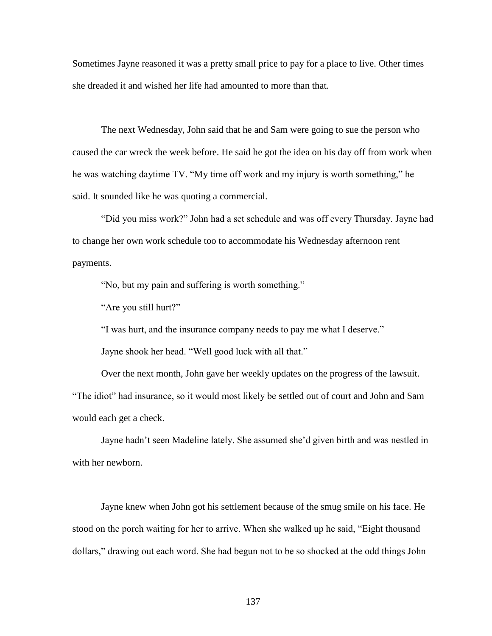Sometimes Jayne reasoned it was a pretty small price to pay for a place to live. Other times she dreaded it and wished her life had amounted to more than that.

The next Wednesday, John said that he and Sam were going to sue the person who caused the car wreck the week before. He said he got the idea on his day off from work when he was watching daytime TV. "My time off work and my injury is worth something," he said. It sounded like he was quoting a commercial.

"Did you miss work?" John had a set schedule and was off every Thursday. Jayne had to change her own work schedule too to accommodate his Wednesday afternoon rent payments.

"No, but my pain and suffering is worth something."

"Are you still hurt?"

"I was hurt, and the insurance company needs to pay me what I deserve."

Jayne shook her head. "Well good luck with all that."

Over the next month, John gave her weekly updates on the progress of the lawsuit. "The idiot" had insurance, so it would most likely be settled out of court and John and Sam would each get a check.

Jayne hadn't seen Madeline lately. She assumed she'd given birth and was nestled in with her newborn.

Jayne knew when John got his settlement because of the smug smile on his face. He stood on the porch waiting for her to arrive. When she walked up he said, "Eight thousand dollars," drawing out each word. She had begun not to be so shocked at the odd things John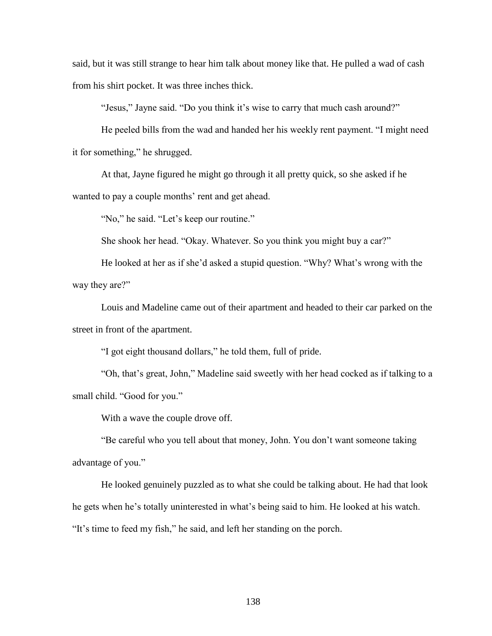said, but it was still strange to hear him talk about money like that. He pulled a wad of cash from his shirt pocket. It was three inches thick.

"Jesus," Jayne said. "Do you think it's wise to carry that much cash around?"

He peeled bills from the wad and handed her his weekly rent payment. "I might need it for something," he shrugged.

At that, Jayne figured he might go through it all pretty quick, so she asked if he wanted to pay a couple months' rent and get ahead.

"No," he said. "Let's keep our routine."

She shook her head. "Okay. Whatever. So you think you might buy a car?"

He looked at her as if she'd asked a stupid question. "Why? What's wrong with the way they are?"

Louis and Madeline came out of their apartment and headed to their car parked on the street in front of the apartment.

"I got eight thousand dollars," he told them, full of pride.

"Oh, that's great, John," Madeline said sweetly with her head cocked as if talking to a small child. "Good for you."

With a wave the couple drove off.

"Be careful who you tell about that money, John. You don't want someone taking advantage of you."

He looked genuinely puzzled as to what she could be talking about. He had that look he gets when he's totally uninterested in what's being said to him. He looked at his watch. "It's time to feed my fish," he said, and left her standing on the porch.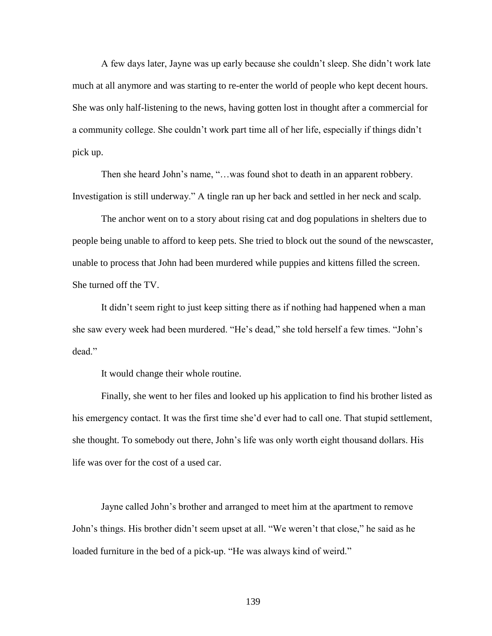A few days later, Jayne was up early because she couldn't sleep. She didn't work late much at all anymore and was starting to re-enter the world of people who kept decent hours. She was only half-listening to the news, having gotten lost in thought after a commercial for a community college. She couldn't work part time all of her life, especially if things didn't pick up.

Then she heard John's name, "…was found shot to death in an apparent robbery. Investigation is still underway." A tingle ran up her back and settled in her neck and scalp.

The anchor went on to a story about rising cat and dog populations in shelters due to people being unable to afford to keep pets. She tried to block out the sound of the newscaster, unable to process that John had been murdered while puppies and kittens filled the screen. She turned off the TV.

It didn't seem right to just keep sitting there as if nothing had happened when a man she saw every week had been murdered. "He's dead," she told herself a few times. "John's dead."

It would change their whole routine.

Finally, she went to her files and looked up his application to find his brother listed as his emergency contact. It was the first time she'd ever had to call one. That stupid settlement, she thought. To somebody out there, John's life was only worth eight thousand dollars. His life was over for the cost of a used car.

Jayne called John's brother and arranged to meet him at the apartment to remove John's things. His brother didn't seem upset at all. "We weren't that close," he said as he loaded furniture in the bed of a pick-up. "He was always kind of weird."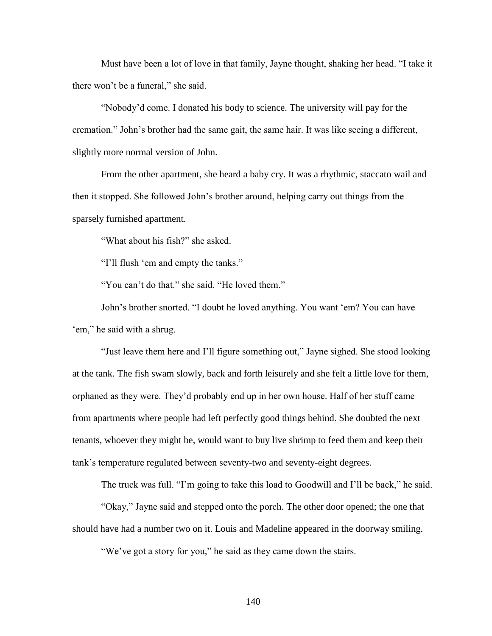Must have been a lot of love in that family, Jayne thought, shaking her head. "I take it there won't be a funeral," she said.

"Nobody'd come. I donated his body to science. The university will pay for the cremation." John's brother had the same gait, the same hair. It was like seeing a different, slightly more normal version of John.

From the other apartment, she heard a baby cry. It was a rhythmic, staccato wail and then it stopped. She followed John's brother around, helping carry out things from the sparsely furnished apartment.

"What about his fish?" she asked.

"I'll flush 'em and empty the tanks."

"You can't do that." she said. "He loved them."

John's brother snorted. "I doubt he loved anything. You want 'em? You can have 'em," he said with a shrug.

"Just leave them here and I'll figure something out," Jayne sighed. She stood looking at the tank. The fish swam slowly, back and forth leisurely and she felt a little love for them, orphaned as they were. They'd probably end up in her own house. Half of her stuff came from apartments where people had left perfectly good things behind. She doubted the next tenants, whoever they might be, would want to buy live shrimp to feed them and keep their tank's temperature regulated between seventy-two and seventy-eight degrees.

The truck was full. "I'm going to take this load to Goodwill and I'll be back," he said.

"Okay," Jayne said and stepped onto the porch. The other door opened; the one that should have had a number two on it. Louis and Madeline appeared in the doorway smiling.

"We've got a story for you," he said as they came down the stairs.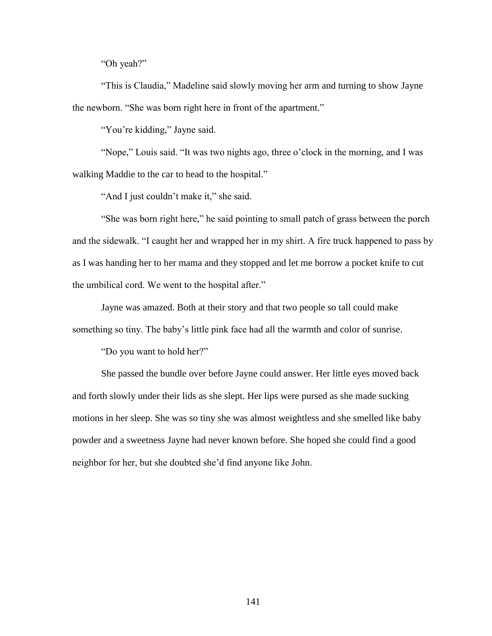"Oh yeah?"

"This is Claudia," Madeline said slowly moving her arm and turning to show Jayne the newborn. "She was born right here in front of the apartment."

"You're kidding," Jayne said.

"Nope," Louis said. "It was two nights ago, three o'clock in the morning, and I was walking Maddie to the car to head to the hospital."

"And I just couldn't make it," she said.

"She was born right here," he said pointing to small patch of grass between the porch and the sidewalk. "I caught her and wrapped her in my shirt. A fire truck happened to pass by as I was handing her to her mama and they stopped and let me borrow a pocket knife to cut the umbilical cord. We went to the hospital after."

Jayne was amazed. Both at their story and that two people so tall could make something so tiny. The baby's little pink face had all the warmth and color of sunrise.

"Do you want to hold her?"

She passed the bundle over before Jayne could answer. Her little eyes moved back and forth slowly under their lids as she slept. Her lips were pursed as she made sucking motions in her sleep. She was so tiny she was almost weightless and she smelled like baby powder and a sweetness Jayne had never known before. She hoped she could find a good neighbor for her, but she doubted she'd find anyone like John.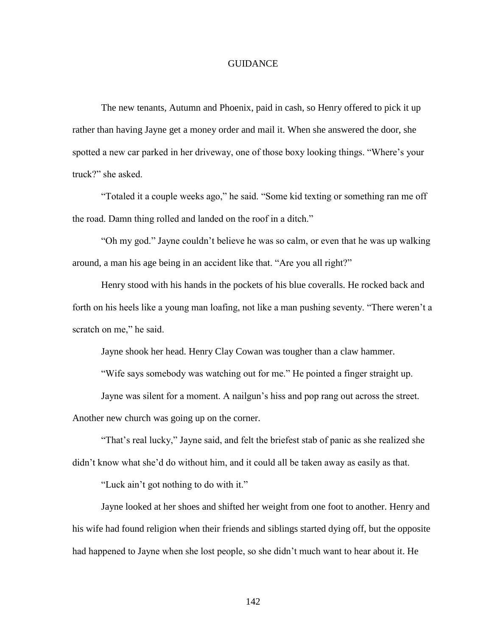## GUIDANCE

The new tenants, Autumn and Phoenix, paid in cash, so Henry offered to pick it up rather than having Jayne get a money order and mail it. When she answered the door, she spotted a new car parked in her driveway, one of those boxy looking things. "Where's your truck?" she asked.

"Totaled it a couple weeks ago," he said. "Some kid texting or something ran me off the road. Damn thing rolled and landed on the roof in a ditch."

"Oh my god." Jayne couldn't believe he was so calm, or even that he was up walking around, a man his age being in an accident like that. "Are you all right?"

Henry stood with his hands in the pockets of his blue coveralls. He rocked back and forth on his heels like a young man loafing, not like a man pushing seventy. "There weren't a scratch on me," he said.

Jayne shook her head. Henry Clay Cowan was tougher than a claw hammer.

"Wife says somebody was watching out for me." He pointed a finger straight up.

Jayne was silent for a moment. A nailgun's hiss and pop rang out across the street.

Another new church was going up on the corner.

"That's real lucky," Jayne said, and felt the briefest stab of panic as she realized she didn't know what she'd do without him, and it could all be taken away as easily as that.

"Luck ain't got nothing to do with it."

Jayne looked at her shoes and shifted her weight from one foot to another. Henry and his wife had found religion when their friends and siblings started dying off, but the opposite had happened to Jayne when she lost people, so she didn't much want to hear about it. He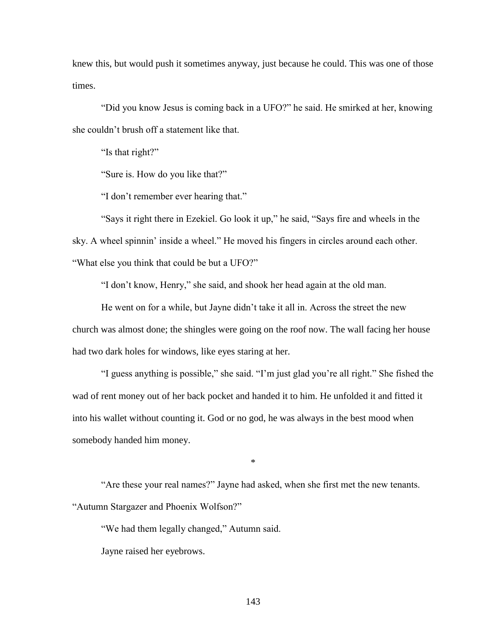knew this, but would push it sometimes anyway, just because he could. This was one of those times.

"Did you know Jesus is coming back in a UFO?" he said. He smirked at her, knowing she couldn't brush off a statement like that.

"Is that right?"

"Sure is. How do you like that?"

"I don't remember ever hearing that."

"Says it right there in Ezekiel. Go look it up," he said, "Says fire and wheels in the sky. A wheel spinnin' inside a wheel." He moved his fingers in circles around each other. "What else you think that could be but a UFO?"

"I don't know, Henry," she said, and shook her head again at the old man.

He went on for a while, but Jayne didn't take it all in. Across the street the new church was almost done; the shingles were going on the roof now. The wall facing her house had two dark holes for windows, like eyes staring at her.

"I guess anything is possible," she said. "I'm just glad you're all right." She fished the wad of rent money out of her back pocket and handed it to him. He unfolded it and fitted it into his wallet without counting it. God or no god, he was always in the best mood when somebody handed him money.

\*

"Are these your real names?" Jayne had asked, when she first met the new tenants. "Autumn Stargazer and Phoenix Wolfson?"

"We had them legally changed," Autumn said.

Jayne raised her eyebrows.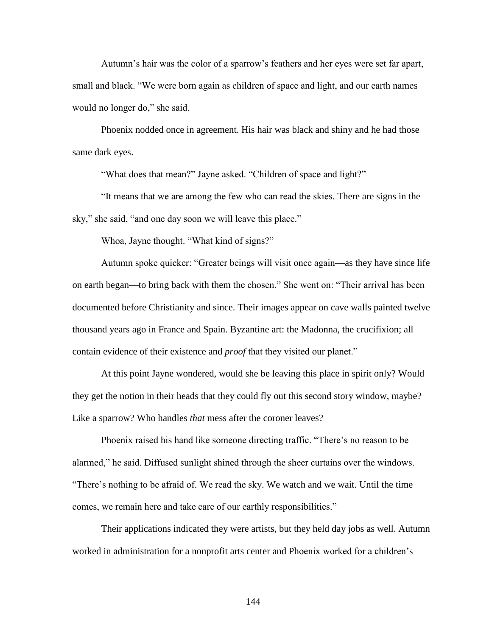Autumn's hair was the color of a sparrow's feathers and her eyes were set far apart, small and black. "We were born again as children of space and light, and our earth names would no longer do," she said.

Phoenix nodded once in agreement. His hair was black and shiny and he had those same dark eyes.

"What does that mean?" Jayne asked. "Children of space and light?"

"It means that we are among the few who can read the skies. There are signs in the sky," she said, "and one day soon we will leave this place."

Whoa, Jayne thought. "What kind of signs?"

Autumn spoke quicker: "Greater beings will visit once again—as they have since life on earth began—to bring back with them the chosen." She went on: "Their arrival has been documented before Christianity and since. Their images appear on cave walls painted twelve thousand years ago in France and Spain. Byzantine art: the Madonna, the crucifixion; all contain evidence of their existence and *proof* that they visited our planet."

At this point Jayne wondered, would she be leaving this place in spirit only? Would they get the notion in their heads that they could fly out this second story window, maybe? Like a sparrow? Who handles *that* mess after the coroner leaves?

Phoenix raised his hand like someone directing traffic. "There's no reason to be alarmed," he said. Diffused sunlight shined through the sheer curtains over the windows. "There's nothing to be afraid of. We read the sky. We watch and we wait. Until the time comes, we remain here and take care of our earthly responsibilities."

Their applications indicated they were artists, but they held day jobs as well. Autumn worked in administration for a nonprofit arts center and Phoenix worked for a children's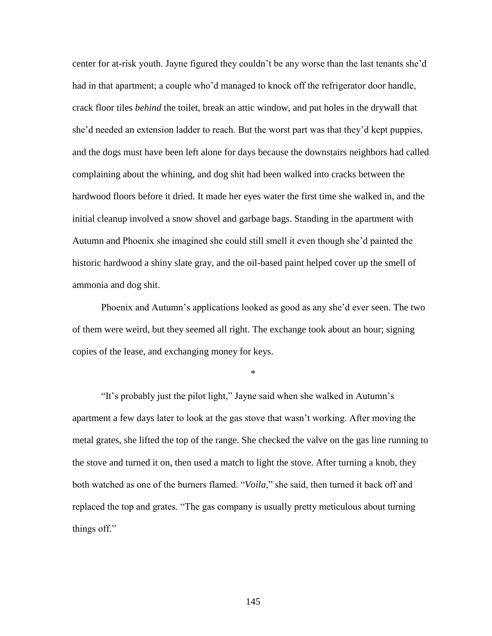center for at-risk youth. Jayne figured they couldn't be any worse than the last tenants she'd had in that apartment; a couple who'd managed to knock off the refrigerator door handle, crack floor tiles *behind* the toilet, break an attic window, and put holes in the drywall that she'd needed an extension ladder to reach. But the worst part was that they'd kept puppies, and the dogs must have been left alone for days because the downstairs neighbors had called complaining about the whining, and dog shit had been walked into cracks between the hardwood floors before it dried. It made her eyes water the first time she walked in, and the initial cleanup involved a snow shovel and garbage bags. Standing in the apartment with Autumn and Phoenix she imagined she could still smell it even though she'd painted the historic hardwood a shiny slate gray, and the oil-based paint helped cover up the smell of ammonia and dog shit.

Phoenix and Autumn's applications looked as good as any she'd ever seen. The two of them were weird, but they seemed all right. The exchange took about an hour; signing copies of the lease, and exchanging money for keys.

\*

"It's probably just the pilot light," Jayne said when she walked in Autumn's apartment a few days later to look at the gas stove that wasn't working. After moving the metal grates, she lifted the top of the range. She checked the valve on the gas line running to the stove and turned it on, then used a match to light the stove. After turning a knob, they both watched as one of the burners flamed. "*Voila*," she said, then turned it back off and replaced the top and grates. "The gas company is usually pretty meticulous about turning things off."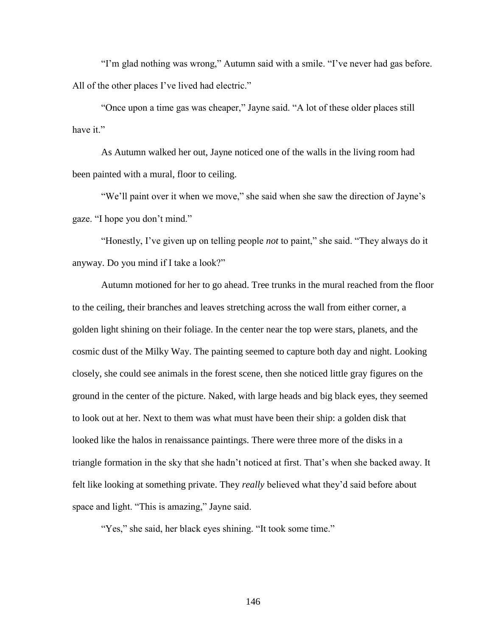"I'm glad nothing was wrong," Autumn said with a smile. "I've never had gas before. All of the other places I've lived had electric."

"Once upon a time gas was cheaper," Jayne said. "A lot of these older places still have it."

As Autumn walked her out, Jayne noticed one of the walls in the living room had been painted with a mural, floor to ceiling.

"We'll paint over it when we move," she said when she saw the direction of Jayne's gaze. "I hope you don't mind."

"Honestly, I've given up on telling people *not* to paint," she said. "They always do it anyway. Do you mind if I take a look?"

Autumn motioned for her to go ahead. Tree trunks in the mural reached from the floor to the ceiling, their branches and leaves stretching across the wall from either corner, a golden light shining on their foliage. In the center near the top were stars, planets, and the cosmic dust of the Milky Way. The painting seemed to capture both day and night. Looking closely, she could see animals in the forest scene, then she noticed little gray figures on the ground in the center of the picture. Naked, with large heads and big black eyes, they seemed to look out at her. Next to them was what must have been their ship: a golden disk that looked like the halos in renaissance paintings. There were three more of the disks in a triangle formation in the sky that she hadn't noticed at first. That's when she backed away. It felt like looking at something private. They *really* believed what they'd said before about space and light. "This is amazing," Jayne said.

"Yes," she said, her black eyes shining. "It took some time."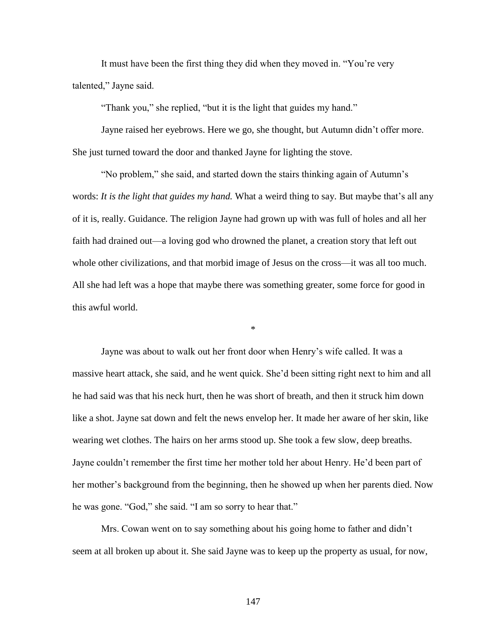It must have been the first thing they did when they moved in. "You're very talented," Jayne said.

"Thank you," she replied, "but it is the light that guides my hand."

Jayne raised her eyebrows. Here we go, she thought, but Autumn didn't offer more. She just turned toward the door and thanked Jayne for lighting the stove.

"No problem," she said, and started down the stairs thinking again of Autumn's words: *It is the light that guides my hand.* What a weird thing to say. But maybe that's all any of it is, really. Guidance. The religion Jayne had grown up with was full of holes and all her faith had drained out—a loving god who drowned the planet, a creation story that left out whole other civilizations, and that morbid image of Jesus on the cross—it was all too much. All she had left was a hope that maybe there was something greater, some force for good in this awful world.

\*

Jayne was about to walk out her front door when Henry's wife called. It was a massive heart attack, she said, and he went quick. She'd been sitting right next to him and all he had said was that his neck hurt, then he was short of breath, and then it struck him down like a shot. Jayne sat down and felt the news envelop her. It made her aware of her skin, like wearing wet clothes. The hairs on her arms stood up. She took a few slow, deep breaths. Jayne couldn't remember the first time her mother told her about Henry. He'd been part of her mother's background from the beginning, then he showed up when her parents died. Now he was gone. "God," she said. "I am so sorry to hear that."

Mrs. Cowan went on to say something about his going home to father and didn't seem at all broken up about it. She said Jayne was to keep up the property as usual, for now,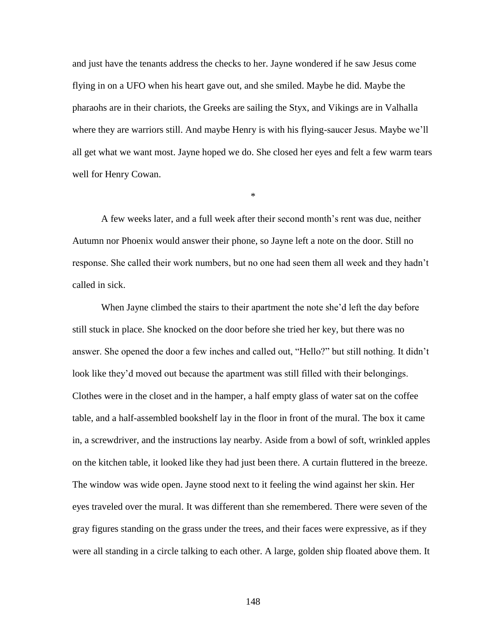and just have the tenants address the checks to her. Jayne wondered if he saw Jesus come flying in on a UFO when his heart gave out, and she smiled. Maybe he did. Maybe the pharaohs are in their chariots, the Greeks are sailing the Styx, and Vikings are in Valhalla where they are warriors still. And maybe Henry is with his flying-saucer Jesus. Maybe we'll all get what we want most. Jayne hoped we do. She closed her eyes and felt a few warm tears well for Henry Cowan.

A few weeks later, and a full week after their second month's rent was due, neither Autumn nor Phoenix would answer their phone, so Jayne left a note on the door. Still no response. She called their work numbers, but no one had seen them all week and they hadn't called in sick.

\*

When Jayne climbed the stairs to their apartment the note she'd left the day before still stuck in place. She knocked on the door before she tried her key, but there was no answer. She opened the door a few inches and called out, "Hello?" but still nothing. It didn't look like they'd moved out because the apartment was still filled with their belongings. Clothes were in the closet and in the hamper, a half empty glass of water sat on the coffee table, and a half-assembled bookshelf lay in the floor in front of the mural. The box it came in, a screwdriver, and the instructions lay nearby. Aside from a bowl of soft, wrinkled apples on the kitchen table, it looked like they had just been there. A curtain fluttered in the breeze. The window was wide open. Jayne stood next to it feeling the wind against her skin. Her eyes traveled over the mural. It was different than she remembered. There were seven of the gray figures standing on the grass under the trees, and their faces were expressive, as if they were all standing in a circle talking to each other. A large, golden ship floated above them. It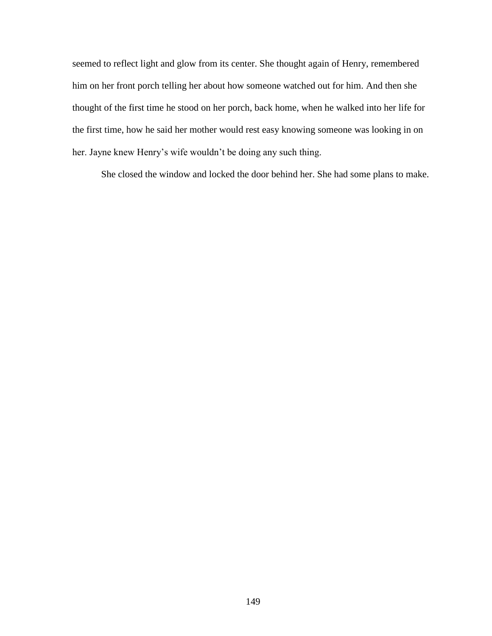seemed to reflect light and glow from its center. She thought again of Henry, remembered him on her front porch telling her about how someone watched out for him. And then she thought of the first time he stood on her porch, back home, when he walked into her life for the first time, how he said her mother would rest easy knowing someone was looking in on her. Jayne knew Henry's wife wouldn't be doing any such thing.

She closed the window and locked the door behind her. She had some plans to make.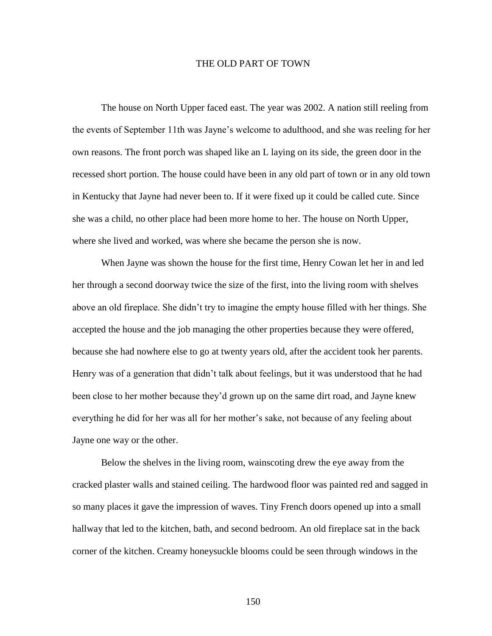## THE OLD PART OF TOWN

The house on North Upper faced east. The year was 2002. A nation still reeling from the events of September 11th was Jayne's welcome to adulthood, and she was reeling for her own reasons. The front porch was shaped like an L laying on its side, the green door in the recessed short portion. The house could have been in any old part of town or in any old town in Kentucky that Jayne had never been to. If it were fixed up it could be called cute. Since she was a child, no other place had been more home to her. The house on North Upper, where she lived and worked, was where she became the person she is now.

When Jayne was shown the house for the first time, Henry Cowan let her in and led her through a second doorway twice the size of the first, into the living room with shelves above an old fireplace. She didn't try to imagine the empty house filled with her things. She accepted the house and the job managing the other properties because they were offered, because she had nowhere else to go at twenty years old, after the accident took her parents. Henry was of a generation that didn't talk about feelings, but it was understood that he had been close to her mother because they'd grown up on the same dirt road, and Jayne knew everything he did for her was all for her mother's sake, not because of any feeling about Jayne one way or the other.

Below the shelves in the living room, wainscoting drew the eye away from the cracked plaster walls and stained ceiling. The hardwood floor was painted red and sagged in so many places it gave the impression of waves. Tiny French doors opened up into a small hallway that led to the kitchen, bath, and second bedroom. An old fireplace sat in the back corner of the kitchen. Creamy honeysuckle blooms could be seen through windows in the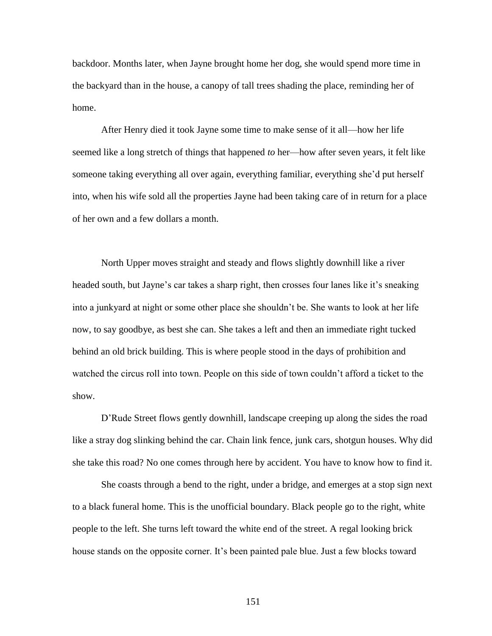backdoor. Months later, when Jayne brought home her dog, she would spend more time in the backyard than in the house, a canopy of tall trees shading the place, reminding her of home.

After Henry died it took Jayne some time to make sense of it all—how her life seemed like a long stretch of things that happened *to* her—how after seven years, it felt like someone taking everything all over again, everything familiar, everything she'd put herself into, when his wife sold all the properties Jayne had been taking care of in return for a place of her own and a few dollars a month.

North Upper moves straight and steady and flows slightly downhill like a river headed south, but Jayne's car takes a sharp right, then crosses four lanes like it's sneaking into a junkyard at night or some other place she shouldn't be. She wants to look at her life now, to say goodbye, as best she can. She takes a left and then an immediate right tucked behind an old brick building. This is where people stood in the days of prohibition and watched the circus roll into town. People on this side of town couldn't afford a ticket to the show.

D'Rude Street flows gently downhill, landscape creeping up along the sides the road like a stray dog slinking behind the car. Chain link fence, junk cars, shotgun houses. Why did she take this road? No one comes through here by accident. You have to know how to find it.

She coasts through a bend to the right, under a bridge, and emerges at a stop sign next to a black funeral home. This is the unofficial boundary. Black people go to the right, white people to the left. She turns left toward the white end of the street. A regal looking brick house stands on the opposite corner. It's been painted pale blue. Just a few blocks toward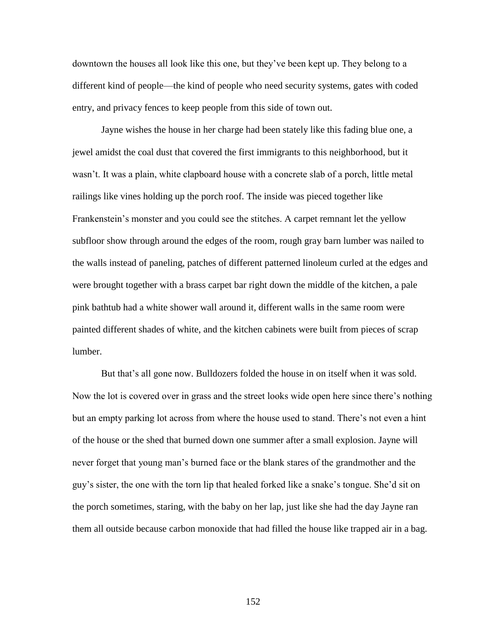downtown the houses all look like this one, but they've been kept up. They belong to a different kind of people—the kind of people who need security systems, gates with coded entry, and privacy fences to keep people from this side of town out.

Jayne wishes the house in her charge had been stately like this fading blue one, a jewel amidst the coal dust that covered the first immigrants to this neighborhood, but it wasn't. It was a plain, white clapboard house with a concrete slab of a porch, little metal railings like vines holding up the porch roof. The inside was pieced together like Frankenstein's monster and you could see the stitches. A carpet remnant let the yellow subfloor show through around the edges of the room, rough gray barn lumber was nailed to the walls instead of paneling, patches of different patterned linoleum curled at the edges and were brought together with a brass carpet bar right down the middle of the kitchen, a pale pink bathtub had a white shower wall around it, different walls in the same room were painted different shades of white, and the kitchen cabinets were built from pieces of scrap lumber.

But that's all gone now. Bulldozers folded the house in on itself when it was sold. Now the lot is covered over in grass and the street looks wide open here since there's nothing but an empty parking lot across from where the house used to stand. There's not even a hint of the house or the shed that burned down one summer after a small explosion. Jayne will never forget that young man's burned face or the blank stares of the grandmother and the guy's sister, the one with the torn lip that healed forked like a snake's tongue. She'd sit on the porch sometimes, staring, with the baby on her lap, just like she had the day Jayne ran them all outside because carbon monoxide that had filled the house like trapped air in a bag.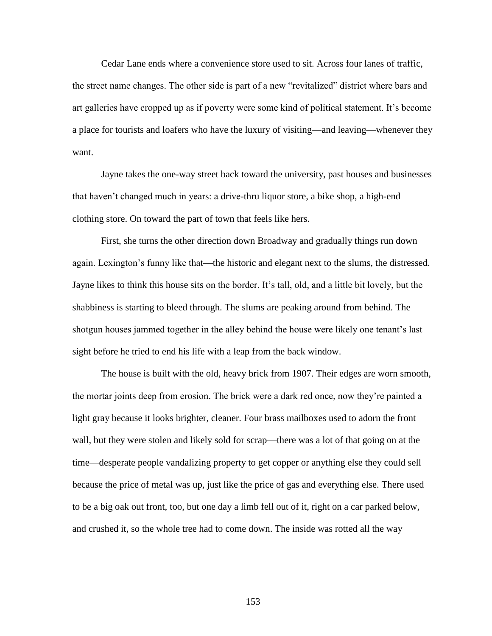Cedar Lane ends where a convenience store used to sit. Across four lanes of traffic, the street name changes. The other side is part of a new "revitalized" district where bars and art galleries have cropped up as if poverty were some kind of political statement. It's become a place for tourists and loafers who have the luxury of visiting—and leaving—whenever they want.

Jayne takes the one-way street back toward the university, past houses and businesses that haven't changed much in years: a drive-thru liquor store, a bike shop, a high-end clothing store. On toward the part of town that feels like hers.

First, she turns the other direction down Broadway and gradually things run down again. Lexington's funny like that—the historic and elegant next to the slums, the distressed. Jayne likes to think this house sits on the border. It's tall, old, and a little bit lovely, but the shabbiness is starting to bleed through. The slums are peaking around from behind. The shotgun houses jammed together in the alley behind the house were likely one tenant's last sight before he tried to end his life with a leap from the back window.

The house is built with the old, heavy brick from 1907. Their edges are worn smooth, the mortar joints deep from erosion. The brick were a dark red once, now they're painted a light gray because it looks brighter, cleaner. Four brass mailboxes used to adorn the front wall, but they were stolen and likely sold for scrap—there was a lot of that going on at the time—desperate people vandalizing property to get copper or anything else they could sell because the price of metal was up, just like the price of gas and everything else. There used to be a big oak out front, too, but one day a limb fell out of it, right on a car parked below, and crushed it, so the whole tree had to come down. The inside was rotted all the way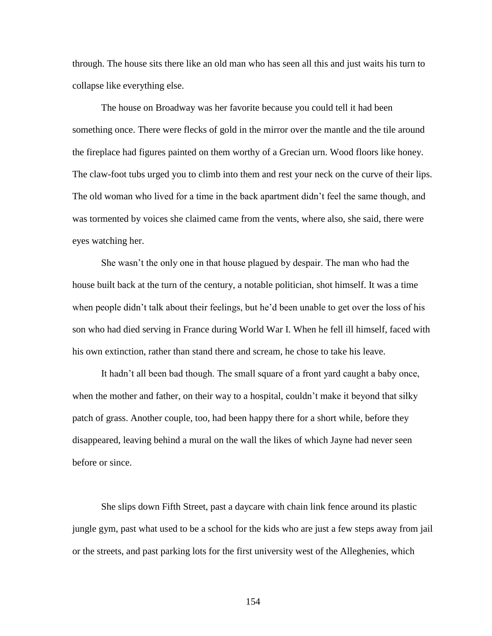through. The house sits there like an old man who has seen all this and just waits his turn to collapse like everything else.

The house on Broadway was her favorite because you could tell it had been something once. There were flecks of gold in the mirror over the mantle and the tile around the fireplace had figures painted on them worthy of a Grecian urn. Wood floors like honey. The claw-foot tubs urged you to climb into them and rest your neck on the curve of their lips. The old woman who lived for a time in the back apartment didn't feel the same though, and was tormented by voices she claimed came from the vents, where also, she said, there were eyes watching her.

She wasn't the only one in that house plagued by despair. The man who had the house built back at the turn of the century, a notable politician, shot himself. It was a time when people didn't talk about their feelings, but he'd been unable to get over the loss of his son who had died serving in France during World War I. When he fell ill himself, faced with his own extinction, rather than stand there and scream, he chose to take his leave.

It hadn't all been bad though. The small square of a front yard caught a baby once, when the mother and father, on their way to a hospital, couldn't make it beyond that silky patch of grass. Another couple, too, had been happy there for a short while, before they disappeared, leaving behind a mural on the wall the likes of which Jayne had never seen before or since.

She slips down Fifth Street, past a daycare with chain link fence around its plastic jungle gym, past what used to be a school for the kids who are just a few steps away from jail or the streets, and past parking lots for the first university west of the Alleghenies, which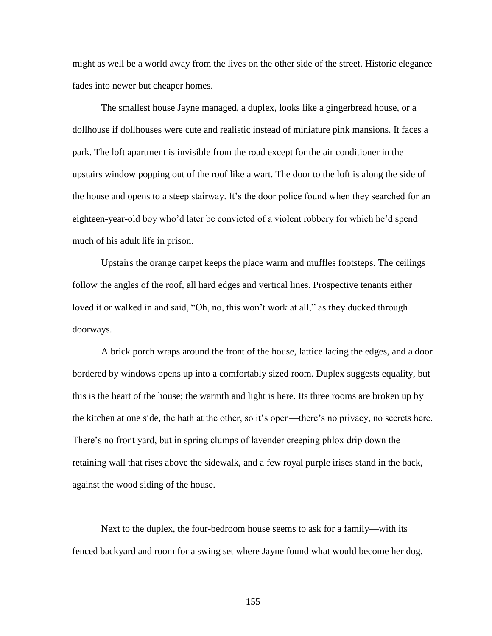might as well be a world away from the lives on the other side of the street. Historic elegance fades into newer but cheaper homes.

The smallest house Jayne managed, a duplex, looks like a gingerbread house, or a dollhouse if dollhouses were cute and realistic instead of miniature pink mansions. It faces a park. The loft apartment is invisible from the road except for the air conditioner in the upstairs window popping out of the roof like a wart. The door to the loft is along the side of the house and opens to a steep stairway. It's the door police found when they searched for an eighteen-year-old boy who'd later be convicted of a violent robbery for which he'd spend much of his adult life in prison.

Upstairs the orange carpet keeps the place warm and muffles footsteps. The ceilings follow the angles of the roof, all hard edges and vertical lines. Prospective tenants either loved it or walked in and said, "Oh, no, this won't work at all," as they ducked through doorways.

A brick porch wraps around the front of the house, lattice lacing the edges, and a door bordered by windows opens up into a comfortably sized room. Duplex suggests equality, but this is the heart of the house; the warmth and light is here. Its three rooms are broken up by the kitchen at one side, the bath at the other, so it's open—there's no privacy, no secrets here. There's no front yard, but in spring clumps of lavender creeping phlox drip down the retaining wall that rises above the sidewalk, and a few royal purple irises stand in the back, against the wood siding of the house.

Next to the duplex, the four-bedroom house seems to ask for a family—with its fenced backyard and room for a swing set where Jayne found what would become her dog,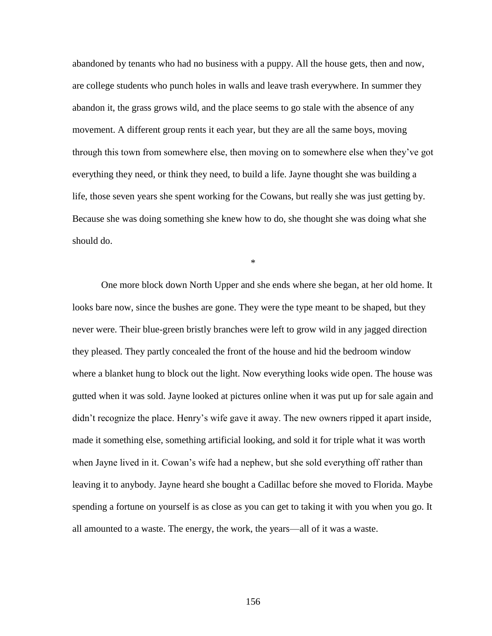abandoned by tenants who had no business with a puppy. All the house gets, then and now, are college students who punch holes in walls and leave trash everywhere. In summer they abandon it, the grass grows wild, and the place seems to go stale with the absence of any movement. A different group rents it each year, but they are all the same boys, moving through this town from somewhere else, then moving on to somewhere else when they've got everything they need, or think they need, to build a life. Jayne thought she was building a life, those seven years she spent working for the Cowans, but really she was just getting by. Because she was doing something she knew how to do, she thought she was doing what she should do.

\*

One more block down North Upper and she ends where she began, at her old home. It looks bare now, since the bushes are gone. They were the type meant to be shaped, but they never were. Their blue-green bristly branches were left to grow wild in any jagged direction they pleased. They partly concealed the front of the house and hid the bedroom window where a blanket hung to block out the light. Now everything looks wide open. The house was gutted when it was sold. Jayne looked at pictures online when it was put up for sale again and didn't recognize the place. Henry's wife gave it away. The new owners ripped it apart inside, made it something else, something artificial looking, and sold it for triple what it was worth when Jayne lived in it. Cowan's wife had a nephew, but she sold everything off rather than leaving it to anybody. Jayne heard she bought a Cadillac before she moved to Florida. Maybe spending a fortune on yourself is as close as you can get to taking it with you when you go. It all amounted to a waste. The energy, the work, the years—all of it was a waste.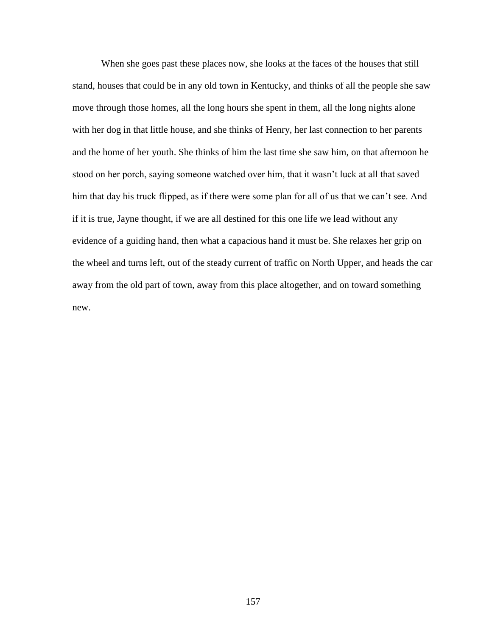When she goes past these places now, she looks at the faces of the houses that still stand, houses that could be in any old town in Kentucky, and thinks of all the people she saw move through those homes, all the long hours she spent in them, all the long nights alone with her dog in that little house, and she thinks of Henry, her last connection to her parents and the home of her youth. She thinks of him the last time she saw him, on that afternoon he stood on her porch, saying someone watched over him, that it wasn't luck at all that saved him that day his truck flipped, as if there were some plan for all of us that we can't see. And if it is true, Jayne thought, if we are all destined for this one life we lead without any evidence of a guiding hand, then what a capacious hand it must be. She relaxes her grip on the wheel and turns left, out of the steady current of traffic on North Upper, and heads the car away from the old part of town, away from this place altogether, and on toward something new.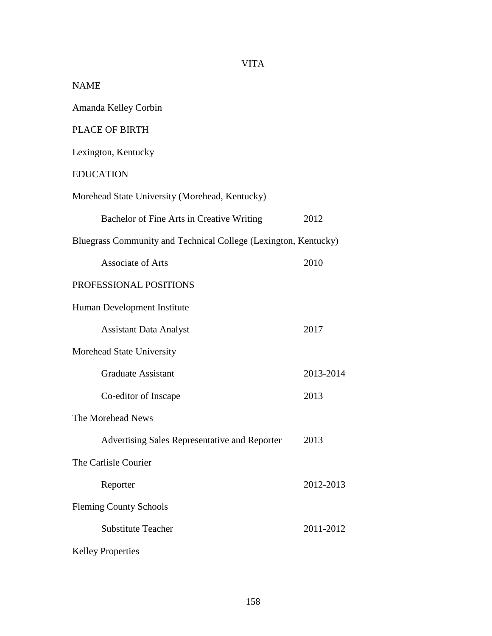| <b>NAME</b>                                                     |           |
|-----------------------------------------------------------------|-----------|
| Amanda Kelley Corbin                                            |           |
| <b>PLACE OF BIRTH</b>                                           |           |
| Lexington, Kentucky                                             |           |
| <b>EDUCATION</b>                                                |           |
| Morehead State University (Morehead, Kentucky)                  |           |
| Bachelor of Fine Arts in Creative Writing                       | 2012      |
| Bluegrass Community and Technical College (Lexington, Kentucky) |           |
| <b>Associate of Arts</b>                                        | 2010      |
| PROFESSIONAL POSITIONS                                          |           |
| Human Development Institute                                     |           |
| <b>Assistant Data Analyst</b>                                   | 2017      |
| Morehead State University                                       |           |
| <b>Graduate Assistant</b>                                       | 2013-2014 |
| Co-editor of Inscape                                            | 2013      |
| The Morehead News                                               |           |
| Advertising Sales Representative and Reporter                   | 2013      |
| The Carlisle Courier                                            |           |
| Reporter                                                        | 2012-2013 |
| <b>Fleming County Schools</b>                                   |           |
| <b>Substitute Teacher</b>                                       | 2011-2012 |
| <b>Kelley Properties</b>                                        |           |

## VITA